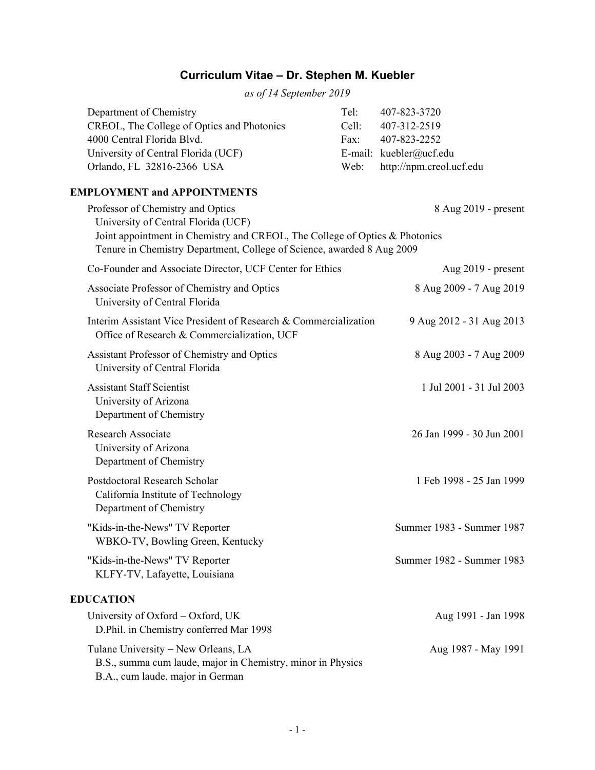# **Curriculum Vitae – Dr. Stephen M. Kuebler**

*as of 14 September 2019* 

| Telt             | 407-823-3720                  |
|------------------|-------------------------------|
| Cell             | 407-312-2519                  |
| Fax <sup>+</sup> | 407-823-2252                  |
|                  | E-mail: kuebler@ucf.edu       |
|                  | Web: http://npm.creol.ucf.edu |
|                  |                               |

### **EMPLOYMENT and APPOINTMENTS**

| Professor of Chemistry and Optics<br>University of Central Florida (UCF)<br>Joint appointment in Chemistry and CREOL, The College of Optics & Photonics<br>Tenure in Chemistry Department, College of Science, awarded 8 Aug 2009 | 8 Aug 2019 - present      |
|-----------------------------------------------------------------------------------------------------------------------------------------------------------------------------------------------------------------------------------|---------------------------|
| Co-Founder and Associate Director, UCF Center for Ethics                                                                                                                                                                          | Aug $2019$ - present      |
| Associate Professor of Chemistry and Optics<br>University of Central Florida                                                                                                                                                      | 8 Aug 2009 - 7 Aug 2019   |
| Interim Assistant Vice President of Research & Commercialization<br>Office of Research & Commercialization, UCF                                                                                                                   | 9 Aug 2012 - 31 Aug 2013  |
| Assistant Professor of Chemistry and Optics<br>University of Central Florida                                                                                                                                                      | 8 Aug 2003 - 7 Aug 2009   |
| <b>Assistant Staff Scientist</b><br>University of Arizona<br>Department of Chemistry                                                                                                                                              | 1 Jul 2001 - 31 Jul 2003  |
| <b>Research Associate</b><br>University of Arizona<br>Department of Chemistry                                                                                                                                                     | 26 Jan 1999 - 30 Jun 2001 |
| Postdoctoral Research Scholar<br>California Institute of Technology<br>Department of Chemistry                                                                                                                                    | 1 Feb 1998 - 25 Jan 1999  |
| "Kids-in-the-News" TV Reporter<br>WBKO-TV, Bowling Green, Kentucky                                                                                                                                                                | Summer 1983 - Summer 1987 |
| "Kids-in-the-News" TV Reporter<br>KLFY-TV, Lafayette, Louisiana                                                                                                                                                                   | Summer 1982 - Summer 1983 |
| <b>EDUCATION</b>                                                                                                                                                                                                                  |                           |
| University of Oxford - Oxford, UK<br>D.Phil. in Chemistry conferred Mar 1998                                                                                                                                                      | Aug 1991 - Jan 1998       |
| Tulane University - New Orleans, LA<br>B.S., summa cum laude, major in Chemistry, minor in Physics                                                                                                                                | Aug 1987 - May 1991       |

B.A., cum laude, major in German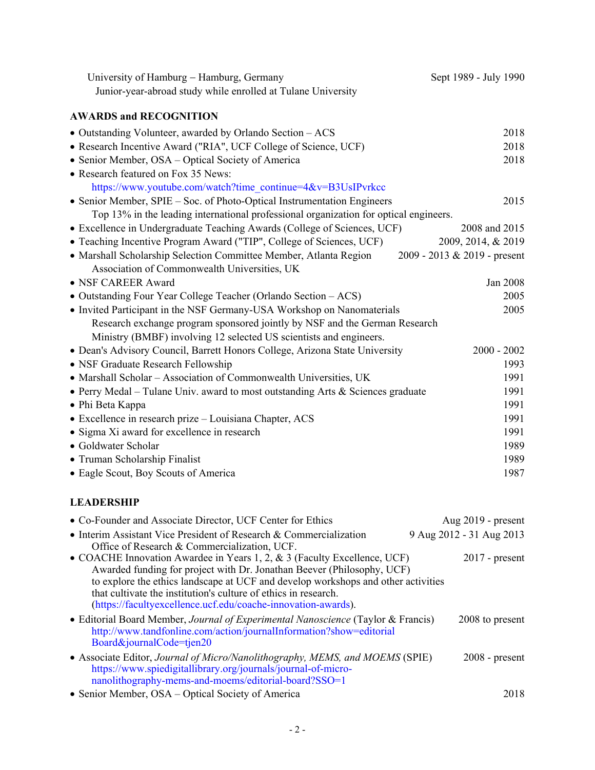| University of Hamburg - Hamburg, Germany                                              | Sept 1989 - July 1990          |
|---------------------------------------------------------------------------------------|--------------------------------|
| Junior-year-abroad study while enrolled at Tulane University                          |                                |
| <b>AWARDS and RECOGNITION</b>                                                         |                                |
| • Outstanding Volunteer, awarded by Orlando Section - ACS                             | 2018                           |
| • Research Incentive Award ("RIA", UCF College of Science, UCF)                       | 2018                           |
| • Senior Member, OSA – Optical Society of America                                     | 2018                           |
| • Research featured on Fox 35 News:                                                   |                                |
| https://www.youtube.com/watch?time_continue=4&v=B3UsIPvrkcc                           |                                |
| • Senior Member, SPIE – Soc. of Photo-Optical Instrumentation Engineers               | 2015                           |
| Top 13% in the leading international professional organization for optical engineers. |                                |
| • Excellence in Undergraduate Teaching Awards (College of Sciences, UCF)              | 2008 and 2015                  |
| • Teaching Incentive Program Award ("TIP", College of Sciences, UCF)                  | 2009, 2014, & 2019             |
| • Marshall Scholarship Selection Committee Member, Atlanta Region                     | $2009 - 2013 & 2019$ - present |
| Association of Commonwealth Universities, UK                                          |                                |
| • NSF CAREER Award                                                                    | Jan 2008                       |
| • Outstanding Four Year College Teacher (Orlando Section - ACS)                       | 2005                           |
| • Invited Participant in the NSF Germany-USA Workshop on Nanomaterials                | 2005                           |
| Research exchange program sponsored jointly by NSF and the German Research            |                                |
| Ministry (BMBF) involving 12 selected US scientists and engineers.                    |                                |
| • Dean's Advisory Council, Barrett Honors College, Arizona State University           | $2000 - 2002$                  |
| • NSF Graduate Research Fellowship                                                    | 1993                           |
| • Marshall Scholar - Association of Commonwealth Universities, UK                     | 1991                           |
| • Perry Medal – Tulane Univ. award to most outstanding Arts & Sciences graduate       | 1991                           |
| • Phi Beta Kappa                                                                      | 1991                           |
| • Excellence in research prize – Louisiana Chapter, ACS                               | 1991                           |
| • Sigma Xi award for excellence in research                                           | 1991                           |
| • Goldwater Scholar                                                                   | 1989                           |
| • Truman Scholarship Finalist                                                         | 1989                           |
| • Eagle Scout, Boy Scouts of America                                                  | 1987                           |

# **LEADERSHIP**

| • Co-Founder and Associate Director, UCF Center for Ethics                                                                                                                                                                                                                                                                                                                  | Aug $2019$ - present     |
|-----------------------------------------------------------------------------------------------------------------------------------------------------------------------------------------------------------------------------------------------------------------------------------------------------------------------------------------------------------------------------|--------------------------|
| • Interim Assistant Vice President of Research & Commercialization<br>Office of Research & Commercialization, UCF.                                                                                                                                                                                                                                                          | 9 Aug 2012 - 31 Aug 2013 |
| • COACHE Innovation Awardee in Years 1, 2, & 3 (Faculty Excellence, UCF)<br>Awarded funding for project with Dr. Jonathan Beever (Philosophy, UCF)<br>to explore the ethics landscape at UCF and develop workshops and other activities<br>that cultivate the institution's culture of ethics in research.<br>(https://facultyexcellence.ucf.edu/coache-innovation-awards). | $2017$ - present         |
| • Editorial Board Member, Journal of Experimental Nanoscience (Taylor & Francis)<br>http://www.tandfonline.com/action/journalInformation?show=editorial<br>Board&journalCode=tjen20                                                                                                                                                                                         | 2008 to present          |
| • Associate Editor, Journal of Micro/Nanolithography, MEMS, and MOEMS (SPIE)<br>https://www.spiedigitallibrary.org/journals/journal-of-micro-<br>nanolithography-mems-and-moems/editorial-board?SSO=1                                                                                                                                                                       | $2008$ - present         |
| • Senior Member, OSA – Optical Society of America                                                                                                                                                                                                                                                                                                                           | 2018                     |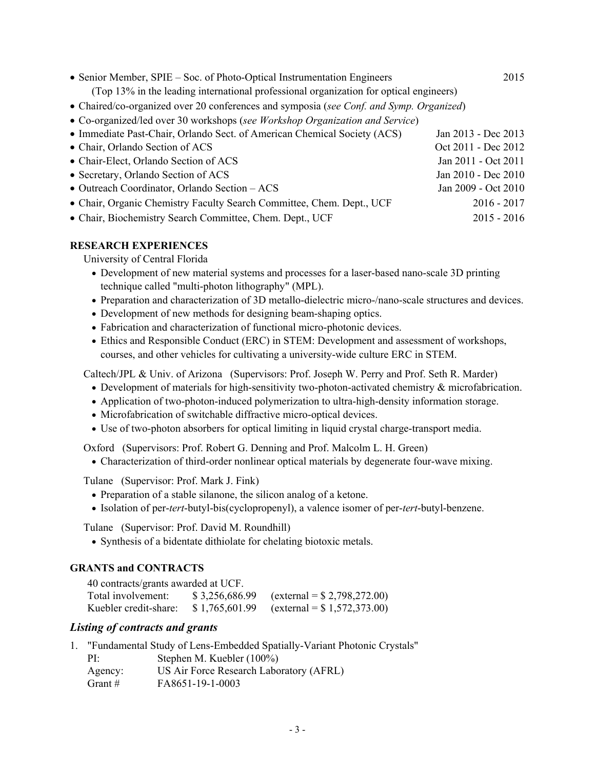| • Senior Member, SPIE – Soc. of Photo-Optical Instrumentation Engineers                 | 2015                |
|-----------------------------------------------------------------------------------------|---------------------|
| (Top 13% in the leading international professional organization for optical engineers)  |                     |
| • Chaired/co-organized over 20 conferences and symposia (see Conf. and Symp. Organized) |                     |
| • Co-organized/led over 30 workshops (see Workshop Organization and Service)            |                     |
| • Immediate Past-Chair, Orlando Sect. of American Chemical Society (ACS)                | Jan 2013 - Dec 2013 |
| • Chair, Orlando Section of ACS                                                         | Oct 2011 - Dec 2012 |
| • Chair-Elect, Orlando Section of ACS                                                   | Jan 2011 - Oct 2011 |
| • Secretary, Orlando Section of ACS                                                     | Jan 2010 - Dec 2010 |
| • Outreach Coordinator, Orlando Section - ACS                                           | Jan 2009 - Oct 2010 |
| • Chair, Organic Chemistry Faculty Search Committee, Chem. Dept., UCF                   | $2016 - 2017$       |
|                                                                                         |                     |

• Chair, Biochemistry Search Committee, Chem. Dept., UCF 2015 - 2016

### **RESEARCH EXPERIENCES**

University of Central Florida

- Development of new material systems and processes for a laser-based nano-scale 3D printing technique called "multi-photon lithography" (MPL).
- Preparation and characterization of 3D metallo-dielectric micro-/nano-scale structures and devices.
- Development of new methods for designing beam-shaping optics.
- Fabrication and characterization of functional micro-photonic devices.
- Ethics and Responsible Conduct (ERC) in STEM: Development and assessment of workshops, courses, and other vehicles for cultivating a university-wide culture ERC in STEM.

Caltech/JPL & Univ. of Arizona (Supervisors: Prof. Joseph W. Perry and Prof. Seth R. Marder)

- Development of materials for high-sensitivity two-photon-activated chemistry & microfabrication.
- Application of two-photon-induced polymerization to ultra-high-density information storage.
- Microfabrication of switchable diffractive micro-optical devices.
- Use of two-photon absorbers for optical limiting in liquid crystal charge-transport media.

Oxford (Supervisors: Prof. Robert G. Denning and Prof. Malcolm L. H. Green)

Characterization of third-order nonlinear optical materials by degenerate four-wave mixing.

Tulane (Supervisor: Prof. Mark J. Fink)

- Preparation of a stable silanone, the silicon analog of a ketone.
- Isolation of per-*tert*-butyl-bis(cyclopropenyl), a valence isomer of per-*tert*-butyl-benzene.

Tulane (Supervisor: Prof. David M. Roundhill)

Synthesis of a bidentate dithiolate for chelating biotoxic metals.

### **GRANTS and CONTRACTS**

| 40 contracts/grants awarded at UCF. |                |                                      |
|-------------------------------------|----------------|--------------------------------------|
| Total involvement:                  | \$3,256,686.99 | $\text{(external = } $2,798,272.00)$ |
| Kuebler credit-share:               | \$1,765,601.99 | $\text{(external = } $1,572,373.00)$ |

### *Listing of contracts and grants*

|           | "Fundamental Study of Lens-Embedded Spatially-Variant Photonic Crystals" |
|-----------|--------------------------------------------------------------------------|
| $PI^+$    | Stephen M. Kuebler (100%)                                                |
| Agency:   | US Air Force Research Laboratory (AFRL)                                  |
| Grant $#$ | FA8651-19-1-0003                                                         |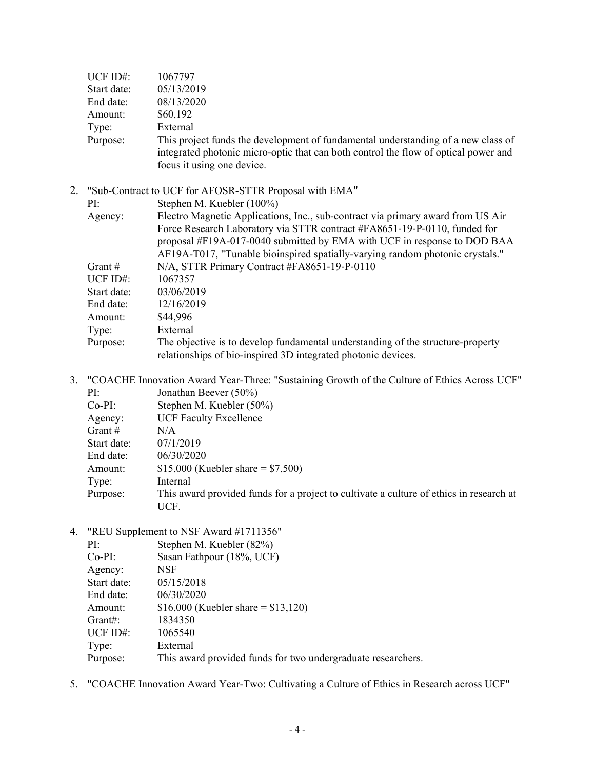| UCF ID#:    | 1067797                                                                                                                                                                                                                                                                                                                   |
|-------------|---------------------------------------------------------------------------------------------------------------------------------------------------------------------------------------------------------------------------------------------------------------------------------------------------------------------------|
| Start date: | 05/13/2019                                                                                                                                                                                                                                                                                                                |
| End date:   | 08/13/2020                                                                                                                                                                                                                                                                                                                |
| Amount:     | \$60,192                                                                                                                                                                                                                                                                                                                  |
| Type:       | External                                                                                                                                                                                                                                                                                                                  |
| Purpose:    | This project funds the development of fundamental understanding of a new class of                                                                                                                                                                                                                                         |
|             | integrated photonic micro-optic that can both control the flow of optical power and                                                                                                                                                                                                                                       |
|             | focus it using one device.                                                                                                                                                                                                                                                                                                |
|             | "Sub-Contract to UCF for AFOSR-STTR Proposal with EMA"                                                                                                                                                                                                                                                                    |
| PI:         | Stephen M. Kuebler (100%)                                                                                                                                                                                                                                                                                                 |
| Agency:     | Electro Magnetic Applications, Inc., sub-contract via primary award from US Air<br>Force Research Laboratory via STTR contract #FA8651-19-P-0110, funded for<br>proposal #F19A-017-0040 submitted by EMA with UCF in response to DOD BAA<br>AF19A-T017, "Tunable bioinspired spatially-varying random photonic crystals." |
| Grant $#$   | N/A, STTR Primary Contract #FA8651-19-P-0110                                                                                                                                                                                                                                                                              |
| UCF $ID#$ : | 1067357                                                                                                                                                                                                                                                                                                                   |
| Start date: | 03/06/2019                                                                                                                                                                                                                                                                                                                |
| End date:   | 12/16/2019                                                                                                                                                                                                                                                                                                                |
| Amount:     | \$44,996                                                                                                                                                                                                                                                                                                                  |
| Type:       | External                                                                                                                                                                                                                                                                                                                  |
| Purpose:    | The objective is to develop fundamental understanding of the structure-property<br>relationships of bio-inspired 3D integrated photonic devices.                                                                                                                                                                          |
|             |                                                                                                                                                                                                                                                                                                                           |

3. "COACHE Innovation Award Year-Three: "Sustaining Growth of the Culture of Ethics Across UCF" PI: Jonathan Beever (50%) Co-PI: Stephen M. Kuebler (50%) Agency: UCF Faculty Excellence Grant  $\#$  N/A Start date: 07/1/2019 End date: 06/30/2020 Amount: \$15,000 (Kuebler share = \$7,500)

Type: Internal

- Purpose: This award provided funds for a project to cultivate a culture of ethics in research at UCF.
- 4. "REU Supplement to NSF Award #1711356"

| Stephen M. Kuebler (82%)                                     |
|--------------------------------------------------------------|
| Sasan Fathpour (18%, UCF)                                    |
| NSF                                                          |
| 05/15/2018                                                   |
| 06/30/2020                                                   |
| \$16,000 (Kuebler share = $$13,120$ )                        |
| 1834350                                                      |
| 1065540                                                      |
| External                                                     |
| This award provided funds for two undergraduate researchers. |
|                                                              |

5. "COACHE Innovation Award Year-Two: Cultivating a Culture of Ethics in Research across UCF"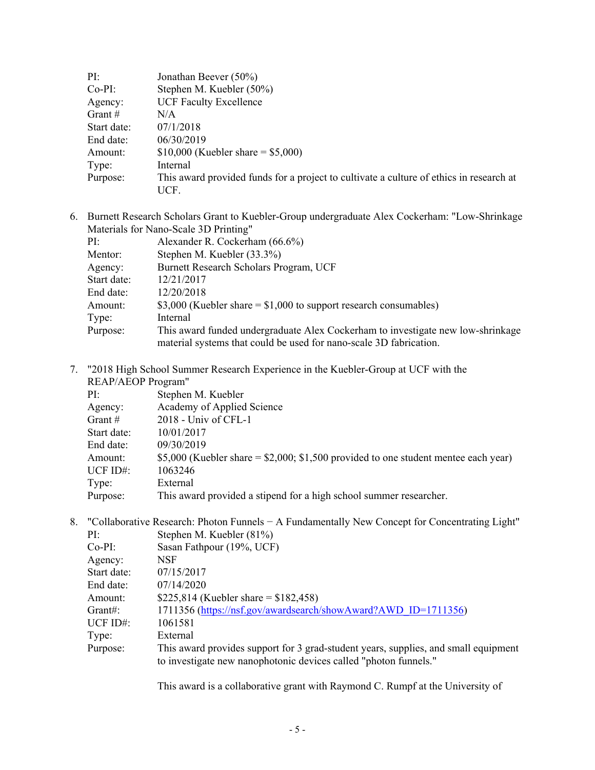| PI:         | Jonathan Beever (50%)                                                                   |
|-------------|-----------------------------------------------------------------------------------------|
| $Co-PI:$    | Stephen M. Kuebler (50%)                                                                |
| Agency:     | <b>UCF Faculty Excellence</b>                                                           |
| Grant $#$   | N/A                                                                                     |
| Start date: | 07/1/2018                                                                               |
| End date:   | 06/30/2019                                                                              |
| Amount:     | \$10,000 (Kuebler share = $$5,000$ )                                                    |
| Type:       | Internal                                                                                |
| Purpose:    | This award provided funds for a project to cultivate a culture of ethics in research at |
|             | UCF.                                                                                    |

6. Burnett Research Scholars Grant to Kuebler-Group undergraduate Alex Cockerham: "Low-Shrinkage Materials for Nano-Scale 3D Printing"

| PI:         | Alexander R. Cockerham (66.6%)                                                                                                                         |
|-------------|--------------------------------------------------------------------------------------------------------------------------------------------------------|
| Mentor:     | Stephen M. Kuebler (33.3%)                                                                                                                             |
| Agency:     | Burnett Research Scholars Program, UCF                                                                                                                 |
| Start date: | 12/21/2017                                                                                                                                             |
| End date:   | 12/20/2018                                                                                                                                             |
| Amount:     | \$3,000 (Kuebler share $=$ \$1,000 to support research consumables)                                                                                    |
| Type:       | Internal                                                                                                                                               |
| Purpose:    | This award funded undergraduate Alex Cocker ham to investigate new low-shrinkage<br>material systems that could be used for nano-scale 3D fabrication. |

7. "2018 High School Summer Research Experience in the Kuebler-Group at UCF with the REAP/AEOP Program"

| PI:         | Stephen M. Kuebler                                                                    |
|-------------|---------------------------------------------------------------------------------------|
| Agency:     | Academy of Applied Science                                                            |
| Grant $#$   | 2018 - Univ of CFL-1                                                                  |
| Start date: | 10/01/2017                                                                            |
| End date:   | 09/30/2019                                                                            |
| Amount:     | \$5,000 (Kuebler share = $$2,000$ ; \$1,500 provided to one student mentee each year) |
| UCF $ID#$ : | 1063246                                                                               |
| Type:       | External                                                                              |
| Purpose:    | This award provided a stipend for a high school summer researcher.                    |

8. "Collaborative Research: Photon Funnels − A Fundamentally New Concept for Concentrating Light" PI: Stephen M. Kuebler (81%) Co-PI: Sasan Fathpour (19%, UCF) Agency: NSF Start date: 07/15/2017 End date: 07/14/2020 Amount: \$225,814 (Kuebler share = \$182,458) Grant#: 1711356 (https://nsf.gov/awardsearch/showAward?AWD\_ID=1711356) UCF ID#: 1061581 Type: External Purpose: This award provides support for 3 grad-student years, supplies, and small equipment to investigate new nanophotonic devices called "photon funnels."

This award is a collaborative grant with Raymond C. Rumpf at the University of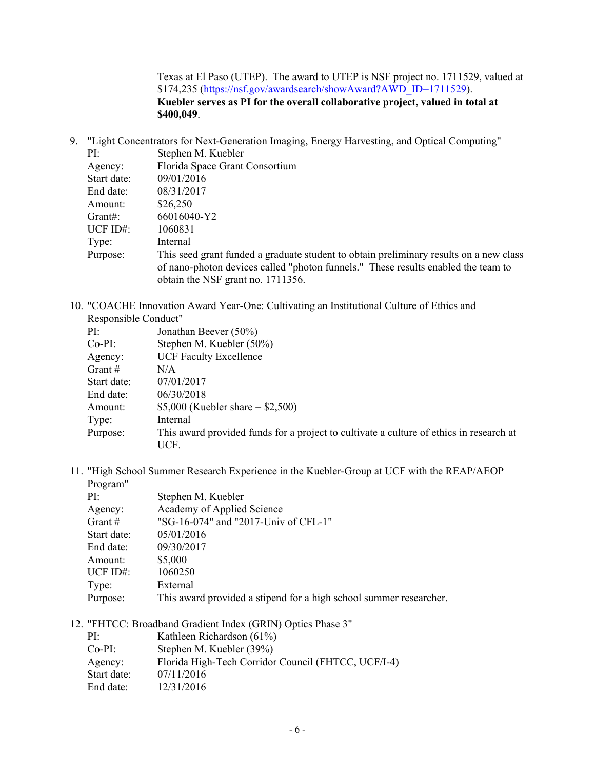Texas at El Paso (UTEP). The award to UTEP is NSF project no. 1711529, valued at \$174,235 (https://nsf.gov/awardsearch/showAward?AWD\_ID=1711529). **Kuebler serves as PI for the overall collaborative project, valued in total at \$400,049**.

9. "Light Concentrators for Next-Generation Imaging, Energy Harvesting, and Optical Computing"

| PI:         | Stephen M. Kuebler                                                                     |
|-------------|----------------------------------------------------------------------------------------|
| Agency:     | Florida Space Grant Consortium                                                         |
| Start date: | 09/01/2016                                                                             |
| End date:   | 08/31/2017                                                                             |
| Amount:     | \$26,250                                                                               |
| $G$ rant#:  | 66016040-Y2                                                                            |
| UCF ID#:    | 1060831                                                                                |
| Type:       | Internal                                                                               |
| Purpose:    | This seed grant funded a graduate student to obtain preliminary results on a new class |
|             | of nano-photon devices called "photon funnels." These results enabled the team to      |
|             | obtain the NSF grant no. 1711356.                                                      |

10. "COACHE Innovation Award Year-One: Cultivating an Institutional Culture of Ethics and Responsible Conduct"

| PI:         | Jonathan Beever (50%)                                                                   |
|-------------|-----------------------------------------------------------------------------------------|
| $Co-PI:$    | Stephen M. Kuebler (50%)                                                                |
| Agency:     | <b>UCF Faculty Excellence</b>                                                           |
| Grant $#$   | N/A                                                                                     |
| Start date: | 07/01/2017                                                                              |
| End date:   | 06/30/2018                                                                              |
| Amount:     | \$5,000 (Kuebler share = $$2,500$ )                                                     |
| Type:       | Internal                                                                                |
| Purpose:    | This award provided funds for a project to cultivate a culture of ethics in research at |
|             | UCF.                                                                                    |

11. "High School Summer Research Experience in the Kuebler-Group at UCF with the REAP/AEOP Program"

| PI:         | Stephen M. Kuebler                                                 |
|-------------|--------------------------------------------------------------------|
| Agency:     | Academy of Applied Science                                         |
| Grant $#$   | "SG-16-074" and "2017-Univ of CFL-1"                               |
| Start date: | 05/01/2016                                                         |
| End date:   | 09/30/2017                                                         |
| Amount:     | \$5,000                                                            |
| UCF $ID#$ : | 1060250                                                            |
| Type:       | External                                                           |
| Purpose:    | This award provided a stipend for a high school summer researcher. |

12. "FHTCC: Broadband Gradient Index (GRIN) Optics Phase 3"

| PI:         | Kathleen Richardson (61%)                           |
|-------------|-----------------------------------------------------|
| $Co-PI:$    | Stephen M. Kuebler (39%)                            |
| Agency:     | Florida High-Tech Corridor Council (FHTCC, UCF/I-4) |
| Start date: | 07/11/2016                                          |
| End date:   | 12/31/2016                                          |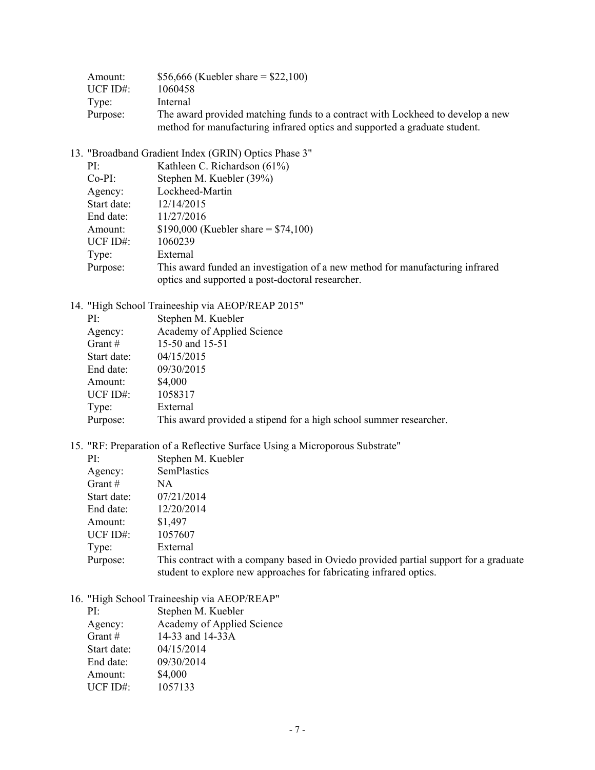| Amount:   | \$56,666 (Kuebler share = $$22,100$ )                                                                                                                        |
|-----------|--------------------------------------------------------------------------------------------------------------------------------------------------------------|
| UCF ID#:- | 1060458                                                                                                                                                      |
| Type:     | Internal                                                                                                                                                     |
| Purpose:  | The award provided matching funds to a contract with Lockheed to develop a new<br>method for manufacturing infrared optics and supported a graduate student. |

13. "Broadband Gradient Index (GRIN) Optics Phase 3"

| PI:         | Kathleen C. Richardson (61%)                                                  |
|-------------|-------------------------------------------------------------------------------|
| $Co-PI:$    | Stephen M. Kuebler (39%)                                                      |
| Agency:     | Lockheed-Martin                                                               |
| Start date: | 12/14/2015                                                                    |
| End date:   | 11/27/2016                                                                    |
| Amount:     | \$190,000 (Kuebler share = $$74,100$ )                                        |
| UCF $ID#$ : | 1060239                                                                       |
| Type:       | External                                                                      |
| Purpose:    | This award funded an investigation of a new method for manufacturing infrared |
|             | optics and supported a post-doctoral researcher.                              |

14. "High School Traineeship via AEOP/REAP 2015"

| PI:         | Stephen M. Kuebler                                                 |
|-------------|--------------------------------------------------------------------|
| Agency:     | Academy of Applied Science                                         |
| Grant $#$   | 15-50 and 15-51                                                    |
| Start date: | 04/15/2015                                                         |
| End date:   | 09/30/2015                                                         |
| Amount:     | \$4,000                                                            |
| UCF $ID#$ : | 1058317                                                            |
| Type:       | External                                                           |
| Purpose:    | This award provided a stipend for a high school summer researcher. |

15. "RF: Preparation of a Reflective Surface Using a Microporous Substrate"

| PI:         | Stephen M. Kuebler                                                                                                                                         |
|-------------|------------------------------------------------------------------------------------------------------------------------------------------------------------|
| Agency:     | SemPlastics                                                                                                                                                |
| Grant $#$   | NA.                                                                                                                                                        |
| Start date: | 07/21/2014                                                                                                                                                 |
| End date:   | 12/20/2014                                                                                                                                                 |
| Amount:     | \$1,497                                                                                                                                                    |
| UCF $ID#$ : | 1057607                                                                                                                                                    |
| Type:       | External                                                                                                                                                   |
| Purpose:    | This contract with a company based in Oviedo provided partial support for a graduate<br>student to explore new approaches for fabricating infrared optics. |

16. "High School Traineeship via AEOP/REAP"

| PI:         | Stephen M. Kuebler         |
|-------------|----------------------------|
| Agency:     | Academy of Applied Science |
| Grant $#$   | 14-33 and 14-33A           |
| Start date: | 04/15/2014                 |
| End date:   | 09/30/2014                 |
| Amount:     | \$4,000                    |
| UCF ID#:    | 1057133                    |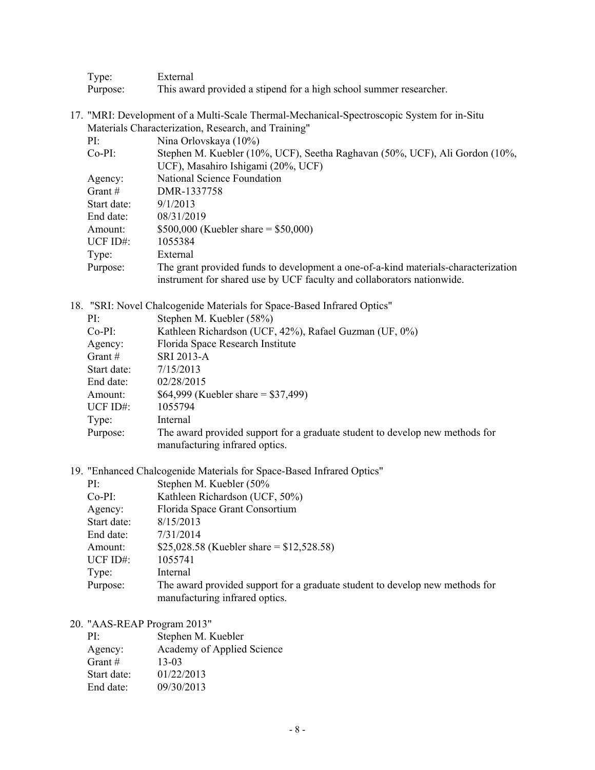| Type:    | External                                                           |
|----------|--------------------------------------------------------------------|
| Purpose: | This award provided a stipend for a high school summer researcher. |

17. "MRI: Development of a Multi-Scale Thermal-Mechanical-Spectroscopic System for in-Situ Materials Characterization, Research, and Training"

| $\mathbf{P}\Gamma$ | Nina Orlovskaya (10%)                                                              |
|--------------------|------------------------------------------------------------------------------------|
| Co-PI:             | Stephen M. Kuebler (10%, UCF), Seetha Raghavan (50%, UCF), Ali Gordon (10%,        |
|                    | UCF), Masahiro Ishigami (20%, UCF)                                                 |
| Agency:            | National Science Foundation                                                        |
| Grant #            | DMR-1337758                                                                        |
| Start date:        | 9/1/2013                                                                           |
| End date:          | 08/31/2019                                                                         |
| Amount:            | \$500,000 (Kuebler share = \$50,000)                                               |
| UCF ID#:           | 1055384                                                                            |
| Type:              | External                                                                           |
| Purpose:           | The grant provided funds to development a one-of-a-kind materials-characterization |
|                    | instrument for shared use by UCF faculty and collaborators nationwide.             |

18. "SRI: Novel Chalcogenide Materials for Space-Based Infrared Optics"

| PI:         | Stephen M. Kuebler (58%)                                                                                       |
|-------------|----------------------------------------------------------------------------------------------------------------|
| $Co-PI:$    | Kathleen Richardson (UCF, 42%), Rafael Guzman (UF, 0%)                                                         |
| Agency:     | Florida Space Research Institute                                                                               |
| Grant $#$   | SRI 2013-A                                                                                                     |
| Start date: | 7/15/2013                                                                                                      |
| End date:   | 02/28/2015                                                                                                     |
| Amount:     | \$64,999 (Kuebler share = \$37,499)                                                                            |
| UCF $ID#$ : | 1055794                                                                                                        |
| Type:       | Internal                                                                                                       |
| Purpose:    | The award provided support for a graduate student to develop new methods for<br>manufacturing infrared optics. |

19. "Enhanced Chalcogenide Materials for Space-Based Infrared Optics"

| PI:         | Stephen M. Kuebler (50%                                                      |
|-------------|------------------------------------------------------------------------------|
| $Co-PI:$    | Kathleen Richardson (UCF, 50%)                                               |
| Agency:     | Florida Space Grant Consortium                                               |
| Start date: | 8/15/2013                                                                    |
| End date:   | 7/31/2014                                                                    |
| Amount:     | \$25,028.58 (Kuebler share = $$12,528.58$ )                                  |
| UCF ID#:    | 1055741                                                                      |
| Type:       | Internal                                                                     |
| Purpose:    | The award provided support for a graduate student to develop new methods for |
|             | manufacturing infrared optics.                                               |

20. "AAS-REAP Program 2013"

| PI:         | Stephen M. Kuebler         |
|-------------|----------------------------|
| Agency:     | Academy of Applied Science |
| Grant $#$   | 13-03                      |
| Start date: | 01/22/2013                 |
| End date:   | 09/30/2013                 |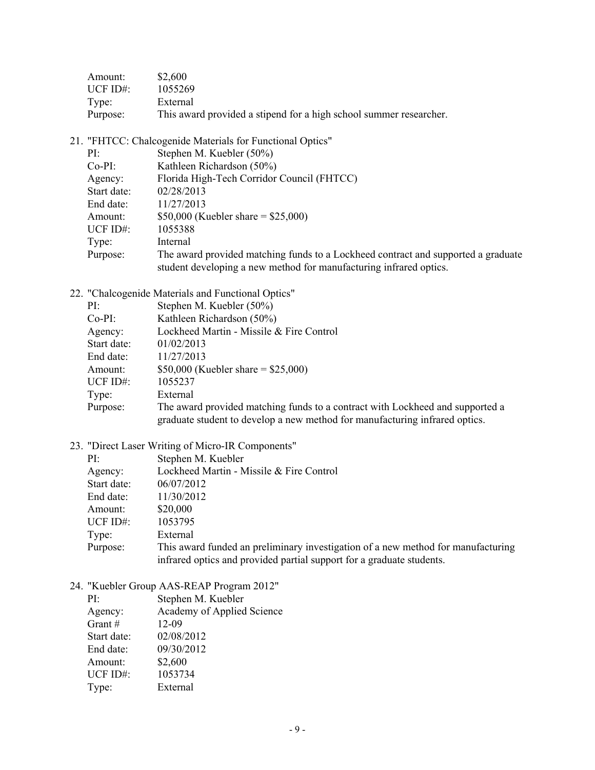| Amount:     | \$2,600                                                            |
|-------------|--------------------------------------------------------------------|
| UCF $ID#$ : | 1055269                                                            |
| Type:       | External                                                           |
| Purpose:    | This award provided a stipend for a high school summer researcher. |

21. "FHTCC: Chalcogenide Materials for Functional Optics"

| $PI^{\perp}$ | Stephen M. Kuebler (50%)                                                          |
|--------------|-----------------------------------------------------------------------------------|
| $Co-PI:$     | Kathleen Richardson (50%)                                                         |
| Agency:      | Florida High-Tech Corridor Council (FHTCC)                                        |
| Start date:  | 02/28/2013                                                                        |
| End date:    | 11/27/2013                                                                        |
| Amount:      | \$50,000 (Kuebler share = $$25,000$ )                                             |
| UCF ID#:     | 1055388                                                                           |
| Type:        | Internal                                                                          |
| Purpose:     | The award provided matching funds to a Lockheed contract and supported a graduate |
|              | student developing a new method for manufacturing infrared optics.                |

22. "Chalcogenide Materials and Functional Optics"

| PI:         | Stephen M. Kuebler (50%)                                                                                                                                     |
|-------------|--------------------------------------------------------------------------------------------------------------------------------------------------------------|
| $Co-PI:$    | Kathleen Richardson (50%)                                                                                                                                    |
| Agency:     | Lockheed Martin - Missile & Fire Control                                                                                                                     |
| Start date: | 01/02/2013                                                                                                                                                   |
| End date:   | 11/27/2013                                                                                                                                                   |
| Amount:     | \$50,000 (Kuebler share = $$25,000$ )                                                                                                                        |
| UCF ID#:    | 1055237                                                                                                                                                      |
| Type:       | External                                                                                                                                                     |
| Purpose:    | The award provided matching funds to a contract with Lockheed and supported a<br>graduate student to develop a new method for manufacturing infrared optics. |

23. "Direct Laser Writing of Micro-IR Components"

| PI:         | Stephen M. Kuebler                                                                                                                                        |
|-------------|-----------------------------------------------------------------------------------------------------------------------------------------------------------|
| Agency:     | Lockheed Martin - Missile & Fire Control                                                                                                                  |
| Start date: | 06/07/2012                                                                                                                                                |
| End date:   | 11/30/2012                                                                                                                                                |
| Amount:     | \$20,000                                                                                                                                                  |
| UCF $ID#$ : | 1053795                                                                                                                                                   |
| Type:       | External                                                                                                                                                  |
| Purpose:    | This award funded an preliminary investigation of a new method for manufacturing<br>infrared optics and provided partial support for a graduate students. |

24. "Kuebler Group AAS-REAP Program 2012"

| PI:         | Stephen M. Kuebler         |
|-------------|----------------------------|
| Agency:     | Academy of Applied Science |
| Grant $#$   | 12-09                      |
| Start date: | 02/08/2012                 |
| End date:   | 09/30/2012                 |
| Amount:     | \$2,600                    |
| UCF ID#:    | 1053734                    |
| Type:       | External                   |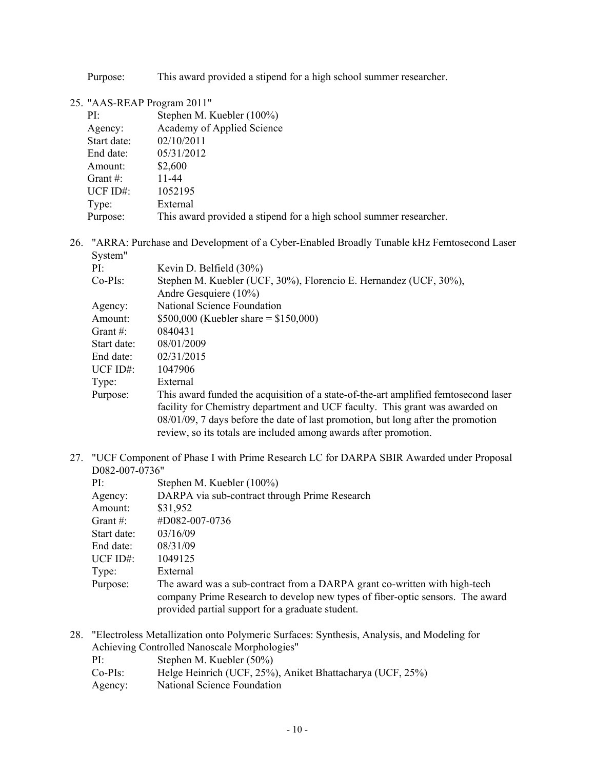Purpose: This award provided a stipend for a high school summer researcher.

### 25. "AAS-REAP Program 2011"

| PI:         | Stephen M. Kuebler (100%)                                          |
|-------------|--------------------------------------------------------------------|
| Agency:     | Academy of Applied Science                                         |
| Start date: | 02/10/2011                                                         |
| End date:   | 05/31/2012                                                         |
| Amount:     | \$2,600                                                            |
| Grant $#$ : | 11-44                                                              |
| UCF $ID#$ : | 1052195                                                            |
| Type:       | External                                                           |
| Purpose:    | This award provided a stipend for a high school summer researcher. |

26. "ARRA: Purchase and Development of a Cyber-Enabled Broadly Tunable kHz Femtosecond Laser System"

| PI:          | Kevin D. Belfield (30%)                                                             |
|--------------|-------------------------------------------------------------------------------------|
| $Co-PIs$ :   | Stephen M. Kuebler (UCF, 30%), Florencio E. Hernandez (UCF, 30%),                   |
|              | Andre Gesquiere $(10\%)$                                                            |
| Agency:      | National Science Foundation                                                         |
| Amount:      | \$500,000 (Kuebler share = $$150,000$ )                                             |
| Grant $\#$ : | 0840431                                                                             |
| Start date:  | 08/01/2009                                                                          |
| End date:    | 02/31/2015                                                                          |
| UCF ID#:     | 1047906                                                                             |
| Type:        | External                                                                            |
| Purpose:     | This award funded the acquisition of a state-of-the-art amplified femtosecond laser |
|              | facility for Chemistry department and UCF faculty. This grant was awarded on        |
|              | 08/01/09, 7 days before the date of last promotion, but long after the promotion    |
|              | review, so its totals are included among awards after promotion.                    |

27. "UCF Component of Phase I with Prime Research LC for DARPA SBIR Awarded under Proposal D082-007-0736"

| Stephen M. Kuebler (100%)                                                                                                                                                                                      |
|----------------------------------------------------------------------------------------------------------------------------------------------------------------------------------------------------------------|
| DARPA via sub-contract through Prime Research                                                                                                                                                                  |
| \$31,952                                                                                                                                                                                                       |
| #D082-007-0736                                                                                                                                                                                                 |
| 03/16/09                                                                                                                                                                                                       |
| 08/31/09                                                                                                                                                                                                       |
| 1049125                                                                                                                                                                                                        |
| External                                                                                                                                                                                                       |
| The award was a sub-contract from a DARPA grant co-written with high-tech<br>company Prime Research to develop new types of fiber-optic sensors. The award<br>provided partial support for a graduate student. |
| PI:<br>Agency:<br>Amount:<br>Grant $#$ :<br>Start date:<br>End date:<br>UCF ID#:<br>Type:<br>Purpose:                                                                                                          |

28. "Electroless Metallization onto Polymeric Surfaces: Synthesis, Analysis, and Modeling for Achieving Controlled Nanoscale Morphologies"

| $PI+$      | Stephen M. Kuebler (50%)                                  |
|------------|-----------------------------------------------------------|
| $Co-PIs$ : | Helge Heinrich (UCF, 25%), Aniket Bhattacharya (UCF, 25%) |
| Agency:    | National Science Foundation                               |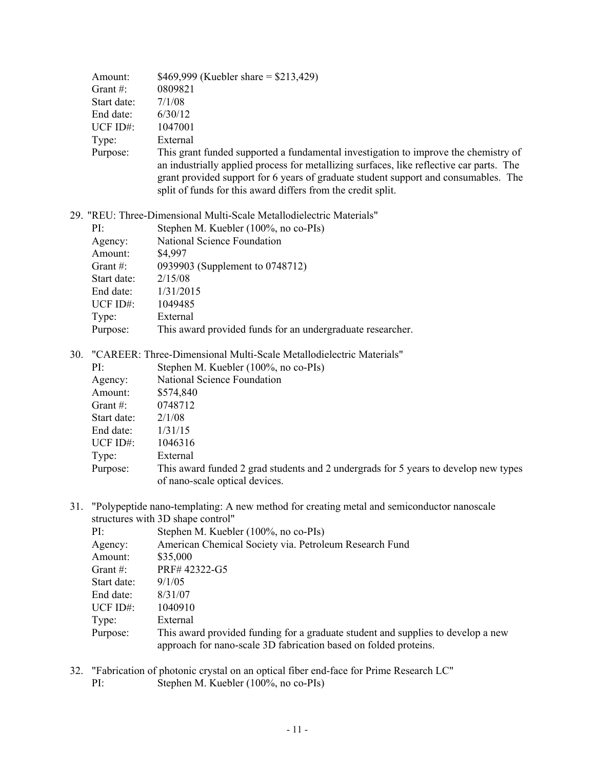|     | Amount:                                                             | \$469,999 (Kuebler share = $$213,429$ )                                                                                                                                                                                                                                                                                                |
|-----|---------------------------------------------------------------------|----------------------------------------------------------------------------------------------------------------------------------------------------------------------------------------------------------------------------------------------------------------------------------------------------------------------------------------|
|     | Grant#:                                                             | 0809821                                                                                                                                                                                                                                                                                                                                |
|     | Start date:                                                         | 7/1/08                                                                                                                                                                                                                                                                                                                                 |
|     | End date:                                                           | 6/30/12                                                                                                                                                                                                                                                                                                                                |
|     | UCF ID#:                                                            | 1047001                                                                                                                                                                                                                                                                                                                                |
|     | Type:                                                               | External                                                                                                                                                                                                                                                                                                                               |
|     | Purpose:                                                            | This grant funded supported a fundamental investigation to improve the chemistry of<br>an industrially applied process for metallizing surfaces, like reflective car parts. The<br>grant provided support for 6 years of graduate student support and consumables. The<br>split of funds for this award differs from the credit split. |
|     |                                                                     | 29. "REU: Three-Dimensional Multi-Scale Metallodielectric Materials"                                                                                                                                                                                                                                                                   |
|     | PI:                                                                 | Stephen M. Kuebler (100%, no co-PIs)                                                                                                                                                                                                                                                                                                   |
|     | Agency:                                                             | National Science Foundation                                                                                                                                                                                                                                                                                                            |
|     | Amount:                                                             | \$4,997                                                                                                                                                                                                                                                                                                                                |
|     | Grant $#$ :                                                         | 0939903 (Supplement to 0748712)                                                                                                                                                                                                                                                                                                        |
|     | Start date:                                                         | 2/15/08                                                                                                                                                                                                                                                                                                                                |
|     | End date:                                                           | 1/31/2015                                                                                                                                                                                                                                                                                                                              |
|     | UCF ID#:                                                            | 1049485                                                                                                                                                                                                                                                                                                                                |
|     | Type:                                                               | External                                                                                                                                                                                                                                                                                                                               |
|     | Purpose:                                                            | This award provided funds for an undergraduate researcher.                                                                                                                                                                                                                                                                             |
| 30. | "CAREER: Three-Dimensional Multi-Scale Metallodielectric Materials" |                                                                                                                                                                                                                                                                                                                                        |
|     | PI:                                                                 | Stephen M. Kuebler (100%, no co-PIs)                                                                                                                                                                                                                                                                                                   |
|     | Agency:                                                             | National Science Foundation                                                                                                                                                                                                                                                                                                            |
|     | Amount:                                                             | \$574,840                                                                                                                                                                                                                                                                                                                              |
|     | Grant $#$ :                                                         | 0748712                                                                                                                                                                                                                                                                                                                                |
|     | Start date:                                                         | 2/1/08                                                                                                                                                                                                                                                                                                                                 |
|     | End date:                                                           | 1/31/15                                                                                                                                                                                                                                                                                                                                |
|     | UCF ID#:                                                            | 1046316                                                                                                                                                                                                                                                                                                                                |
|     | Type:                                                               | External                                                                                                                                                                                                                                                                                                                               |
|     | Purpose:                                                            | This award funded 2 grad students and 2 undergrads for 5 years to develop new types                                                                                                                                                                                                                                                    |
|     |                                                                     | of nano-scale optical devices.                                                                                                                                                                                                                                                                                                         |

31. "Polypeptide nano-templating: A new method for creating metal and semiconductor nanoscale structures with 3D shape control"

|             | $\frac{1}{2}$ of the state $\frac{1}{2}$ of $\frac{1}{2}$ of $\frac{1}{2}$ of $\frac{1}{2}$                                                          |  |  |
|-------------|------------------------------------------------------------------------------------------------------------------------------------------------------|--|--|
| PI:         | Stephen M. Kuebler (100%, no co-PIs)                                                                                                                 |  |  |
| Agency:     | American Chemical Society via. Petroleum Research Fund                                                                                               |  |  |
| Amount:     | \$35,000                                                                                                                                             |  |  |
| Grant $#$ : | PRF#42322-G5                                                                                                                                         |  |  |
| Start date: | 9/1/05                                                                                                                                               |  |  |
| End date:   | 8/31/07                                                                                                                                              |  |  |
| UCF $ID#$ : | 1040910                                                                                                                                              |  |  |
| Type:       | External                                                                                                                                             |  |  |
| Purpose:    | This award provided funding for a graduate student and supplies to develop a new<br>approach for nano-scale 3D fabrication based on folded proteins. |  |  |

- 32. "Fabrication of photonic crystal on an optical fiber end-face for Prime Research LC"
	- PI: Stephen M. Kuebler (100%, no co-PIs)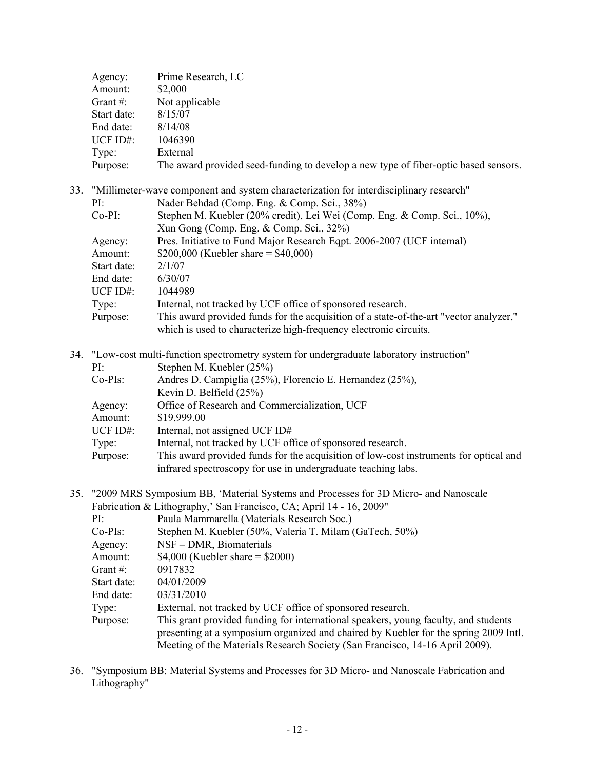| Agency:     | Prime Research, LC                                                                  |
|-------------|-------------------------------------------------------------------------------------|
| Amount:     | \$2,000                                                                             |
| Grant $#$ : | Not applicable                                                                      |
| Start date: | 8/15/07                                                                             |
| End date:   | 8/14/08                                                                             |
| UCF $ID#$ : | 1046390                                                                             |
| Type:       | External                                                                            |
| Purpose:    | The award provided seed-funding to develop a new type of fiber-optic based sensors. |
|             |                                                                                     |

| 33. "Millimeter-wave component and system characterization for interdisciplinary research" |                                                                                        |  |
|--------------------------------------------------------------------------------------------|----------------------------------------------------------------------------------------|--|
| PI:                                                                                        | Nader Behdad (Comp. Eng. & Comp. Sci., 38%)                                            |  |
| $Co-PI:$                                                                                   | Stephen M. Kuebler (20% credit), Lei Wei (Comp. Eng. & Comp. Sci., 10%),               |  |
|                                                                                            | Xun Gong (Comp. Eng. & Comp. Sci., 32%)                                                |  |
| Agency:                                                                                    | Pres. Initiative to Fund Major Research Eqpt. 2006-2007 (UCF internal)                 |  |
| Amount:                                                                                    | \$200,000 (Kuebler share = $$40,000$ )                                                 |  |
| Start date:                                                                                | 2/1/07                                                                                 |  |
| End date:                                                                                  | 6/30/07                                                                                |  |
| UCF $ID#$ :                                                                                | 1044989                                                                                |  |
| Type:                                                                                      | Internal, not tracked by UCF office of sponsored research.                             |  |
| Purpose:                                                                                   | This award provided funds for the acquisition of a state-of-the-art "vector analyzer," |  |
|                                                                                            | which is used to characterize high-frequency electronic circuits.                      |  |

- 34. "Low-cost multi-function spectrometry system for undergraduate laboratory instruction" PI: Stephen M. Kuebler (25%) Co-PIs: Andres D. Campiglia (25%), Florencio E. Hernandez (25%), Kevin D. Belfield (25%) Agency: Office of Research and Commercialization, UCF Amount: \$19,999.00 UCF ID#: Internal, not assigned UCF ID# Type: Internal, not tracked by UCF office of sponsored research. Purpose: This award provided funds for the acquisition of low-cost instruments for optical and infrared spectroscopy for use in undergraduate teaching labs.
- 35. "2009 MRS Symposium BB, 'Material Systems and Processes for 3D Micro- and Nanoscale Fabrication  $\&$  Lithography, San Francisco,  $C_A$ ; April 14 - 16, 2009"

| Faurication $\alpha$ Entrography, Ball Francisco, CA, April 14 - 10, 2007 |                                                                                      |  |  |
|---------------------------------------------------------------------------|--------------------------------------------------------------------------------------|--|--|
| PI:                                                                       | Paula Mammarella (Materials Research Soc.)                                           |  |  |
| $Co-PIs$ :                                                                | Stephen M. Kuebler (50%, Valeria T. Milam (GaTech, 50%)                              |  |  |
| Agency:                                                                   | NSF – DMR, Biomaterials                                                              |  |  |
| Amount:                                                                   | \$4,000 (Kuebler share = $$2000$ )                                                   |  |  |
| Grant $\#$ :                                                              | 0917832                                                                              |  |  |
| Start date:                                                               | 04/01/2009                                                                           |  |  |
| End date:                                                                 | 03/31/2010                                                                           |  |  |
| Type:                                                                     | External, not tracked by UCF office of sponsored research.                           |  |  |
| Purpose:                                                                  | This grant provided funding for international speakers, young faculty, and students  |  |  |
|                                                                           | presenting at a symposium organized and chaired by Kuebler for the spring 2009 Intl. |  |  |
|                                                                           | Meeting of the Materials Research Society (San Francisco, 14-16 April 2009).         |  |  |

36. "Symposium BB: Material Systems and Processes for 3D Micro- and Nanoscale Fabrication and Lithography"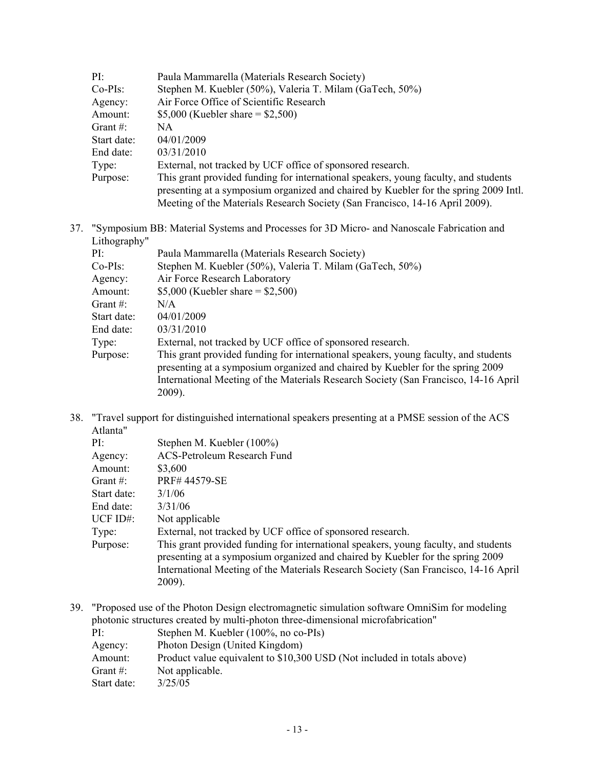| PI:         | Paula Mammarella (Materials Research Society)                                        |  |
|-------------|--------------------------------------------------------------------------------------|--|
| $Co-PIs$ :  | Stephen M. Kuebler (50%), Valeria T. Milam (GaTech, 50%)                             |  |
| Agency:     | Air Force Office of Scientific Research                                              |  |
| Amount:     | \$5,000 (Kuebler share = $$2,500$ )                                                  |  |
| Grant $#$ : | NA.                                                                                  |  |
| Start date: | 04/01/2009                                                                           |  |
| End date:   | 03/31/2010                                                                           |  |
| Type:       | External, not tracked by UCF office of sponsored research.                           |  |
| Purpose:    | This grant provided funding for international speakers, young faculty, and students  |  |
|             | presenting at a symposium organized and chaired by Kuebler for the spring 2009 Intl. |  |
|             | Meeting of the Materials Research Society (San Francisco, 14-16 April 2009).         |  |

37. "Symposium BB: Material Systems and Processes for 3D Micro- and Nanoscale Fabrication and Lithography"

| PI:         | Paula Mammarella (Materials Research Society)                                                                                                                                                                                                                          |
|-------------|------------------------------------------------------------------------------------------------------------------------------------------------------------------------------------------------------------------------------------------------------------------------|
| $Co-PIs$ :  | Stephen M. Kuebler (50%), Valeria T. Milam (GaTech, 50%)                                                                                                                                                                                                               |
| Agency:     | Air Force Research Laboratory                                                                                                                                                                                                                                          |
| Amount:     | \$5,000 (Kuebler share = $$2,500$ )                                                                                                                                                                                                                                    |
| Grant $#$ : | N/A                                                                                                                                                                                                                                                                    |
| Start date: | 04/01/2009                                                                                                                                                                                                                                                             |
| End date:   | 03/31/2010                                                                                                                                                                                                                                                             |
| Type:       | External, not tracked by UCF office of sponsored research.                                                                                                                                                                                                             |
| Purpose:    | This grant provided funding for international speakers, young faculty, and students<br>presenting at a symposium organized and chaired by Kuebler for the spring 2009<br>International Meeting of the Materials Research Society (San Francisco, 14-16 April<br>2009). |
|             |                                                                                                                                                                                                                                                                        |

38. "Travel support for distinguished international speakers presenting at a PMSE session of the ACS Atlanta"

| PI:          | Stephen M. Kuebler (100%)                                                                                                                                                                                                                                              |
|--------------|------------------------------------------------------------------------------------------------------------------------------------------------------------------------------------------------------------------------------------------------------------------------|
| Agency:      | <b>ACS-Petroleum Research Fund</b>                                                                                                                                                                                                                                     |
| Amount:      | \$3,600                                                                                                                                                                                                                                                                |
| Grant $\#$ : | PRF#44579-SE                                                                                                                                                                                                                                                           |
| Start date:  | 3/1/06                                                                                                                                                                                                                                                                 |
| End date:    | 3/31/06                                                                                                                                                                                                                                                                |
| $UCF$ ID#:   | Not applicable                                                                                                                                                                                                                                                         |
| Type:        | External, not tracked by UCF office of sponsored research.                                                                                                                                                                                                             |
| Purpose:     | This grant provided funding for international speakers, young faculty, and students<br>presenting at a symposium organized and chaired by Kuebler for the spring 2009<br>International Meeting of the Materials Research Society (San Francisco, 14-16 April<br>2009). |
|              |                                                                                                                                                                                                                                                                        |

39. "Proposed use of the Photon Design electromagnetic simulation software OmniSim for modeling photonic structures created by multi-photon three-dimensional microfabrication"

| $PI^+$      | Stephen M. Kuebler (100%, no co-PIs)                                    |
|-------------|-------------------------------------------------------------------------|
| Agency:     | Photon Design (United Kingdom)                                          |
| Amount:     | Product value equivalent to \$10,300 USD (Not included in totals above) |
| Grant $#$ : | Not applicable.                                                         |
| Start date: | 3/25/05                                                                 |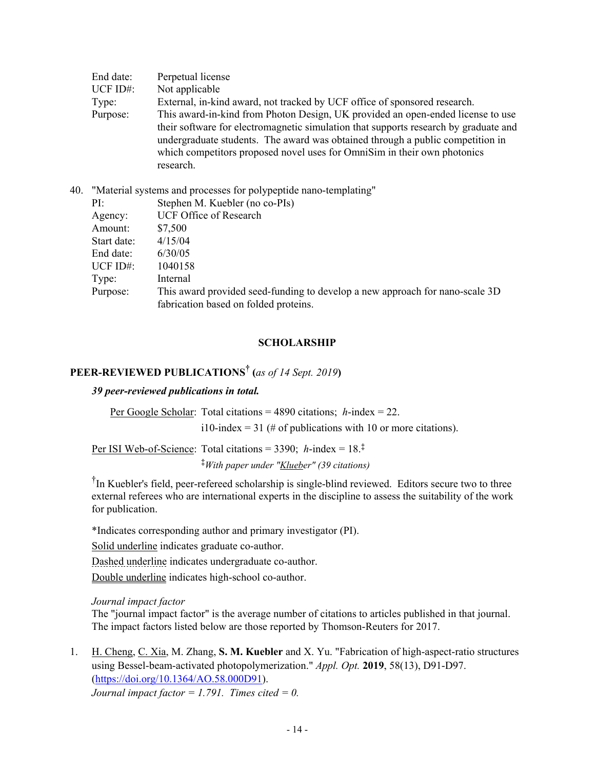| End date:   | Perpetual license                                                                    |
|-------------|--------------------------------------------------------------------------------------|
| $UCF ID#$ : | Not applicable                                                                       |
| Type:       | External, in-kind award, not tracked by UCF office of sponsored research.            |
| Purpose:    | This award-in-kind from Photon Design, UK provided an open-ended license to use      |
|             | their software for electromagnetic simulation that supports research by graduate and |
|             | undergraduate students. The award was obtained through a public competition in       |
|             | which competitors proposed novel uses for OmniSim in their own photonics             |
|             | research.                                                                            |

| 40. |  |  | "Material systems and processes for polypeptide nano-templating" |
|-----|--|--|------------------------------------------------------------------|
|     |  |  |                                                                  |

| PI:         | Stephen M. Kuebler (no co-PIs)                                               |
|-------------|------------------------------------------------------------------------------|
| Agency:     | <b>UCF Office of Research</b>                                                |
| Amount:     | \$7,500                                                                      |
| Start date: | 4/15/04                                                                      |
| End date:   | 6/30/05                                                                      |
| UCF $ID#$ : | 1040158                                                                      |
| Type:       | Internal                                                                     |
| Purpose:    | This award provided seed-funding to develop a new approach for nano-scale 3D |
|             | fabrication based on folded proteins.                                        |
|             |                                                                              |

### **SCHOLARSHIP**

# **PEER-REVIEWED PUBLICATIONS† (***as of 14 Sept. 2019***)**

# *39 peer-reviewed publications in total.*

Per Google Scholar: Total citations = 4890 citations; *h*-index = 22.

i10-index = 31 (# of publications with 10 or more citations).

Per ISI Web-of-Science: Total citations =  $3390$ ;  $h$ -index =  $18.^{\ddagger}$ **‡***With paper under "Klueber" (39 citations)*

<sup>†</sup>In Kuebler's field, peer-refereed scholarship is single-blind reviewed. Editors secure two to three external referees who are international experts in the discipline to assess the suitability of the work for publication.

\*Indicates corresponding author and primary investigator (PI).

Solid underline indicates graduate co-author.

Dashed underline indicates undergraduate co-author.

Double underline indicates high-school co-author.

*Journal impact factor* 

The "journal impact factor" is the average number of citations to articles published in that journal. The impact factors listed below are those reported by Thomson-Reuters for 2017.

1. H. Cheng, C. Xia, M. Zhang, **S. M. Kuebler** and X. Yu. "Fabrication of high-aspect-ratio structures using Bessel-beam-activated photopolymerization." *Appl. Opt.* **2019**, 58(13), D91-D97. (https://doi.org/10.1364/AO.58.000D91). *Journal impact factor = 1.791. Times cited = 0.*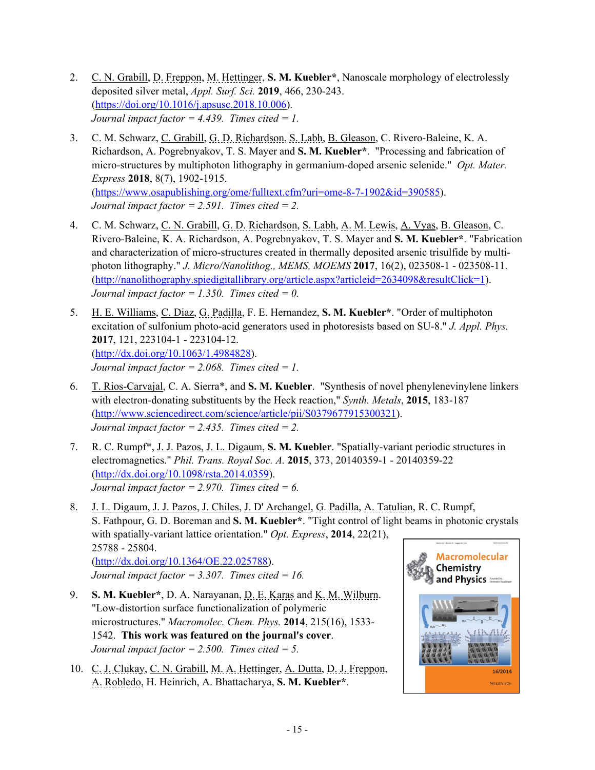- 2. C. N. Grabill, D. Freppon, M. Hettinger, **S. M. Kuebler\***, Nanoscale morphology of electrolessly deposited silver metal, *Appl. Surf. Sci.* **2019**, 466, 230-243. (https://doi.org/10.1016/j.apsusc.2018.10.006). *Journal impact factor = 4.439. Times cited = 1.*
- 3. C. M. Schwarz, C. Grabill, G. D. Richardson, S. Labh, B. Gleason, C. Rivero-Baleine, K. A. Richardson, A. Pogrebnyakov, T. S. Mayer and **S. M. Kuebler\***. "Processing and fabrication of micro-structures by multiphoton lithography in germanium-doped arsenic selenide." *Opt. Mater. Express* **2018**, 8(7), 1902-1915. (https://www.osapublishing.org/ome/fulltext.cfm?uri=ome-8-7-1902&id=390585).  *Journal impact factor = 2.591. Times cited = 2.*
- 4. C. M. Schwarz, C. N. Grabill, G. D. Richardson, S. Labh, A. M. Lewis, A. Vyas, B. Gleason, C. Rivero-Baleine, K. A. Richardson, A. Pogrebnyakov, T. S. Mayer and **S. M. Kuebler\***. "Fabrication and characterization of micro-structures created in thermally deposited arsenic trisulfide by multiphoton lithography." *J. Micro/Nanolithog., MEMS, MOEMS* **2017**, 16(2), 023508-1 - 023508-11. (http://nanolithography.spiedigitallibrary.org/article.aspx?articleid=2634098&resultClick=1).  *Journal impact factor = 1.350. Times cited = 0.*
- 5. H. E. Williams, C. Diaz, G. Padilla, F. E. Hernandez, **S. M. Kuebler\***. "Order of multiphoton excitation of sulfonium photo-acid generators used in photoresists based on SU-8." *J. Appl. Phys.* **2017**, 121, 223104-1 - 223104-12. (http://dx.doi.org/10.1063/1.4984828).  *Journal impact factor = 2.068. Times cited = 1.*
- 6. T. Rios-Carvajal, C. A. Sierra\*, and **S. M. Kuebler**. "Synthesis of novel phenylenevinylene linkers with electron-donating substituents by the Heck reaction," *Synth. Metals*, **2015**, 183-187 (http://www.sciencedirect.com/science/article/pii/S0379677915300321). *Journal impact factor = 2.435. Times cited = 2.*
- 7. R. C. Rumpf\*, J. J. Pazos, J. L. Digaum, **S. M. Kuebler**. "Spatially-variant periodic structures in electromagnetics." *Phil. Trans. Royal Soc. A.* **2015**, 373, 20140359-1 - 20140359-22 (http://dx.doi.org/10.1098/rsta.2014.0359). *Journal impact factor = 2.970. Times cited = 6.*
- 8. J. L. Digaum, J. J. Pazos, J. Chiles, J. D' Archangel, G. Padilla, A. Tatulian, R. C. Rumpf, S. Fathpour, G. D. Boreman and **S. M. Kuebler\***. "Tight control of light beams in photonic crystals with spatially-variant lattice orientation." *Opt. Express*, **2014**, 22(21), 25788 - 25804. **Macromolecular** (http://dx.doi.org/10.1364/OE.22.025788). Chemistry *Journal impact factor = 3.307. Times cited = 16.*  and Physics
- 9. **S. M. Kuebler\***, D. A. Narayanan, D. E. Karas and K. M. Wilburn. "Low-distortion surface functionalization of polymeric microstructures." *Macromolec. Chem. Phys.* **2014**, 215(16), 1533- 1542. **This work was featured on the journal's cover**. *Journal impact factor = 2.500. Times cited = 5.*
- 10. C. J. Clukay, C. N. Grabill, M. A. Hettinger, A. Dutta, D. J. Freppon, A. Robledo, H. Heinrich, A. Bhattacharya, **S. M. Kuebler\***.

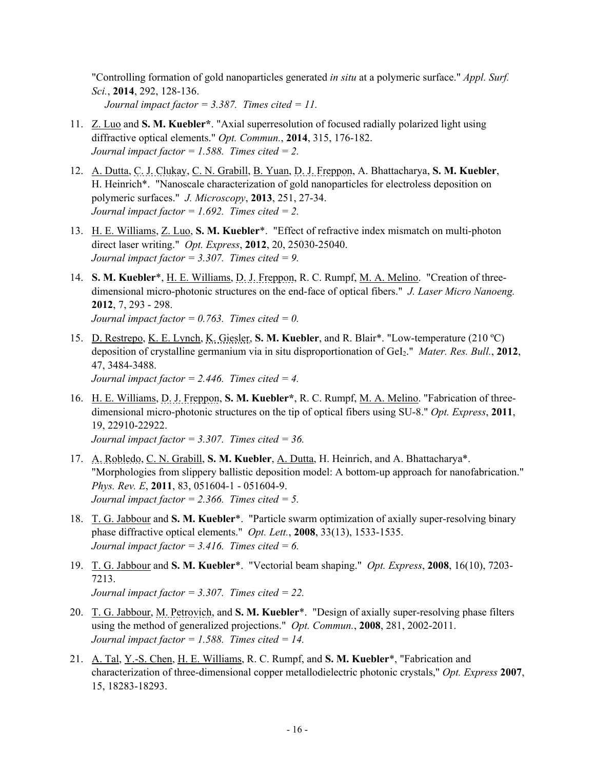"Controlling formation of gold nanoparticles generated *in situ* at a polymeric surface." *Appl. Surf. Sci.*, **2014**, 292, 128-136. *Journal impact factor = 3.387. Times cited = 11.* 

- 11. Z. Luo and **S. M. Kuebler\***. "Axial superresolution of focused radially polarized light using diffractive optical elements." *Opt. Commun.*, **2014**, 315, 176-182. *Journal impact factor = 1.588. Times cited = 2.*
- 12. A. Dutta, C. J. Clukay, C. N. Grabill, B. Yuan, D. J. Freppon, A. Bhattacharya, **S. M. Kuebler**, H. Heinrich\*. "Nanoscale characterization of gold nanoparticles for electroless deposition on polymeric surfaces." *J. Microscopy*, **2013**, 251, 27-34. *Journal impact factor = 1.692. Times cited = 2.*
- 13. H. E. Williams, Z. Luo, **S. M. Kuebler**\*. "Effect of refractive index mismatch on multi-photon direct laser writing." *Opt. Express*, **2012**, 20, 25030-25040. *Journal impact factor = 3.307. Times cited = 9.*
- 14. **S. M. Kuebler**\*, H. E. Williams, D. J. Freppon, R. C. Rumpf, M. A. Melino. "Creation of threedimensional micro-photonic structures on the end-face of optical fibers." *J. Laser Micro Nanoeng.* **2012**, 7, 293 - 298. *Journal impact factor = 0.763. Times cited = 0.*
- 15. D. Restrepo, K. E. Lynch, K. Giesler, **S. M. Kuebler**, and R. Blair\*. "Low-temperature (210 ºC) deposition of crystalline germanium via in situ disproportionation of GeI2." *Mater. Res. Bull.*, **2012**, 47, 3484-3488. *Journal impact factor = 2.446. Times cited = 4.*
- 16. H. E. Williams, D. J. Freppon, **S. M. Kuebler\***, R. C. Rumpf, M. A. Melino. "Fabrication of threedimensional micro-photonic structures on the tip of optical fibers using SU-8." *Opt. Express*, **2011**, 19, 22910-22922.

*Journal impact factor = 3.307. Times cited = 36.* 

- 17. A. Robledo, C. N. Grabill, **S. M. Kuebler**, A. Dutta, H. Heinrich, and A. Bhattacharya\*. "Morphologies from slippery ballistic deposition model: A bottom-up approach for nanofabrication." *Phys. Rev. E*, **2011**, 83, 051604-1 - 051604-9. *Journal impact factor = 2.366. Times cited = 5.*
- 18. T. G. Jabbour and **S. M. Kuebler**\*. "Particle swarm optimization of axially super-resolving binary phase diffractive optical elements." *Opt. Lett.*, **2008**, 33(13), 1533-1535. *Journal impact factor = 3.416. Times cited = 6.*
- 19. T. G. Jabbour and **S. M. Kuebler**\*. "Vectorial beam shaping." *Opt. Express*, **2008**, 16(10), 7203- 7213. *Journal impact factor = 3.307. Times cited = 22.*
- 20. T. G. Jabbour, M. Petrovich, and **S. M. Kuebler**\*. "Design of axially super-resolving phase filters using the method of generalized projections." *Opt. Commun.*, **2008**, 281, 2002-2011. *Journal impact factor = 1.588. Times cited = 14.*
- 21. A. Tal, Y.-S. Chen, H. E. Williams, R. C. Rumpf, and **S. M. Kuebler**\*, "Fabrication and characterization of three-dimensional copper metallodielectric photonic crystals," *Opt. Express* **2007**, 15, 18283-18293.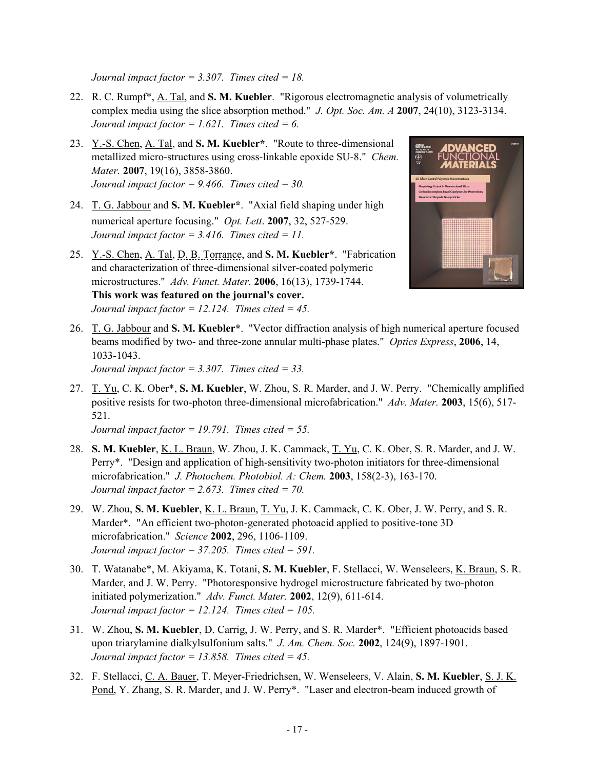*Journal impact factor = 3.307. Times cited = 18.* 

- 22. R. C. Rumpf\*, A. Tal, and **S. M. Kuebler**. "Rigorous electromagnetic analysis of volumetrically complex media using the slice absorption method." *J. Opt. Soc. Am. A* **2007**, 24(10), 3123-3134.  *Journal impact factor = 1.621. Times cited = 6.*
- 23. Y.-S. Chen, A. Tal, and **S. M. Kuebler\***. "Route to three-dimensional metallized micro-structures using cross-linkable epoxide SU-8." *Chem. Mater.* **2007**, 19(16), 3858-3860. *Journal impact factor = 9.466. Times cited = 30.*
- 24. T. G. Jabbour and **S. M. Kuebler\***. "Axial field shaping under high numerical aperture focusing." *Opt. Lett*. **2007**, 32, 527-529. *Journal impact factor = 3.416. Times cited = 11.*
- 25. Y.-S. Chen, A. Tal, D. B. Torrance, and **S. M. Kuebler\***. "Fabrication and characterization of three-dimensional silver-coated polymeric microstructures." *Adv. Funct. Mater.* **2006**, 16(13), 1739-1744. **This work was featured on the journal's cover.** *Journal impact factor = 12.124. Times cited = 45.*



26. T. G. Jabbour and **S. M. Kuebler\***. "Vector diffraction analysis of high numerical aperture focused beams modified by two- and three-zone annular multi-phase plates." *Optics Express*, **2006**, 14, 1033-1043.

*Journal impact factor = 3.307. Times cited = 33.* 

27. T. Yu, C. K. Ober\*, **S. M. Kuebler**, W. Zhou, S. R. Marder, and J. W. Perry. "Chemically amplified positive resists for two-photon three-dimensional microfabrication." *Adv. Mater.* **2003**, 15(6), 517- 521.

*Journal impact factor = 19.791. Times cited = 55.* 

- 28. **S. M. Kuebler**, K. L. Braun, W. Zhou, J. K. Cammack, T. Yu, C. K. Ober, S. R. Marder, and J. W. Perry\*. "Design and application of high-sensitivity two-photon initiators for three-dimensional microfabrication." *J. Photochem. Photobiol. A: Chem.* **2003**, 158(2-3), 163-170. *Journal impact factor = 2.673. Times cited = 70.*
- 29. W. Zhou, **S. M. Kuebler**, K. L. Braun, T. Yu, J. K. Cammack, C. K. Ober, J. W. Perry, and S. R. Marder\*. "An efficient two-photon-generated photoacid applied to positive-tone 3D microfabrication." *Science* **2002**, 296, 1106-1109. *Journal impact factor = 37.205. Times cited = 591.*
- 30. T. Watanabe\*, M. Akiyama, K. Totani, **S. M. Kuebler**, F. Stellacci, W. Wenseleers, K. Braun, S. R. Marder, and J. W. Perry. "Photoresponsive hydrogel microstructure fabricated by two-photon initiated polymerization." *Adv. Funct. Mater.* **2002**, 12(9), 611-614. *Journal impact factor = 12.124. Times cited = 105.*
- 31. W. Zhou, **S. M. Kuebler**, D. Carrig, J. W. Perry, and S. R. Marder\*. "Efficient photoacids based upon triarylamine dialkylsulfonium salts." *J. Am. Chem. Soc.* **2002**, 124(9), 1897-1901. *Journal impact factor = 13.858. Times cited = 45.*
- 32. F. Stellacci, C. A. Bauer, T. Meyer-Friedrichsen, W. Wenseleers, V. Alain, **S. M. Kuebler**, S. J. K. Pond, Y. Zhang, S. R. Marder, and J. W. Perry\*. "Laser and electron-beam induced growth of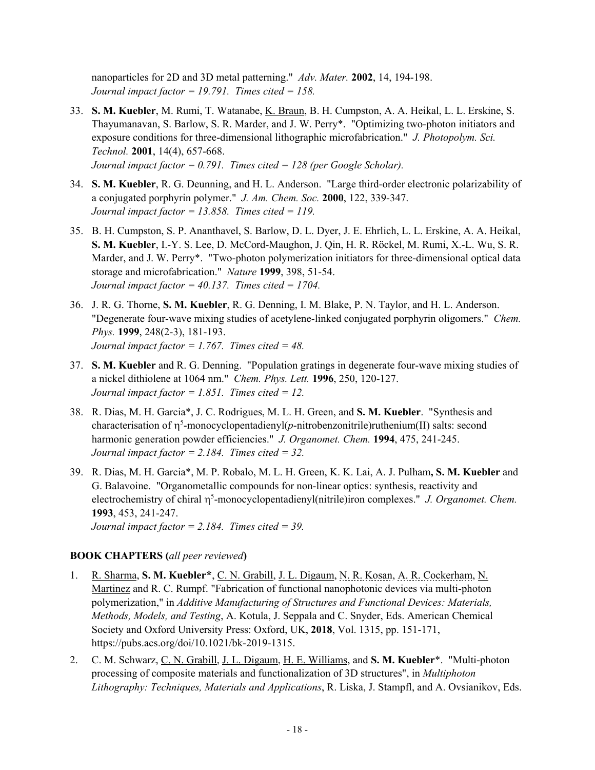nanoparticles for 2D and 3D metal patterning." *Adv. Mater.* **2002**, 14, 194-198. *Journal impact factor = 19.791. Times cited = 158.* 

- 33. **S. M. Kuebler**, M. Rumi, T. Watanabe, K. Braun, B. H. Cumpston, A. A. Heikal, L. L. Erskine, S. Thayumanavan, S. Barlow, S. R. Marder, and J. W. Perry\*. "Optimizing two-photon initiators and exposure conditions for three-dimensional lithographic microfabrication." *J. Photopolym. Sci. Technol.* **2001**, 14(4), 657-668. *Journal impact factor = 0.791. Times cited = 128 (per Google Scholar).*
- 34. **S. M. Kuebler**, R. G. Deunning, and H. L. Anderson. "Large third-order electronic polarizability of a conjugated porphyrin polymer." *J. Am. Chem. Soc.* **2000**, 122, 339-347. *Journal impact factor = 13.858. Times cited = 119.*
- 35. B. H. Cumpston, S. P. Ananthavel, S. Barlow, D. L. Dyer, J. E. Ehrlich, L. L. Erskine, A. A. Heikal, **S. M. Kuebler**, I.-Y. S. Lee, D. McCord-Maughon, J. Qin, H. R. Röckel, M. Rumi, X.-L. Wu, S. R. Marder, and J. W. Perry\*. "Two-photon polymerization initiators for three-dimensional optical data storage and microfabrication." *Nature* **1999**, 398, 51-54. *Journal impact factor = 40.137. Times cited = 1704.*
- 36. J. R. G. Thorne, **S. M. Kuebler**, R. G. Denning, I. M. Blake, P. N. Taylor, and H. L. Anderson. "Degenerate four-wave mixing studies of acetylene-linked conjugated porphyrin oligomers." *Chem. Phys.* **1999**, 248(2-3), 181-193.  *Journal impact factor = 1.767. Times cited = 48.*
- 37. **S. M. Kuebler** and R. G. Denning. "Population gratings in degenerate four-wave mixing studies of a nickel dithiolene at 1064 nm." *Chem. Phys. Lett.* **1996**, 250, 120-127. *Journal impact factor = 1.851. Times cited = 12.*
- 38. R. Dias, M. H. Garcia\*, J. C. Rodrigues, M. L. H. Green, and **S. M. Kuebler**. "Synthesis and characterisation of  $\eta^5$ -monocyclopentadienyl(*p*-nitrobenzonitrile)ruthenium(II) salts: second harmonic generation powder efficiencies." *J. Organomet. Chem.* **1994**, 475, 241-245. *Journal impact factor = 2.184. Times cited = 32.*
- 39. R. Dias, M. H. Garcia\*, M. P. Robalo, M. L. H. Green, K. K. Lai, A. J. Pulham**, S. M. Kuebler** and G. Balavoine. "Organometallic compounds for non-linear optics: synthesis, reactivity and electrochemistry of chiral  $\eta^5$ -monocyclopentadienyl(nitrile)iron complexes." *J. Organomet. Chem.* **1993**, 453, 241-247. *Journal impact factor = 2.184. Times cited = 39.*

### **BOOK CHAPTERS (***all peer reviewed***)**

- 1. R. Sharma, **S. M. Kuebler\***, C. N. Grabill, J. L. Digaum, N. R. Kosan, A. R. Cockerham, N. Martinez and R. C. Rumpf. "Fabrication of functional nanophotonic devices via multi-photon polymerization," in *Additive Manufacturing of Structures and Functional Devices: Materials, Methods, Models, and Testing*, A. Kotula, J. Seppala and C. Snyder, Eds. American Chemical Society and Oxford University Press: Oxford, UK, **2018**, Vol. 1315, pp. 151-171, https://pubs.acs.org/doi/10.1021/bk-2019-1315.
- 2. C. M. Schwarz, C. N. Grabill, J. L. Digaum, H. E. Williams, and **S. M. Kuebler**\*. "Multi-photon processing of composite materials and functionalization of 3D structures", in *Multiphoton Lithography: Techniques, Materials and Applications*, R. Liska, J. Stampfl, and A. Ovsianikov, Eds.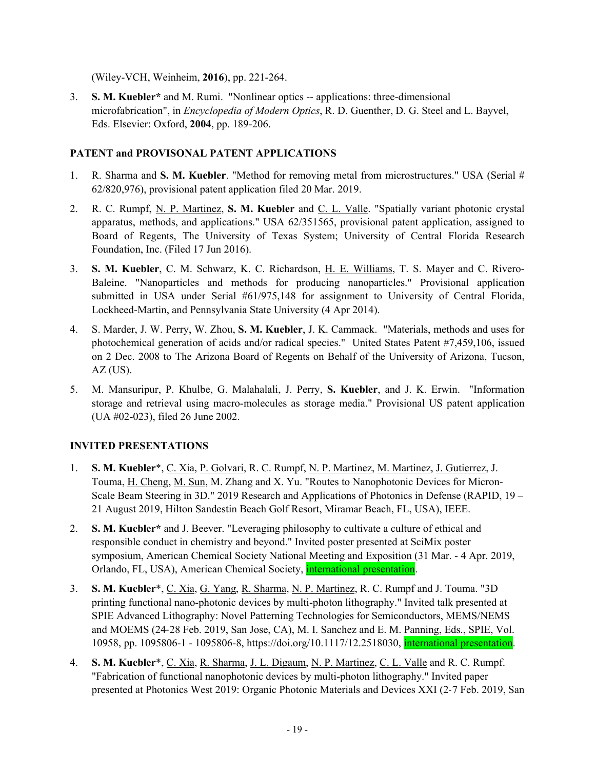(Wiley-VCH, Weinheim, **2016**), pp. 221-264.

3. **S. M. Kuebler\*** and M. Rumi. "Nonlinear optics -- applications: three-dimensional microfabrication", in *Encyclopedia of Modern Optics*, R. D. Guenther, D. G. Steel and L. Bayvel, Eds. Elsevier: Oxford, **2004**, pp. 189-206.

# **PATENT and PROVISONAL PATENT APPLICATIONS**

- 1. R. Sharma and **S. M. Kuebler**. "Method for removing metal from microstructures." USA (Serial # 62/820,976), provisional patent application filed 20 Mar. 2019.
- 2. R. C. Rumpf, N. P. Martinez, **S. M. Kuebler** and C. L. Valle. "Spatially variant photonic crystal apparatus, methods, and applications." USA 62/351565, provisional patent application, assigned to Board of Regents, The University of Texas System; University of Central Florida Research Foundation, Inc. (Filed 17 Jun 2016).
- 3. **S. M. Kuebler**, C. M. Schwarz, K. C. Richardson, H. E. Williams, T. S. Mayer and C. Rivero-Baleine. "Nanoparticles and methods for producing nanoparticles." Provisional application submitted in USA under Serial #61/975,148 for assignment to University of Central Florida, Lockheed-Martin, and Pennsylvania State University (4 Apr 2014).
- 4. S. Marder, J. W. Perry, W. Zhou, **S. M. Kuebler**, J. K. Cammack. "Materials, methods and uses for photochemical generation of acids and/or radical species." United States Patent #7,459,106, issued on 2 Dec. 2008 to The Arizona Board of Regents on Behalf of the University of Arizona, Tucson,  $AZ$  (US).
- 5. M. Mansuripur, P. Khulbe, G. Malahalali, J. Perry, **S. Kuebler**, and J. K. Erwin. "Information storage and retrieval using macro-molecules as storage media." Provisional US patent application (UA #02-023), filed 26 June 2002.

# **INVITED PRESENTATIONS**

- 1. **S. M. Kuebler**\*, C. Xia, P. Golvari, R. C. Rumpf, N. P. Martinez, M. Martinez, J. Gutierrez, J. Touma, H. Cheng, M. Sun, M. Zhang and X. Yu. "Routes to Nanophotonic Devices for Micron-Scale Beam Steering in 3D." 2019 Research and Applications of Photonics in Defense (RAPID, 19 – 21 August 2019, Hilton Sandestin Beach Golf Resort, Miramar Beach, FL, USA), IEEE.
- 2. **S. M. Kuebler\*** and J. Beever. "Leveraging philosophy to cultivate a culture of ethical and responsible conduct in chemistry and beyond." Invited poster presented at SciMix poster symposium, American Chemical Society National Meeting and Exposition (31 Mar. - 4 Apr. 2019, Orlando, FL, USA), American Chemical Society, international presentation.
- 3. **S. M. Kuebler**\*, C. Xia, G. Yang, R. Sharma, N. P. Martinez, R. C. Rumpf and J. Touma. "3D printing functional nano-photonic devices by multi-photon lithography." Invited talk presented at SPIE Advanced Lithography: Novel Patterning Technologies for Semiconductors, MEMS/NEMS and MOEMS (24‐28 Feb. 2019, San Jose, CA), M. I. Sanchez and E. M. Panning, Eds., SPIE, Vol. 10958, pp. 1095806-1 - 1095806-8, https://doi.org/10.1117/12.2518030, international presentation.
- 4. **S. M. Kuebler**\*, C. Xia, R. Sharma, J. L. Digaum, N. P. Martinez, C. L. Valle and R. C. Rumpf. "Fabrication of functional nanophotonic devices by multi-photon lithography." Invited paper presented at Photonics West 2019: Organic Photonic Materials and Devices XXI (2‐7 Feb. 2019, San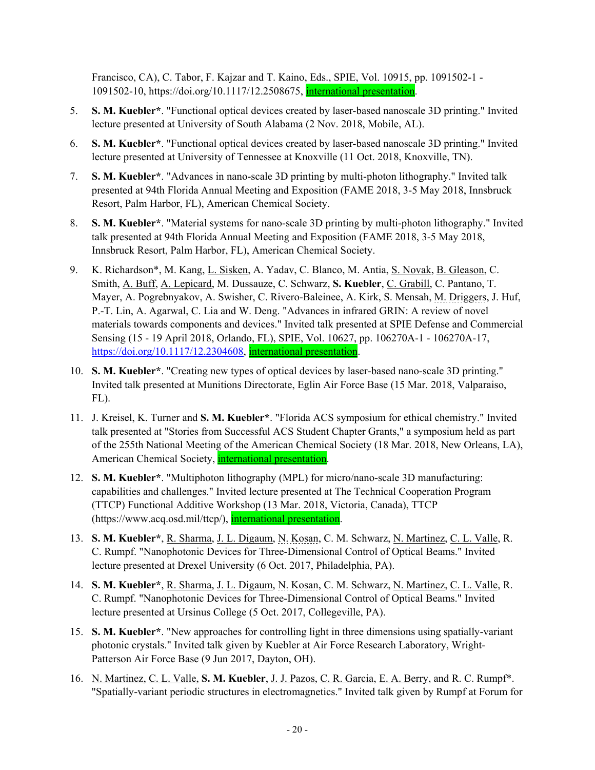Francisco, CA), C. Tabor, F. Kajzar and T. Kaino, Eds., SPIE, Vol. 10915, pp. 1091502-1 - 1091502-10, https://doi.org/10.1117/12.2508675, international presentation.

- 5. **S. M. Kuebler\***. "Functional optical devices created by laser-based nanoscale 3D printing." Invited lecture presented at University of South Alabama (2 Nov. 2018, Mobile, AL).
- 6. **S. M. Kuebler\***. "Functional optical devices created by laser-based nanoscale 3D printing." Invited lecture presented at University of Tennessee at Knoxville (11 Oct. 2018, Knoxville, TN).
- 7. **S. M. Kuebler\***. "Advances in nano-scale 3D printing by multi-photon lithography." Invited talk presented at 94th Florida Annual Meeting and Exposition (FAME 2018, 3-5 May 2018, Innsbruck Resort, Palm Harbor, FL), American Chemical Society.
- 8. **S. M. Kuebler\***. "Material systems for nano-scale 3D printing by multi-photon lithography." Invited talk presented at 94th Florida Annual Meeting and Exposition (FAME 2018, 3-5 May 2018, Innsbruck Resort, Palm Harbor, FL), American Chemical Society.
- 9. K. Richardson\*, M. Kang, L. Sisken, A. Yadav, C. Blanco, M. Antia, S. Novak, B. Gleason, C. Smith, A. Buff, A. Lepicard, M. Dussauze, C. Schwarz, **S. Kuebler**, C. Grabill, C. Pantano, T. Mayer, A. Pogrebnyakov, A. Swisher, C. Rivero-Baleinee, A. Kirk, S. Mensah, M. Driggers, J. Huf, P.-T. Lin, A. Agarwal, C. Lia and W. Deng. "Advances in infrared GRIN: A review of novel materials towards components and devices." Invited talk presented at SPIE Defense and Commercial Sensing (15 - 19 April 2018, Orlando, FL), SPIE, Vol. 10627, pp. 106270A-1 - 106270A-17, https://doi.org/10.1117/12.2304608, international presentation.
- 10. **S. M. Kuebler\***. "Creating new types of optical devices by laser-based nano-scale 3D printing." Invited talk presented at Munitions Directorate, Eglin Air Force Base (15 Mar. 2018, Valparaiso, FL).
- 11. J. Kreisel, K. Turner and **S. M. Kuebler\***. "Florida ACS symposium for ethical chemistry." Invited talk presented at "Stories from Successful ACS Student Chapter Grants," a symposium held as part of the 255th National Meeting of the American Chemical Society (18 Mar. 2018, New Orleans, LA), American Chemical Society, international presentation.
- 12. **S. M. Kuebler\***. "Multiphoton lithography (MPL) for micro/nano-scale 3D manufacturing: capabilities and challenges." Invited lecture presented at The Technical Cooperation Program (TTCP) Functional Additive Workshop (13 Mar. 2018, Victoria, Canada), TTCP (https://www.acq.osd.mil/ttcp/), international presentation.
- 13. **S. M. Kuebler\***, R. Sharma, J. L. Digaum, N. Kosan, C. M. Schwarz, N. Martinez, C. L. Valle, R. C. Rumpf. "Nanophotonic Devices for Three-Dimensional Control of Optical Beams." Invited lecture presented at Drexel University (6 Oct. 2017, Philadelphia, PA).
- 14. **S. M. Kuebler\***, R. Sharma, J. L. Digaum, N. Kosan, C. M. Schwarz, N. Martinez, C. L. Valle, R. C. Rumpf. "Nanophotonic Devices for Three-Dimensional Control of Optical Beams." Invited lecture presented at Ursinus College (5 Oct. 2017, Collegeville, PA).
- 15. **S. M. Kuebler\***. "New approaches for controlling light in three dimensions using spatially-variant photonic crystals." Invited talk given by Kuebler at Air Force Research Laboratory, Wright-Patterson Air Force Base (9 Jun 2017, Dayton, OH).
- 16. N. Martinez, C. L. Valle, **S. M. Kuebler**, J. J. Pazos, C. R. Garcia, E. A. Berry, and R. C. Rumpf\*. "Spatially-variant periodic structures in electromagnetics." Invited talk given by Rumpf at Forum for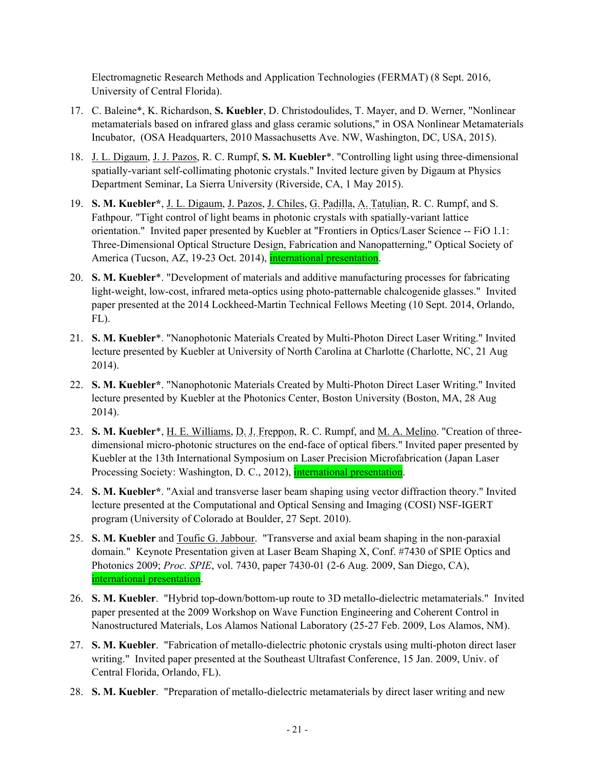Electromagnetic Research Methods and Application Technologies (FERMAT) (8 Sept. 2016, University of Central Florida).

- 17. C. Baleine\*, K. Richardson, **S. Kuebler**, D. Christodoulides, T. Mayer, and D. Werner, "Nonlinear metamaterials based on infrared glass and glass ceramic solutions," in OSA Nonlinear Metamaterials Incubator, (OSA Headquarters, 2010 Massachusetts Ave. NW, Washington, DC, USA, 2015).
- 18. J. L. Digaum, J. J. Pazos, R. C. Rumpf, **S. M. Kuebler**\*. "Controlling light using three-dimensional spatially-variant self-collimating photonic crystals." Invited lecture given by Digaum at Physics Department Seminar, La Sierra University (Riverside, CA, 1 May 2015).
- 19. **S. M. Kuebler\***, J. L. Digaum, J. Pazos, J. Chiles, G. Padilla, A. Tatulian, R. C. Rumpf, and S. Fathpour. "Tight control of light beams in photonic crystals with spatially-variant lattice orientation." Invited paper presented by Kuebler at "Frontiers in Optics/Laser Science -- FiO 1.1: Three-Dimensional Optical Structure Design, Fabrication and Nanopatterning," Optical Society of America (Tucson, AZ, 19-23 Oct. 2014), international presentation.
- 20. **S. M. Kuebler**\*. "Development of materials and additive manufacturing processes for fabricating light-weight, low-cost, infrared meta-optics using photo-patternable chalcogenide glasses." Invited paper presented at the 2014 Lockheed-Martin Technical Fellows Meeting (10 Sept. 2014, Orlando, FL).
- 21. **S. M. Kuebler**\*. "Nanophotonic Materials Created by Multi-Photon Direct Laser Writing." Invited lecture presented by Kuebler at University of North Carolina at Charlotte (Charlotte, NC, 21 Aug 2014).
- 22. **S. M. Kuebler\***. "Nanophotonic Materials Created by Multi-Photon Direct Laser Writing." Invited lecture presented by Kuebler at the Photonics Center, Boston University (Boston, MA, 28 Aug 2014).
- 23. **S. M. Kuebler**\*, H. E. Williams, D. J. Freppon, R. C. Rumpf, and M. A. Melino. "Creation of threedimensional micro-photonic structures on the end-face of optical fibers." Invited paper presented by Kuebler at the 13th International Symposium on Laser Precision Microfabrication (Japan Laser Processing Society: Washington, D. C., 2012), international presentation.
- 24. **S. M. Kuebler\***. "Axial and transverse laser beam shaping using vector diffraction theory." Invited lecture presented at the Computational and Optical Sensing and Imaging (COSI) NSF-IGERT program (University of Colorado at Boulder, 27 Sept. 2010).
- 25. **S. M. Kuebler** and Toufic G. Jabbour. "Transverse and axial beam shaping in the non-paraxial domain." Keynote Presentation given at Laser Beam Shaping X, Conf. #7430 of SPIE Optics and Photonics 2009; *Proc. SPIE*, vol. 7430, paper 7430-01 (2-6 Aug. 2009, San Diego, CA), international presentation.
- 26. **S. M. Kuebler**. "Hybrid top-down/bottom-up route to 3D metallo-dielectric metamaterials." Invited paper presented at the 2009 Workshop on Wave Function Engineering and Coherent Control in Nanostructured Materials, Los Alamos National Laboratory (25-27 Feb. 2009, Los Alamos, NM).
- 27. **S. M. Kuebler**. "Fabrication of metallo-dielectric photonic crystals using multi-photon direct laser writing." Invited paper presented at the Southeast Ultrafast Conference, 15 Jan. 2009, Univ. of Central Florida, Orlando, FL).
- 28. **S. M. Kuebler**. "Preparation of metallo-dielectric metamaterials by direct laser writing and new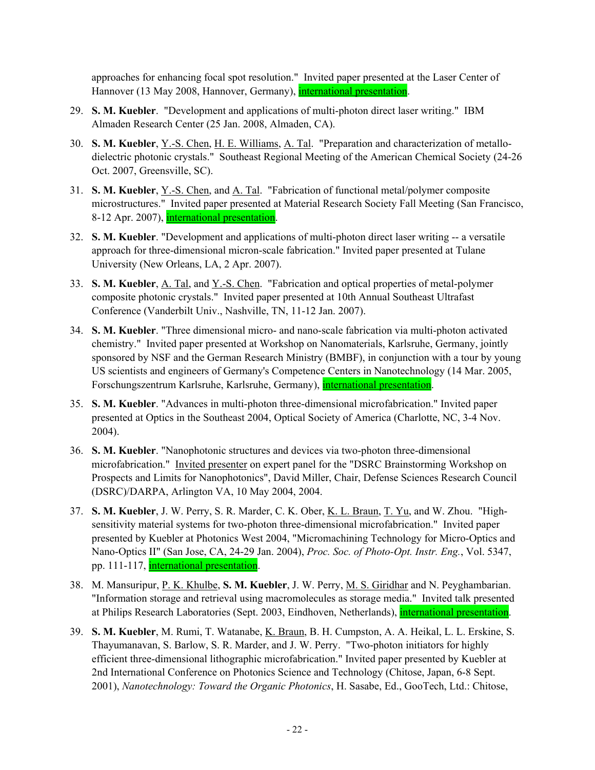approaches for enhancing focal spot resolution." Invited paper presented at the Laser Center of Hannover (13 May 2008, Hannover, Germany), *international presentation*.

- 29. **S. M. Kuebler**. "Development and applications of multi-photon direct laser writing." IBM Almaden Research Center (25 Jan. 2008, Almaden, CA).
- 30. **S. M. Kuebler**, Y.-S. Chen, H. E. Williams, A. Tal. "Preparation and characterization of metallodielectric photonic crystals." Southeast Regional Meeting of the American Chemical Society (24-26 Oct. 2007, Greensville, SC).
- 31. **S. M. Kuebler**, Y.-S. Chen, and A. Tal. "Fabrication of functional metal/polymer composite microstructures." Invited paper presented at Material Research Society Fall Meeting (San Francisco, 8-12 Apr. 2007), international presentation.
- 32. **S. M. Kuebler**. "Development and applications of multi-photon direct laser writing -- a versatile approach for three-dimensional micron-scale fabrication." Invited paper presented at Tulane University (New Orleans, LA, 2 Apr. 2007).
- 33. **S. M. Kuebler**, A. Tal, and Y.-S. Chen. "Fabrication and optical properties of metal-polymer composite photonic crystals." Invited paper presented at 10th Annual Southeast Ultrafast Conference (Vanderbilt Univ., Nashville, TN, 11-12 Jan. 2007).
- 34. **S. M. Kuebler**. "Three dimensional micro- and nano-scale fabrication via multi-photon activated chemistry." Invited paper presented at Workshop on Nanomaterials, Karlsruhe, Germany, jointly sponsored by NSF and the German Research Ministry (BMBF), in conjunction with a tour by young US scientists and engineers of Germany's Competence Centers in Nanotechnology (14 Mar. 2005, Forschungszentrum Karlsruhe, Karlsruhe, Germany), international presentation.
- 35. **S. M. Kuebler**. "Advances in multi-photon three-dimensional microfabrication." Invited paper presented at Optics in the Southeast 2004, Optical Society of America (Charlotte, NC, 3-4 Nov. 2004).
- 36. **S. M. Kuebler**. "Nanophotonic structures and devices via two-photon three-dimensional microfabrication." Invited presenter on expert panel for the "DSRC Brainstorming Workshop on Prospects and Limits for Nanophotonics", David Miller, Chair, Defense Sciences Research Council (DSRC)/DARPA, Arlington VA, 10 May 2004, 2004.
- 37. **S. M. Kuebler**, J. W. Perry, S. R. Marder, C. K. Ober, K. L. Braun, T. Yu, and W. Zhou. "Highsensitivity material systems for two-photon three-dimensional microfabrication." Invited paper presented by Kuebler at Photonics West 2004, "Micromachining Technology for Micro-Optics and Nano-Optics II" (San Jose, CA, 24-29 Jan. 2004), *Proc. Soc. of Photo-Opt. Instr. Eng.*, Vol. 5347, pp. 111-117, international presentation.
- 38. M. Mansuripur, P. K. Khulbe, **S. M. Kuebler**, J. W. Perry, M. S. Giridhar and N. Peyghambarian. "Information storage and retrieval using macromolecules as storage media." Invited talk presented at Philips Research Laboratories (Sept. 2003, Eindhoven, Netherlands), international presentation.
- 39. **S. M. Kuebler**, M. Rumi, T. Watanabe, K. Braun, B. H. Cumpston, A. A. Heikal, L. L. Erskine, S. Thayumanavan, S. Barlow, S. R. Marder, and J. W. Perry. "Two-photon initiators for highly efficient three-dimensional lithographic microfabrication." Invited paper presented by Kuebler at 2nd International Conference on Photonics Science and Technology (Chitose, Japan, 6-8 Sept. 2001), *Nanotechnology: Toward the Organic Photonics*, H. Sasabe, Ed., GooTech, Ltd.: Chitose,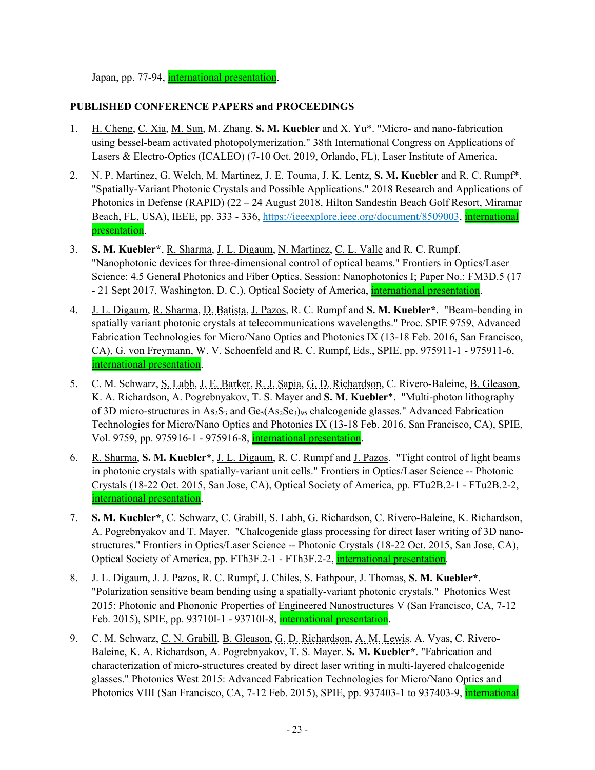Japan, pp. 77-94, international presentation.

### **PUBLISHED CONFERENCE PAPERS and PROCEEDINGS**

- 1. H. Cheng, C. Xia, M. Sun, M. Zhang, **S. M. Kuebler** and X. Yu\*. "Micro- and nano-fabrication using bessel-beam activated photopolymerization." 38th International Congress on Applications of Lasers & Electro-Optics (ICALEO) (7-10 Oct. 2019, Orlando, FL), Laser Institute of America.
- 2. N. P. Martinez, G. Welch, M. Martinez, J. E. Touma, J. K. Lentz, **S. M. Kuebler** and R. C. Rumpf\*. "Spatially-Variant Photonic Crystals and Possible Applications." 2018 Research and Applications of Photonics in Defense (RAPID) (22 – 24 August 2018, Hilton Sandestin Beach Golf Resort, Miramar Beach, FL, USA), IEEE, pp. 333 - 336, https://ieeexplore.ieee.org/document/8509003, international presentation.
- 3. **S. M. Kuebler\***, R. Sharma, J. L. Digaum, N. Martinez, C. L. Valle and R. C. Rumpf. "Nanophotonic devices for three-dimensional control of optical beams." Frontiers in Optics/Laser Science: 4.5 General Photonics and Fiber Optics, Session: Nanophotonics I; Paper No.: FM3D.5 (17 - 21 Sept 2017, Washington, D. C.), Optical Society of America, international presentation.
- 4. J. L. Digaum, R. Sharma, D. Batista, J. Pazos, R. C. Rumpf and **S. M. Kuebler\***. "Beam-bending in spatially variant photonic crystals at telecommunications wavelengths." Proc. SPIE 9759, Advanced Fabrication Technologies for Micro/Nano Optics and Photonics IX (13-18 Feb. 2016, San Francisco, CA), G. von Freymann, W. V. Schoenfeld and R. C. Rumpf, Eds., SPIE, pp. 975911-1 - 975911-6, international presentation.
- 5. C. M. Schwarz, S. Labh, J. E. Barker, R. J. Sapia, G. D. Richardson, C. Rivero-Baleine, B. Gleason, K. A. Richardson, A. Pogrebnyakov, T. S. Mayer and **S. M. Kuebler**\*. "Multi-photon lithography of 3D micro-structures in  $As_2S_3$  and  $Ge_5(As_2Se_3)_{95}$  chalcogenide glasses." Advanced Fabrication Technologies for Micro/Nano Optics and Photonics IX (13-18 Feb. 2016, San Francisco, CA), SPIE, Vol. 9759, pp. 975916-1 - 975916-8, international presentation.
- 6. R. Sharma, **S. M. Kuebler\***, J. L. Digaum, R. C. Rumpf and J. Pazos. "Tight control of light beams in photonic crystals with spatially-variant unit cells." Frontiers in Optics/Laser Science -- Photonic Crystals (18-22 Oct. 2015, San Jose, CA), Optical Society of America, pp. FTu2B.2-1 - FTu2B.2-2, international presentation.
- 7. **S. M. Kuebler\***, C. Schwarz, C. Grabill, S. Labh, G. Richardson, C. Rivero-Baleine, K. Richardson, A. Pogrebnyakov and T. Mayer. "Chalcogenide glass processing for direct laser writing of 3D nanostructures." Frontiers in Optics/Laser Science -- Photonic Crystals (18-22 Oct. 2015, San Jose, CA), Optical Society of America, pp. FTh3F.2-1 - FTh3F.2-2, international presentation.
- 8. J. L. Digaum, J. J. Pazos, R. C. Rumpf, J. Chiles, S. Fathpour, J. Thomas, **S. M. Kuebler\***. "Polarization sensitive beam bending using a spatially-variant photonic crystals." Photonics West 2015: Photonic and Phononic Properties of Engineered Nanostructures V (San Francisco, CA, 7-12 Feb. 2015), SPIE, pp. 93710I-1 - 93710I-8, international presentation.
- 9. C. M. Schwarz, C. N. Grabill, B. Gleason, G. D. Richardson, A. M. Lewis, A. Vyas, C. Rivero-Baleine, K. A. Richardson, A. Pogrebnyakov, T. S. Mayer. **S. M. Kuebler\***. "Fabrication and characterization of micro-structures created by direct laser writing in multi-layered chalcogenide glasses." Photonics West 2015: Advanced Fabrication Technologies for Micro/Nano Optics and Photonics VIII (San Francisco, CA, 7-12 Feb. 2015), SPIE, pp. 937403-1 to 937403-9, international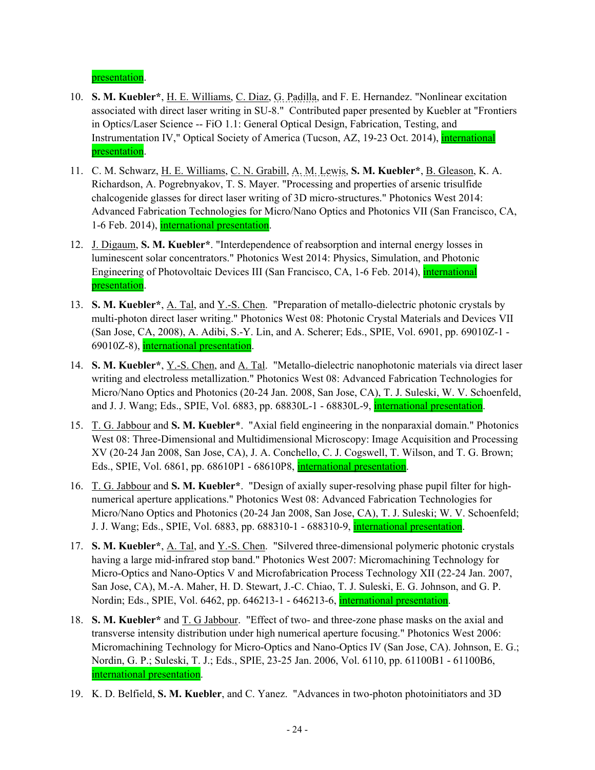presentation.

- 10. **S. M. Kuebler\***, H. E. Williams, C. Diaz, G. Padilla, and F. E. Hernandez. "Nonlinear excitation associated with direct laser writing in SU-8." Contributed paper presented by Kuebler at "Frontiers in Optics/Laser Science -- FiO 1.1: General Optical Design, Fabrication, Testing, and Instrumentation IV," Optical Society of America (Tucson, AZ, 19-23 Oct. 2014), international presentation.
- 11. C. M. Schwarz, H. E. Williams, C. N. Grabill, A. M. Lewis, **S. M. Kuebler\***, B. Gleason, K. A. Richardson, A. Pogrebnyakov, T. S. Mayer. "Processing and properties of arsenic trisulfide chalcogenide glasses for direct laser writing of 3D micro-structures." Photonics West 2014: Advanced Fabrication Technologies for Micro/Nano Optics and Photonics VII (San Francisco, CA, 1-6 Feb. 2014), international presentation.
- 12. J. Digaum, **S. M. Kuebler\***. "Interdependence of reabsorption and internal energy losses in luminescent solar concentrators." Photonics West 2014: Physics, Simulation, and Photonic Engineering of Photovoltaic Devices III (San Francisco, CA, 1-6 Feb. 2014), international presentation.
- 13. **S. M. Kuebler\***, A. Tal, and Y.-S. Chen. "Preparation of metallo-dielectric photonic crystals by multi-photon direct laser writing." Photonics West 08: Photonic Crystal Materials and Devices VII (San Jose, CA, 2008), A. Adibi, S.-Y. Lin, and A. Scherer; Eds., SPIE, Vol. 6901, pp. 69010Z-1 - 69010Z-8), international presentation.
- 14. **S. M. Kuebler\***, Y.-S. Chen, and A. Tal. "Metallo-dielectric nanophotonic materials via direct laser writing and electroless metallization." Photonics West 08: Advanced Fabrication Technologies for Micro/Nano Optics and Photonics (20-24 Jan. 2008, San Jose, CA), T. J. Suleski, W. V. Schoenfeld, and J. J. Wang; Eds., SPIE, Vol. 6883, pp. 68830L-1 - 68830L-9, *international presentation*.
- 15. T. G. Jabbour and **S. M. Kuebler\***. "Axial field engineering in the nonparaxial domain." Photonics West 08: Three-Dimensional and Multidimensional Microscopy: Image Acquisition and Processing XV (20-24 Jan 2008, San Jose, CA), J. A. Conchello, C. J. Cogswell, T. Wilson, and T. G. Brown; Eds., SPIE, Vol. 6861, pp. 68610P1 - 68610P8, international presentation.
- 16. T. G. Jabbour and **S. M. Kuebler\***. "Design of axially super-resolving phase pupil filter for highnumerical aperture applications." Photonics West 08: Advanced Fabrication Technologies for Micro/Nano Optics and Photonics (20-24 Jan 2008, San Jose, CA), T. J. Suleski; W. V. Schoenfeld; J. J. Wang; Eds., SPIE, Vol. 6883, pp. 688310-1 - 688310-9, international presentation.
- 17. **S. M. Kuebler\***, A. Tal, and Y.-S. Chen. "Silvered three-dimensional polymeric photonic crystals having a large mid-infrared stop band." Photonics West 2007: Micromachining Technology for Micro-Optics and Nano-Optics V and Microfabrication Process Technology XII (22-24 Jan. 2007, San Jose, CA), M.-A. Maher, H. D. Stewart, J.-C. Chiao, T. J. Suleski, E. G. Johnson, and G. P. Nordin; Eds., SPIE, Vol. 6462, pp. 646213-1 - 646213-6, international presentation.
- 18. **S. M. Kuebler\*** and T. G Jabbour. "Effect of two- and three-zone phase masks on the axial and transverse intensity distribution under high numerical aperture focusing." Photonics West 2006: Micromachining Technology for Micro-Optics and Nano-Optics IV (San Jose, CA). Johnson, E. G.; Nordin, G. P.; Suleski, T. J.; Eds., SPIE, 23-25 Jan. 2006, Vol. 6110, pp. 61100B1 - 61100B6, international presentation.
- 19. K. D. Belfield, **S. M. Kuebler**, and C. Yanez. "Advances in two-photon photoinitiators and 3D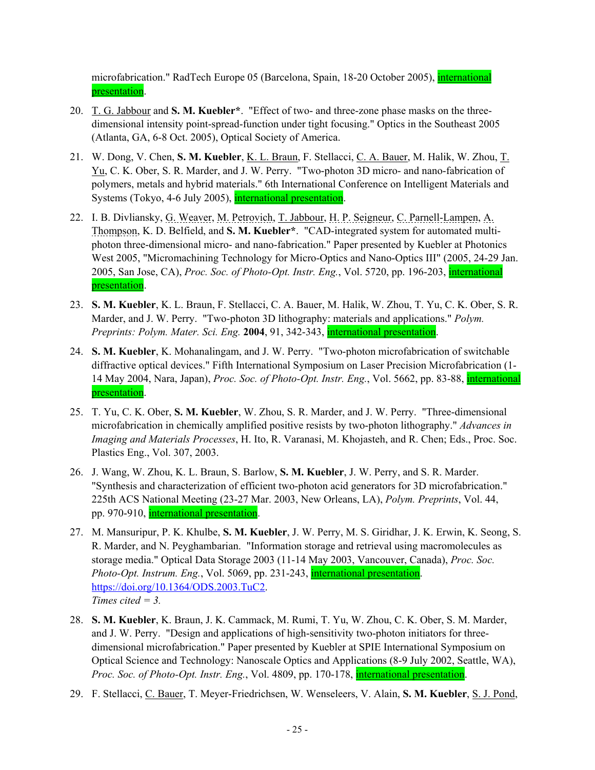microfabrication." RadTech Europe 05 (Barcelona, Spain, 18-20 October 2005), international presentation.

- 20. T. G. Jabbour and **S. M. Kuebler\***. "Effect of two- and three-zone phase masks on the threedimensional intensity point-spread-function under tight focusing." Optics in the Southeast 2005 (Atlanta, GA, 6-8 Oct. 2005), Optical Society of America.
- 21. W. Dong, V. Chen, **S. M. Kuebler**, K. L. Braun, F. Stellacci, C. A. Bauer, M. Halik, W. Zhou, T. Yu, C. K. Ober, S. R. Marder, and J. W. Perry. "Two-photon 3D micro- and nano-fabrication of polymers, metals and hybrid materials." 6th International Conference on Intelligent Materials and Systems (Tokyo, 4-6 July 2005), international presentation.
- 22. I. B. Divliansky, G. Weaver, M. Petrovich, T. Jabbour, H. P. Seigneur, C. Parnell-Lampen, A. Thompson, K. D. Belfield, and **S. M. Kuebler\***. "CAD-integrated system for automated multiphoton three-dimensional micro- and nano-fabrication." Paper presented by Kuebler at Photonics West 2005, "Micromachining Technology for Micro-Optics and Nano-Optics III" (2005, 24-29 Jan. 2005, San Jose, CA), *Proc. Soc. of Photo-Opt. Instr. Eng.*, Vol. 5720, pp. 196-203, international presentation.
- 23. **S. M. Kuebler**, K. L. Braun, F. Stellacci, C. A. Bauer, M. Halik, W. Zhou, T. Yu, C. K. Ober, S. R. Marder, and J. W. Perry. "Two-photon 3D lithography: materials and applications." *Polym. Preprints: Polym. Mater. Sci. Eng.* **2004**, 91, 342-343, international presentation.
- 24. **S. M. Kuebler**, K. Mohanalingam, and J. W. Perry. "Two-photon microfabrication of switchable diffractive optical devices." Fifth International Symposium on Laser Precision Microfabrication (1- 14 May 2004, Nara, Japan), *Proc. Soc. of Photo-Opt. Instr. Eng.*, Vol. 5662, pp. 83-88, international presentation.
- 25. T. Yu, C. K. Ober, **S. M. Kuebler**, W. Zhou, S. R. Marder, and J. W. Perry. "Three-dimensional microfabrication in chemically amplified positive resists by two-photon lithography." *Advances in Imaging and Materials Processes*, H. Ito, R. Varanasi, M. Khojasteh, and R. Chen; Eds., Proc. Soc. Plastics Eng., Vol. 307, 2003.
- 26. J. Wang, W. Zhou, K. L. Braun, S. Barlow, **S. M. Kuebler**, J. W. Perry, and S. R. Marder. "Synthesis and characterization of efficient two-photon acid generators for 3D microfabrication." 225th ACS National Meeting (23-27 Mar. 2003, New Orleans, LA), *Polym. Preprints*, Vol. 44, pp. 970-910, international presentation.
- 27. M. Mansuripur, P. K. Khulbe, **S. M. Kuebler**, J. W. Perry, M. S. Giridhar, J. K. Erwin, K. Seong, S. R. Marder, and N. Peyghambarian. "Information storage and retrieval using macromolecules as storage media." Optical Data Storage 2003 (11-14 May 2003, Vancouver, Canada), *Proc. Soc. Photo-Opt. Instrum. Eng., Vol. 5069, pp. 231-243, international presentation.* https://doi.org/10.1364/ODS.2003.TuC2. *Times cited = 3.*
- 28. **S. M. Kuebler**, K. Braun, J. K. Cammack, M. Rumi, T. Yu, W. Zhou, C. K. Ober, S. M. Marder, and J. W. Perry. "Design and applications of high-sensitivity two-photon initiators for threedimensional microfabrication." Paper presented by Kuebler at SPIE International Symposium on Optical Science and Technology: Nanoscale Optics and Applications (8-9 July 2002, Seattle, WA), *Proc. Soc. of Photo-Opt. Instr. Eng.*, Vol. 4809, pp. 170-178, *international presentation.*
- 29. F. Stellacci, C. Bauer, T. Meyer-Friedrichsen, W. Wenseleers, V. Alain, **S. M. Kuebler**, S. J. Pond,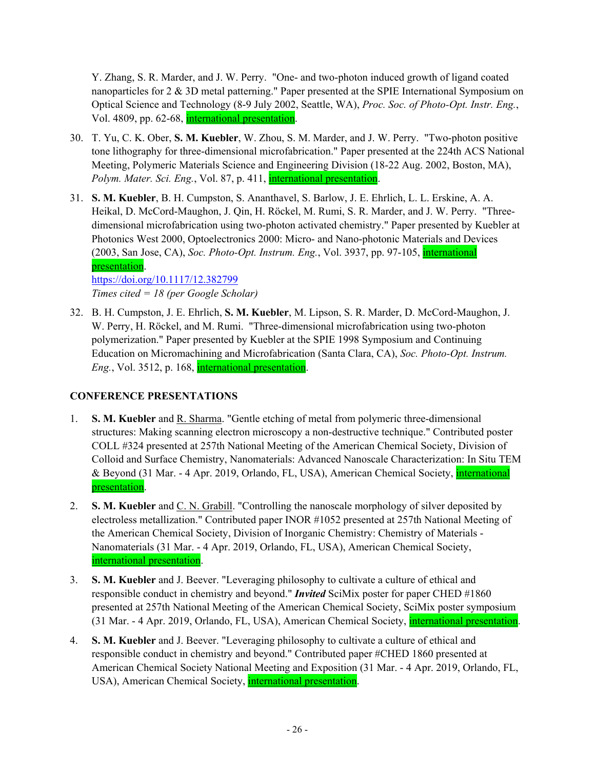Y. Zhang, S. R. Marder, and J. W. Perry. "One- and two-photon induced growth of ligand coated nanoparticles for 2 & 3D metal patterning." Paper presented at the SPIE International Symposium on Optical Science and Technology (8-9 July 2002, Seattle, WA), *Proc. Soc. of Photo-Opt. Instr. Eng.*, Vol. 4809, pp. 62-68, international presentation.

- 30. T. Yu, C. K. Ober, **S. M. Kuebler**, W. Zhou, S. M. Marder, and J. W. Perry. "Two-photon positive tone lithography for three-dimensional microfabrication." Paper presented at the 224th ACS National Meeting, Polymeric Materials Science and Engineering Division (18-22 Aug. 2002, Boston, MA), *Polym. Mater. Sci. Eng.*, Vol. 87, p. 411, *international presentation.*
- 31. **S. M. Kuebler**, B. H. Cumpston, S. Ananthavel, S. Barlow, J. E. Ehrlich, L. L. Erskine, A. A. Heikal, D. McCord-Maughon, J. Qin, H. Röckel, M. Rumi, S. R. Marder, and J. W. Perry. "Threedimensional microfabrication using two-photon activated chemistry." Paper presented by Kuebler at Photonics West 2000, Optoelectronics 2000: Micro- and Nano-photonic Materials and Devices (2003, San Jose, CA), *Soc. Photo-Opt. Instrum. Eng.*, Vol. 3937, pp. 97-105, international presentation. https://doi.org/10.1117/12.382799

*Times cited = 18 (per Google Scholar)*

32. B. H. Cumpston, J. E. Ehrlich, **S. M. Kuebler**, M. Lipson, S. R. Marder, D. McCord-Maughon, J. W. Perry, H. Röckel, and M. Rumi. "Three-dimensional microfabrication using two-photon polymerization." Paper presented by Kuebler at the SPIE 1998 Symposium and Continuing Education on Micromachining and Microfabrication (Santa Clara, CA), *Soc. Photo-Opt. Instrum. Eng.*, Vol. 3512, p. 168, international presentation.

# **CONFERENCE PRESENTATIONS**

- 1. **S. M. Kuebler** and R. Sharma. "Gentle etching of metal from polymeric three-dimensional structures: Making scanning electron microscopy a non-destructive technique." Contributed poster COLL #324 presented at 257th National Meeting of the American Chemical Society, Division of Colloid and Surface Chemistry, Nanomaterials: Advanced Nanoscale Characterization: In Situ TEM & Beyond (31 Mar. - 4 Apr. 2019, Orlando, FL, USA), American Chemical Society, international presentation.
- 2. **S. M. Kuebler** and C. N. Grabill. "Controlling the nanoscale morphology of silver deposited by electroless metallization." Contributed paper INOR #1052 presented at 257th National Meeting of the American Chemical Society, Division of Inorganic Chemistry: Chemistry of Materials - Nanomaterials (31 Mar. - 4 Apr. 2019, Orlando, FL, USA), American Chemical Society, international presentation.
- 3. **S. M. Kuebler** and J. Beever. "Leveraging philosophy to cultivate a culture of ethical and responsible conduct in chemistry and beyond." *Invited* SciMix poster for paper CHED #1860 presented at 257th National Meeting of the American Chemical Society, SciMix poster symposium (31 Mar. - 4 Apr. 2019, Orlando, FL, USA), American Chemical Society, international presentation.
- 4. **S. M. Kuebler** and J. Beever. "Leveraging philosophy to cultivate a culture of ethical and responsible conduct in chemistry and beyond." Contributed paper #CHED 1860 presented at American Chemical Society National Meeting and Exposition (31 Mar. - 4 Apr. 2019, Orlando, FL, USA), American Chemical Society, *international presentation*.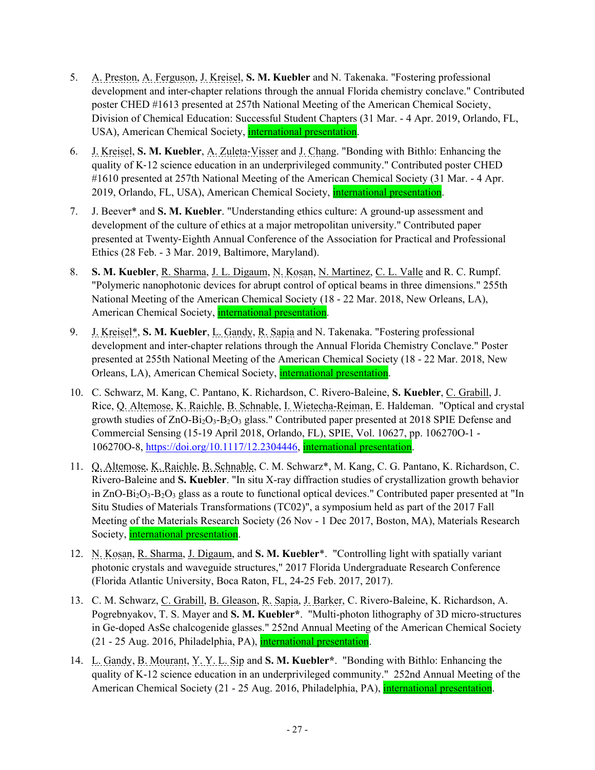- 5. A. Preston, A. Ferguson, J. Kreisel, **S. M. Kuebler** and N. Takenaka. "Fostering professional development and inter-chapter relations through the annual Florida chemistry conclave." Contributed poster CHED #1613 presented at 257th National Meeting of the American Chemical Society, Division of Chemical Education: Successful Student Chapters (31 Mar. - 4 Apr. 2019, Orlando, FL, USA), American Chemical Society, **international presentation**.
- 6. J. Kreisel, **S. M. Kuebler**, A. Zuleta‐Visser and J. Chang. "Bonding with Bithlo: Enhancing the quality of K‐12 science education in an underprivileged community." Contributed poster CHED #1610 presented at 257th National Meeting of the American Chemical Society (31 Mar. - 4 Apr. 2019, Orlando, FL, USA), American Chemical Society, international presentation.
- 7. J. Beever\* and **S. M. Kuebler**. "Understanding ethics culture: A ground‐up assessment and development of the culture of ethics at a major metropolitan university." Contributed paper presented at Twenty‐Eighth Annual Conference of the Association for Practical and Professional Ethics (28 Feb. - 3 Mar. 2019, Baltimore, Maryland).
- 8. **S. M. Kuebler**, R. Sharma, J. L. Digaum, N. Kosan, N. Martinez, C. L. Valle and R. C. Rumpf. "Polymeric nanophotonic devices for abrupt control of optical beams in three dimensions." 255th National Meeting of the American Chemical Society (18 - 22 Mar. 2018, New Orleans, LA), American Chemical Society, international presentation.
- 9. J. Kreisel\*, **S. M. Kuebler**, L. Gandy, R. Sapia and N. Takenaka. "Fostering professional development and inter-chapter relations through the Annual Florida Chemistry Conclave." Poster presented at 255th National Meeting of the American Chemical Society (18 - 22 Mar. 2018, New Orleans, LA), American Chemical Society, international presentation.
- 10. C. Schwarz, M. Kang, C. Pantano, K. Richardson, C. Rivero-Baleine, **S. Kuebler**, C. Grabill, J. Rice, Q. Altemose, K. Raichle, B. Schnable, I. Wietecha-Reiman, E. Haldeman. "Optical and crystal growth studies of ZnO-Bi2O3-B2O3 glass." Contributed paper presented at 2018 SPIE Defense and Commercial Sensing (15-19 April 2018, Orlando, FL), SPIE, Vol. 10627, pp. 106270O-1 - 106270O-8, https://doi.org/10.1117/12.2304446, international presentation.
- 11. Q. Altemose, K. Raichle, B. Schnable, C. M. Schwarz\*, M. Kang, C. G. Pantano, K. Richardson, C. Rivero-Baleine and **S. Kuebler**. "In situ X-ray diffraction studies of crystallization growth behavior in ZnO-Bi<sub>2</sub>O<sub>3</sub>-B<sub>2</sub>O<sub>3</sub> glass as a route to functional optical devices." Contributed paper presented at "In Situ Studies of Materials Transformations (TC02)", a symposium held as part of the 2017 Fall Meeting of the Materials Research Society (26 Nov - 1 Dec 2017, Boston, MA), Materials Research Society, international presentation.
- 12. N. Kosan, R. Sharma, J. Digaum, and **S. M. Kuebler**\*. "Controlling light with spatially variant photonic crystals and waveguide structures," 2017 Florida Undergraduate Research Conference (Florida Atlantic University, Boca Raton, FL, 24-25 Feb. 2017, 2017).
- 13. C. M. Schwarz, C. Grabill, B. Gleason, R. Sapia, J. Barker, C. Rivero-Baleine, K. Richardson, A. Pogrebnyakov, T. S. Mayer and **S. M. Kuebler\***. "Multi-photon lithography of 3D micro-structures in Ge-doped AsSe chalcogenide glasses." 252nd Annual Meeting of the American Chemical Society (21 - 25 Aug. 2016, Philadelphia, PA), international presentation.
- 14. L. Gandy, B. Mourant, Y. Y. L. Sip and **S. M. Kuebler\***. "Bonding with Bithlo: Enhancing the quality of K-12 science education in an underprivileged community." 252nd Annual Meeting of the American Chemical Society (21 - 25 Aug. 2016, Philadelphia, PA), international presentation.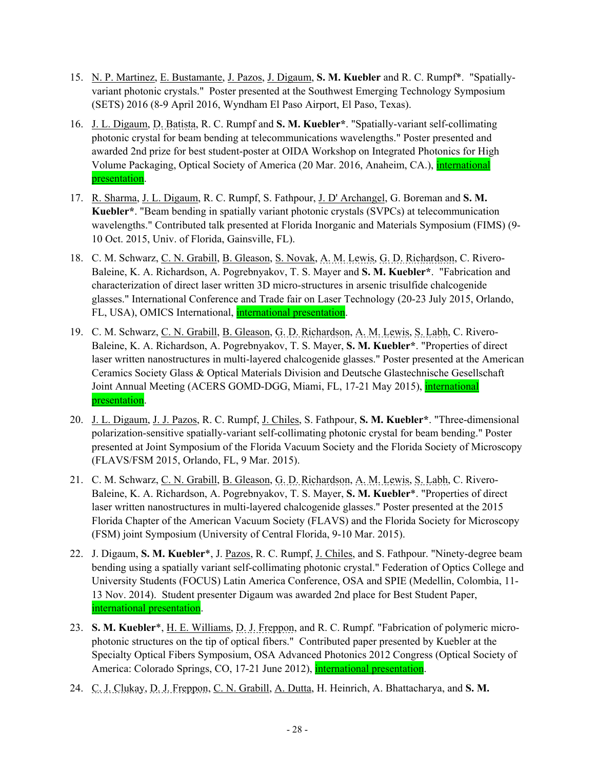- 15. N. P. Martinez, E. Bustamante, J. Pazos, J. Digaum, **S. M. Kuebler** and R. C. Rumpf\*. "Spatiallyvariant photonic crystals." Poster presented at the Southwest Emerging Technology Symposium (SETS) 2016 (8-9 April 2016, Wyndham El Paso Airport, El Paso, Texas).
- 16. J. L. Digaum, D. Batista, R. C. Rumpf and **S. M. Kuebler\***. "Spatially-variant self-collimating photonic crystal for beam bending at telecommunications wavelengths." Poster presented and awarded 2nd prize for best student-poster at OIDA Workshop on Integrated Photonics for High Volume Packaging, Optical Society of America (20 Mar. 2016, Anaheim, CA.), *international* presentation.
- 17. R. Sharma, J. L. Digaum, R. C. Rumpf, S. Fathpour, J. D' Archangel, G. Boreman and **S. M. Kuebler\***. "Beam bending in spatially variant photonic crystals (SVPCs) at telecommunication wavelengths." Contributed talk presented at Florida Inorganic and Materials Symposium (FIMS) (9- 10 Oct. 2015, Univ. of Florida, Gainsville, FL).
- 18. C. M. Schwarz, C. N. Grabill, B. Gleason, S. Novak, A. M. Lewis, G. D. Richardson, C. Rivero-Baleine, K. A. Richardson, A. Pogrebnyakov, T. S. Mayer and **S. M. Kuebler\***. "Fabrication and characterization of direct laser written 3D micro-structures in arsenic trisulfide chalcogenide glasses." International Conference and Trade fair on Laser Technology (20-23 July 2015, Orlando, FL, USA), OMICS International, international presentation.
- 19. C. M. Schwarz, C. N. Grabill, B. Gleason, G. D. Richardson, A. M. Lewis, S. Labh, C. Rivero-Baleine, K. A. Richardson, A. Pogrebnyakov, T. S. Mayer, **S. M. Kuebler\***. "Properties of direct laser written nanostructures in multi-layered chalcogenide glasses." Poster presented at the American Ceramics Society Glass & Optical Materials Division and Deutsche Glastechnische Gesellschaft Joint Annual Meeting (ACERS GOMD-DGG, Miami, FL, 17-21 May 2015), international presentation.
- 20. J. L. Digaum, J. J. Pazos, R. C. Rumpf, J. Chiles, S. Fathpour, **S. M. Kuebler\***. "Three-dimensional polarization-sensitive spatially-variant self-collimating photonic crystal for beam bending." Poster presented at Joint Symposium of the Florida Vacuum Society and the Florida Society of Microscopy (FLAVS/FSM 2015, Orlando, FL, 9 Mar. 2015).
- 21. C. M. Schwarz, C. N. Grabill, B. Gleason, G. D. Richardson, A. M. Lewis, S. Labh, C. Rivero-Baleine, K. A. Richardson, A. Pogrebnyakov, T. S. Mayer, **S. M. Kuebler**\*. "Properties of direct laser written nanostructures in multi-layered chalcogenide glasses." Poster presented at the 2015 Florida Chapter of the American Vacuum Society (FLAVS) and the Florida Society for Microscopy (FSM) joint Symposium (University of Central Florida, 9-10 Mar. 2015).
- 22. J. Digaum, **S. M. Kuebler**\*, J. Pazos, R. C. Rumpf, J. Chiles, and S. Fathpour. "Ninety-degree beam bending using a spatially variant self-collimating photonic crystal." Federation of Optics College and University Students (FOCUS) Latin America Conference, OSA and SPIE (Medellin, Colombia, 11- 13 Nov. 2014). Student presenter Digaum was awarded 2nd place for Best Student Paper, international presentation.
- 23. **S. M. Kuebler**\*, H. E. Williams, D. J. Freppon, and R. C. Rumpf. "Fabrication of polymeric microphotonic structures on the tip of optical fibers." Contributed paper presented by Kuebler at the Specialty Optical Fibers Symposium, OSA Advanced Photonics 2012 Congress (Optical Society of America: Colorado Springs, CO, 17-21 June 2012), *international presentation*.
- 24. C. J. Clukay, D. J. Freppon, C. N. Grabill, A. Dutta, H. Heinrich, A. Bhattacharya, and **S. M.**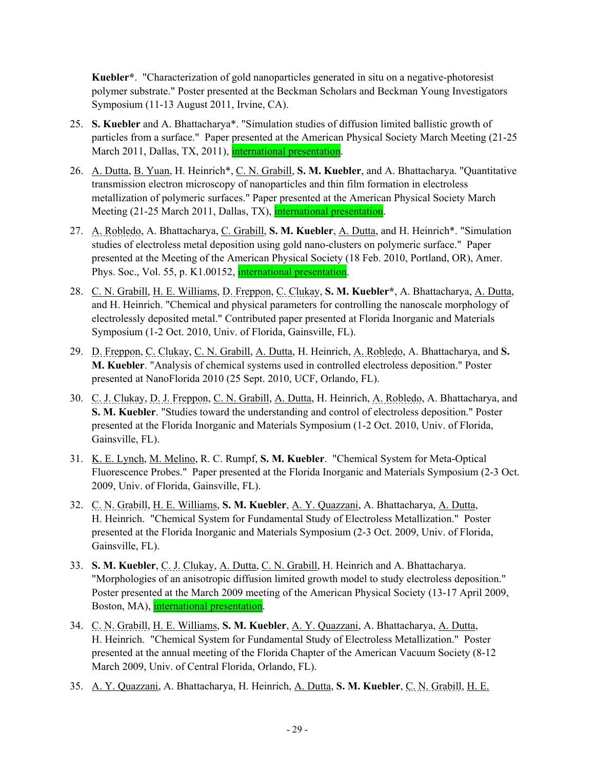**Kuebler\***. "Characterization of gold nanoparticles generated in situ on a negative-photoresist polymer substrate." Poster presented at the Beckman Scholars and Beckman Young Investigators Symposium (11-13 August 2011, Irvine, CA).

- 25. **S. Kuebler** and A. Bhattacharya\*. "Simulation studies of diffusion limited ballistic growth of particles from a surface." Paper presented at the American Physical Society March Meeting (21-25 March 2011, Dallas, TX, 2011), international presentation.
- 26. A. Dutta, B. Yuan, H. Heinrich\*, C. N. Grabill, **S. M. Kuebler**, and A. Bhattacharya. "Quantitative transmission electron microscopy of nanoparticles and thin film formation in electroless metallization of polymeric surfaces." Paper presented at the American Physical Society March Meeting (21-25 March 2011, Dallas, TX), international presentation.
- 27. A. Robledo, A. Bhattacharya, C. Grabill, S. M. Kuebler, A. Dutta, and H. Heinrich\*. "Simulation studies of electroless metal deposition using gold nano-clusters on polymeric surface." Paper presented at the Meeting of the American Physical Society (18 Feb. 2010, Portland, OR), Amer. Phys. Soc., Vol. 55, p. K1.00152, international presentation.
- 28. C. N. Grabill, H. E. Williams, D. Freppon, C. Clukay, **S. M. Kuebler\***, A. Bhattacharya, A. Dutta, and H. Heinrich. "Chemical and physical parameters for controlling the nanoscale morphology of electrolessly deposited metal." Contributed paper presented at Florida Inorganic and Materials Symposium (1-2 Oct. 2010, Univ. of Florida, Gainsville, FL).
- 29. D. Freppon, C. Clukay, C. N. Grabill, A. Dutta, H. Heinrich, A. Robledo, A. Bhattacharya, and **S. M. Kuebler**. "Analysis of chemical systems used in controlled electroless deposition." Poster presented at NanoFlorida 2010 (25 Sept. 2010, UCF, Orlando, FL).
- 30. C. J. Clukay, D. J. Freppon, C. N. Grabill, A. Dutta, H. Heinrich, A. Robledo, A. Bhattacharya, and **S. M. Kuebler**. "Studies toward the understanding and control of electroless deposition." Poster presented at the Florida Inorganic and Materials Symposium (1-2 Oct. 2010, Univ. of Florida, Gainsville, FL).
- 31. K. E. Lynch, M. Melino, R. C. Rumpf, **S. M. Kuebler**. "Chemical System for Meta-Optical Fluorescence Probes." Paper presented at the Florida Inorganic and Materials Symposium (2-3 Oct. 2009, Univ. of Florida, Gainsville, FL).
- 32. C. N. Grabill, H. E. Williams, **S. M. Kuebler**, A. Y. Quazzani, A. Bhattacharya, A. Dutta, H. Heinrich. "Chemical System for Fundamental Study of Electroless Metallization." Poster presented at the Florida Inorganic and Materials Symposium (2-3 Oct. 2009, Univ. of Florida, Gainsville, FL).
- 33. **S. M. Kuebler**, C. J. Clukay, A. Dutta, C. N. Grabill, H. Heinrich and A. Bhattacharya. "Morphologies of an anisotropic diffusion limited growth model to study electroless deposition." Poster presented at the March 2009 meeting of the American Physical Society (13-17 April 2009, Boston, MA), international presentation.
- 34. C. N. Grabill, H. E. Williams, **S. M. Kuebler**, A. Y. Quazzani, A. Bhattacharya, A. Dutta, H. Heinrich. "Chemical System for Fundamental Study of Electroless Metallization." Poster presented at the annual meeting of the Florida Chapter of the American Vacuum Society (8-12 March 2009, Univ. of Central Florida, Orlando, FL).
- 35. A. Y. Quazzani, A. Bhattacharya, H. Heinrich, A. Dutta, **S. M. Kuebler**, C. N. Grabill, H. E.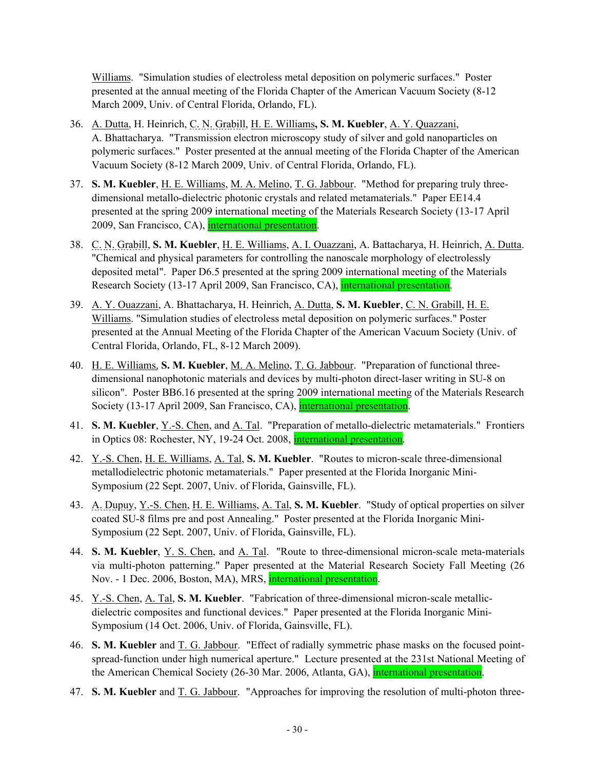Williams. "Simulation studies of electroless metal deposition on polymeric surfaces." Poster presented at the annual meeting of the Florida Chapter of the American Vacuum Society (8-12 March 2009, Univ. of Central Florida, Orlando, FL).

- 36. A. Dutta, H. Heinrich, C. N. Grabill, H. E. Williams**, S. M. Kuebler**, A. Y. Quazzani, A. Bhattacharya. "Transmission electron microscopy study of silver and gold nanoparticles on polymeric surfaces." Poster presented at the annual meeting of the Florida Chapter of the American Vacuum Society (8-12 March 2009, Univ. of Central Florida, Orlando, FL).
- 37. **S. M. Kuebler**, H. E. Williams, M. A. Melino, T. G. Jabbour. "Method for preparing truly threedimensional metallo-dielectric photonic crystals and related metamaterials." Paper EE14.4 presented at the spring 2009 international meeting of the Materials Research Society (13-17 April 2009, San Francisco, CA), international presentation.
- 38. C. N. Grabill, **S. M. Kuebler**, H. E. Williams, A. I. Ouazzani, A. Battacharya, H. Heinrich, A. Dutta. "Chemical and physical parameters for controlling the nanoscale morphology of electrolessly deposited metal". Paper D6.5 presented at the spring 2009 international meeting of the Materials Research Society (13-17 April 2009, San Francisco, CA), international presentation.
- 39. A. Y. Ouazzani, A. Bhattacharya, H. Heinrich, A. Dutta, **S. M. Kuebler**, C. N. Grabill, H. E. Williams. "Simulation studies of electroless metal deposition on polymeric surfaces." Poster presented at the Annual Meeting of the Florida Chapter of the American Vacuum Society (Univ. of Central Florida, Orlando, FL, 8-12 March 2009).
- 40. H. E. Williams, **S. M. Kuebler**, M. A. Melino, T. G. Jabbour. "Preparation of functional threedimensional nanophotonic materials and devices by multi-photon direct-laser writing in SU-8 on silicon". Poster BB6.16 presented at the spring 2009 international meeting of the Materials Research Society (13-17 April 2009, San Francisco, CA), international presentation.
- 41. **S. M. Kuebler**, <u>Y.-S. Chen,</u> and <u>A. Tal</u>. "Preparation of metallo-dielectric metamaterials." Frontiers in Optics 08: Rochester, NY, 19-24 Oct. 2008, international presentation.
- 42. Y.-S. Chen, H. E. Williams, A. Tal, **S. M. Kuebler**. "Routes to micron-scale three-dimensional metallodielectric photonic metamaterials." Paper presented at the Florida Inorganic Mini-Symposium (22 Sept. 2007, Univ. of Florida, Gainsville, FL).
- 43. A. Dupuy, Y.-S. Chen, H. E. Williams, A. Tal, **S. M. Kuebler**. "Study of optical properties on silver coated SU-8 films pre and post Annealing." Poster presented at the Florida Inorganic Mini-Symposium (22 Sept. 2007, Univ. of Florida, Gainsville, FL).
- 44. **S. M. Kuebler**, Y. S. Chen, and A. Tal. "Route to three-dimensional micron-scale meta-materials via multi-photon patterning." Paper presented at the Material Research Society Fall Meeting (26 Nov. - 1 Dec. 2006, Boston, MA), MRS, international presentation.
- 45. Y.-S. Chen, A. Tal, **S. M. Kuebler**. "Fabrication of three-dimensional micron-scale metallicdielectric composites and functional devices." Paper presented at the Florida Inorganic Mini-Symposium (14 Oct. 2006, Univ. of Florida, Gainsville, FL).
- 46. **S. M. Kuebler** and T. G. Jabbour. "Effect of radially symmetric phase masks on the focused pointspread-function under high numerical aperture." Lecture presented at the 231st National Meeting of the American Chemical Society (26-30 Mar. 2006, Atlanta, GA), international presentation.
- 47. **S. M. Kuebler** and T. G. Jabbour. "Approaches for improving the resolution of multi-photon three-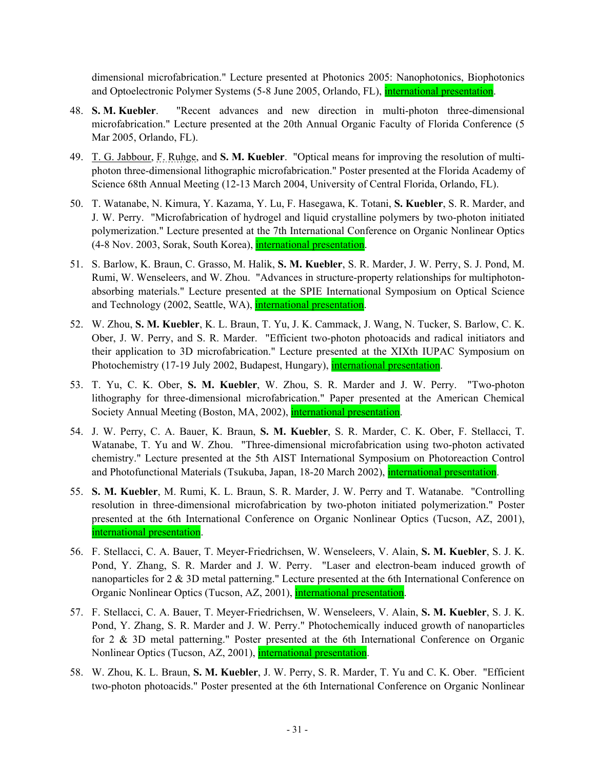dimensional microfabrication." Lecture presented at Photonics 2005: Nanophotonics, Biophotonics and Optoelectronic Polymer Systems (5-8 June 2005, Orlando, FL), international presentation.

- 48. **S. M. Kuebler**. "Recent advances and new direction in multi-photon three-dimensional microfabrication." Lecture presented at the 20th Annual Organic Faculty of Florida Conference (5 Mar 2005, Orlando, FL).
- 49. T. G. Jabbour, F. Ruhge, and **S. M. Kuebler**. "Optical means for improving the resolution of multiphoton three-dimensional lithographic microfabrication." Poster presented at the Florida Academy of Science 68th Annual Meeting (12-13 March 2004, University of Central Florida, Orlando, FL).
- 50. T. Watanabe, N. Kimura, Y. Kazama, Y. Lu, F. Hasegawa, K. Totani, **S. Kuebler**, S. R. Marder, and J. W. Perry. "Microfabrication of hydrogel and liquid crystalline polymers by two-photon initiated polymerization." Lecture presented at the 7th International Conference on Organic Nonlinear Optics (4-8 Nov. 2003, Sorak, South Korea), international presentation.
- 51. S. Barlow, K. Braun, C. Grasso, M. Halik, **S. M. Kuebler**, S. R. Marder, J. W. Perry, S. J. Pond, M. Rumi, W. Wenseleers, and W. Zhou. "Advances in structure-property relationships for multiphotonabsorbing materials." Lecture presented at the SPIE International Symposium on Optical Science and Technology (2002, Seattle, WA), international presentation.
- 52. W. Zhou, **S. M. Kuebler**, K. L. Braun, T. Yu, J. K. Cammack, J. Wang, N. Tucker, S. Barlow, C. K. Ober, J. W. Perry, and S. R. Marder. "Efficient two-photon photoacids and radical initiators and their application to 3D microfabrication." Lecture presented at the XIXth IUPAC Symposium on Photochemistry (17-19 July 2002, Budapest, Hungary), international presentation.
- 53. T. Yu, C. K. Ober, **S. M. Kuebler**, W. Zhou, S. R. Marder and J. W. Perry. "Two-photon lithography for three-dimensional microfabrication." Paper presented at the American Chemical Society Annual Meeting (Boston, MA, 2002), *international presentation*.
- 54. J. W. Perry, C. A. Bauer, K. Braun, **S. M. Kuebler**, S. R. Marder, C. K. Ober, F. Stellacci, T. Watanabe, T. Yu and W. Zhou. "Three-dimensional microfabrication using two-photon activated chemistry." Lecture presented at the 5th AIST International Symposium on Photoreaction Control and Photofunctional Materials (Tsukuba, Japan, 18-20 March 2002), *international presentation*.
- 55. **S. M. Kuebler**, M. Rumi, K. L. Braun, S. R. Marder, J. W. Perry and T. Watanabe. "Controlling resolution in three-dimensional microfabrication by two-photon initiated polymerization." Poster presented at the 6th International Conference on Organic Nonlinear Optics (Tucson, AZ, 2001), international presentation.
- 56. F. Stellacci, C. A. Bauer, T. Meyer-Friedrichsen, W. Wenseleers, V. Alain, **S. M. Kuebler**, S. J. K. Pond, Y. Zhang, S. R. Marder and J. W. Perry. "Laser and electron-beam induced growth of nanoparticles for 2 & 3D metal patterning." Lecture presented at the 6th International Conference on Organic Nonlinear Optics (Tucson, AZ, 2001), international presentation.
- 57. F. Stellacci, C. A. Bauer, T. Meyer-Friedrichsen, W. Wenseleers, V. Alain, **S. M. Kuebler**, S. J. K. Pond, Y. Zhang, S. R. Marder and J. W. Perry." Photochemically induced growth of nanoparticles for 2 & 3D metal patterning." Poster presented at the 6th International Conference on Organic Nonlinear Optics (Tucson, AZ, 2001), international presentation.
- 58. W. Zhou, K. L. Braun, **S. M. Kuebler**, J. W. Perry, S. R. Marder, T. Yu and C. K. Ober. "Efficient two-photon photoacids." Poster presented at the 6th International Conference on Organic Nonlinear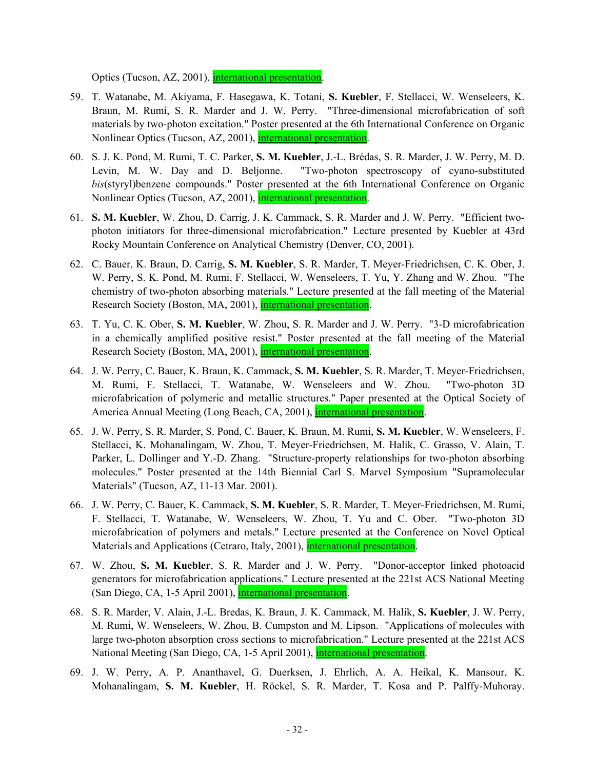Optics (Tucson, AZ, 2001), international presentation.

- 59. T. Watanabe, M. Akiyama, F. Hasegawa, K. Totani, **S. Kuebler**, F. Stellacci, W. Wenseleers, K. Braun, M. Rumi, S. R. Marder and J. W. Perry. "Three-dimensional microfabrication of soft materials by two-photon excitation." Poster presented at the 6th International Conference on Organic Nonlinear Optics (Tucson, AZ, 2001), international presentation.
- 60. S. J. K. Pond, M. Rumi, T. C. Parker, **S. M. Kuebler**, J.-L. Brédas, S. R. Marder, J. W. Perry, M. D. Levin, M. W. Day and D. Beljonne. "Two-photon spectroscopy of cyano-substituted *bis*(styryl)benzene compounds." Poster presented at the 6th International Conference on Organic Nonlinear Optics (Tucson, AZ, 2001), international presentation.
- 61. **S. M. Kuebler**, W. Zhou, D. Carrig, J. K. Cammack, S. R. Marder and J. W. Perry. "Efficient twophoton initiators for three-dimensional microfabrication." Lecture presented by Kuebler at 43rd Rocky Mountain Conference on Analytical Chemistry (Denver, CO, 2001).
- 62. C. Bauer, K. Braun, D. Carrig, **S. M. Kuebler**, S. R. Marder, T. Meyer-Friedrichsen, C. K. Ober, J. W. Perry, S. K. Pond, M. Rumi, F. Stellacci, W. Wenseleers, T. Yu, Y. Zhang and W. Zhou. "The chemistry of two-photon absorbing materials." Lecture presented at the fall meeting of the Material Research Society (Boston, MA, 2001), international presentation.
- 63. T. Yu, C. K. Ober, **S. M. Kuebler**, W. Zhou, S. R. Marder and J. W. Perry. "3-D microfabrication in a chemically amplified positive resist." Poster presented at the fall meeting of the Material Research Society (Boston, MA, 2001), *international presentation*.
- 64. J. W. Perry, C. Bauer, K. Braun, K. Cammack, **S. M. Kuebler**, S. R. Marder, T. Meyer-Friedrichsen, M. Rumi, F. Stellacci, T. Watanabe, W. Wenseleers and W. Zhou. "Two-photon 3D microfabrication of polymeric and metallic structures." Paper presented at the Optical Society of America Annual Meeting (Long Beach, CA, 2001), *international presentation*.
- 65. J. W. Perry, S. R. Marder, S. Pond, C. Bauer, K. Braun, M. Rumi, **S. M. Kuebler**, W. Wenseleers, F. Stellacci, K. Mohanalingam, W. Zhou, T. Meyer-Friedrichsen, M. Halik, C. Grasso, V. Alain, T. Parker, L. Dollinger and Y.-D. Zhang. "Structure-property relationships for two-photon absorbing molecules." Poster presented at the 14th Biennial Carl S. Marvel Symposium "Supramolecular Materials" (Tucson, AZ, 11-13 Mar. 2001).
- 66. J. W. Perry, C. Bauer, K. Cammack, **S. M. Kuebler**, S. R. Marder, T. Meyer-Friedrichsen, M. Rumi, F. Stellacci, T. Watanabe, W. Wenseleers, W. Zhou, T. Yu and C. Ober. "Two-photon 3D microfabrication of polymers and metals." Lecture presented at the Conference on Novel Optical Materials and Applications (Cetraro, Italy, 2001), international presentation.
- 67. W. Zhou, **S. M. Kuebler**, S. R. Marder and J. W. Perry. "Donor-acceptor linked photoacid generators for microfabrication applications." Lecture presented at the 221st ACS National Meeting (San Diego, CA, 1-5 April 2001), international presentation.
- 68. S. R. Marder, V. Alain, J.-L. Bredas, K. Braun, J. K. Cammack, M. Halik, **S. Kuebler**, J. W. Perry, M. Rumi, W. Wenseleers, W. Zhou, B. Cumpston and M. Lipson. "Applications of molecules with large two-photon absorption cross sections to microfabrication." Lecture presented at the 221st ACS National Meeting (San Diego, CA, 1-5 April 2001), international presentation.
- 69. J. W. Perry, A. P. Ananthavel, G. Duerksen, J. Ehrlich, A. A. Heikal, K. Mansour, K. Mohanalingam, **S. M. Kuebler**, H. Röckel, S. R. Marder, T. Kosa and P. Palffy-Muhoray.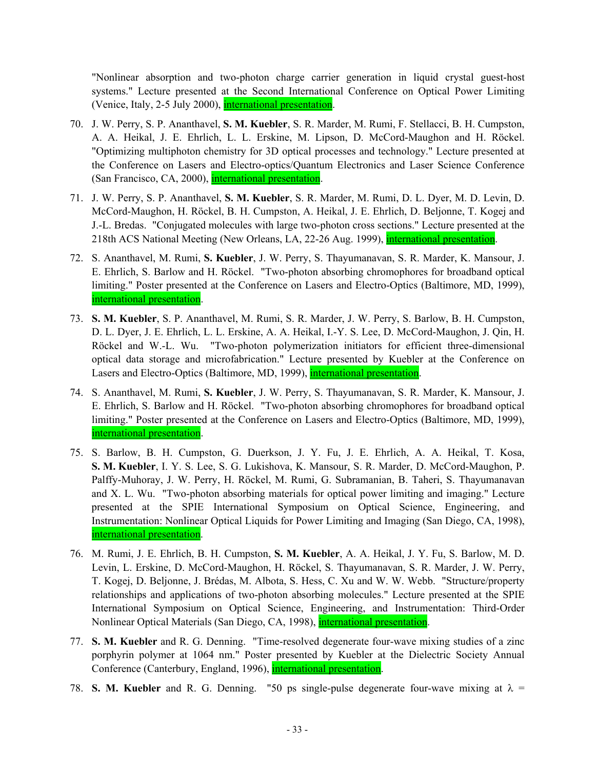"Nonlinear absorption and two-photon charge carrier generation in liquid crystal guest-host systems." Lecture presented at the Second International Conference on Optical Power Limiting (Venice, Italy, 2-5 July 2000), international presentation.

- 70. J. W. Perry, S. P. Ananthavel, **S. M. Kuebler**, S. R. Marder, M. Rumi, F. Stellacci, B. H. Cumpston, A. A. Heikal, J. E. Ehrlich, L. L. Erskine, M. Lipson, D. McCord-Maughon and H. Röckel. "Optimizing multiphoton chemistry for 3D optical processes and technology." Lecture presented at the Conference on Lasers and Electro-optics/Quantum Electronics and Laser Science Conference (San Francisco, CA, 2000), international presentation.
- 71. J. W. Perry, S. P. Ananthavel, **S. M. Kuebler**, S. R. Marder, M. Rumi, D. L. Dyer, M. D. Levin, D. McCord-Maughon, H. Röckel, B. H. Cumpston, A. Heikal, J. E. Ehrlich, D. Beljonne, T. Kogej and J.-L. Bredas. "Conjugated molecules with large two-photon cross sections." Lecture presented at the 218th ACS National Meeting (New Orleans, LA, 22-26 Aug. 1999), international presentation.
- 72. S. Ananthavel, M. Rumi, **S. Kuebler**, J. W. Perry, S. Thayumanavan, S. R. Marder, K. Mansour, J. E. Ehrlich, S. Barlow and H. Röckel. "Two-photon absorbing chromophores for broadband optical limiting." Poster presented at the Conference on Lasers and Electro-Optics (Baltimore, MD, 1999), international presentation.
- 73. **S. M. Kuebler**, S. P. Ananthavel, M. Rumi, S. R. Marder, J. W. Perry, S. Barlow, B. H. Cumpston, D. L. Dyer, J. E. Ehrlich, L. L. Erskine, A. A. Heikal, I.-Y. S. Lee, D. McCord-Maughon, J. Qin, H. Röckel and W.-L. Wu. "Two-photon polymerization initiators for efficient three-dimensional optical data storage and microfabrication." Lecture presented by Kuebler at the Conference on Lasers and Electro-Optics (Baltimore, MD, 1999), international presentation.
- 74. S. Ananthavel, M. Rumi, **S. Kuebler**, J. W. Perry, S. Thayumanavan, S. R. Marder, K. Mansour, J. E. Ehrlich, S. Barlow and H. Röckel. "Two-photon absorbing chromophores for broadband optical limiting." Poster presented at the Conference on Lasers and Electro-Optics (Baltimore, MD, 1999), international presentation.
- 75. S. Barlow, B. H. Cumpston, G. Duerkson, J. Y. Fu, J. E. Ehrlich, A. A. Heikal, T. Kosa, **S. M. Kuebler**, I. Y. S. Lee, S. G. Lukishova, K. Mansour, S. R. Marder, D. McCord-Maughon, P. Palffy-Muhoray, J. W. Perry, H. Röckel, M. Rumi, G. Subramanian, B. Taheri, S. Thayumanavan and X. L. Wu. "Two-photon absorbing materials for optical power limiting and imaging." Lecture presented at the SPIE International Symposium on Optical Science, Engineering, and Instrumentation: Nonlinear Optical Liquids for Power Limiting and Imaging (San Diego, CA, 1998), international presentation.
- 76. M. Rumi, J. E. Ehrlich, B. H. Cumpston, **S. M. Kuebler**, A. A. Heikal, J. Y. Fu, S. Barlow, M. D. Levin, L. Erskine, D. McCord-Maughon, H. Röckel, S. Thayumanavan, S. R. Marder, J. W. Perry, T. Kogej, D. Beljonne, J. Brédas, M. Albota, S. Hess, C. Xu and W. W. Webb. "Structure/property relationships and applications of two-photon absorbing molecules." Lecture presented at the SPIE International Symposium on Optical Science, Engineering, and Instrumentation: Third-Order Nonlinear Optical Materials (San Diego, CA, 1998), *international presentation*.
- 77. **S. M. Kuebler** and R. G. Denning. "Time-resolved degenerate four-wave mixing studies of a zinc porphyrin polymer at 1064 nm." Poster presented by Kuebler at the Dielectric Society Annual Conference (Canterbury, England, 1996), *international presentation*.
- 78. **S. M. Kuebler** and R. G. Denning. "50 ps single-pulse degenerate four-wave mixing at  $\lambda$  =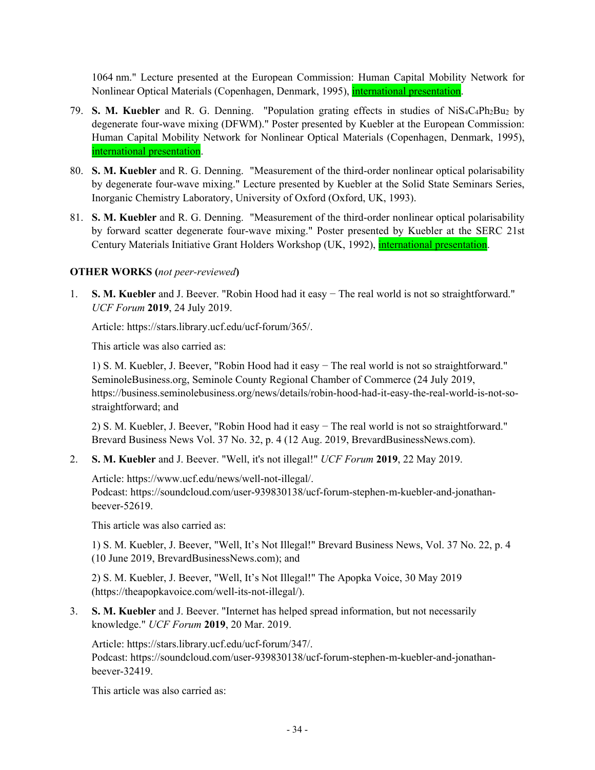1064 nm." Lecture presented at the European Commission: Human Capital Mobility Network for Nonlinear Optical Materials (Copenhagen, Denmark, 1995), *international presentation*.

- 79. **S. M. Kuebler** and R. G. Denning. "Population grating effects in studies of NiS4C4Ph2Bu2 by degenerate four-wave mixing (DFWM)." Poster presented by Kuebler at the European Commission: Human Capital Mobility Network for Nonlinear Optical Materials (Copenhagen, Denmark, 1995), international presentation.
- 80. **S. M. Kuebler** and R. G. Denning. "Measurement of the third-order nonlinear optical polarisability by degenerate four-wave mixing." Lecture presented by Kuebler at the Solid State Seminars Series, Inorganic Chemistry Laboratory, University of Oxford (Oxford, UK, 1993).
- 81. **S. M. Kuebler** and R. G. Denning. "Measurement of the third-order nonlinear optical polarisability by forward scatter degenerate four-wave mixing." Poster presented by Kuebler at the SERC 21st Century Materials Initiative Grant Holders Workshop (UK, 1992), international presentation.

### **OTHER WORKS (***not peer-reviewed***)**

1. **S. M. Kuebler** and J. Beever. "Robin Hood had it easy − The real world is not so straightforward." *UCF Forum* **2019**, 24 July 2019.

Article: https://stars.library.ucf.edu/ucf-forum/365/.

This article was also carried as:

1) S. M. Kuebler, J. Beever, "Robin Hood had it easy − The real world is not so straightforward." SeminoleBusiness.org, Seminole County Regional Chamber of Commerce (24 July 2019, https://business.seminolebusiness.org/news/details/robin-hood-had-it-easy-the-real-world-is-not-sostraightforward; and

2) S. M. Kuebler, J. Beever, "Robin Hood had it easy − The real world is not so straightforward." Brevard Business News Vol. 37 No. 32, p. 4 (12 Aug. 2019, BrevardBusinessNews.com).

2. **S. M. Kuebler** and J. Beever. "Well, it's not illegal!" *UCF Forum* **2019**, 22 May 2019.

Article: https://www.ucf.edu/news/well-not-illegal/. Podcast: https://soundcloud.com/user-939830138/ucf-forum-stephen-m-kuebler-and-jonathanbeever-52619.

This article was also carried as:

1) S. M. Kuebler, J. Beever, "Well, It's Not Illegal!" Brevard Business News, Vol. 37 No. 22, p. 4 (10 June 2019, BrevardBusinessNews.com); and

2) S. M. Kuebler, J. Beever, "Well, It's Not Illegal!" The Apopka Voice, 30 May 2019 (https://theapopkavoice.com/well-its-not-illegal/).

3. **S. M. Kuebler** and J. Beever. "Internet has helped spread information, but not necessarily knowledge." *UCF Forum* **2019**, 20 Mar. 2019.

Article: https://stars.library.ucf.edu/ucf-forum/347/.

Podcast: https://soundcloud.com/user-939830138/ucf-forum-stephen-m-kuebler-and-jonathanbeever-32419.

This article was also carried as: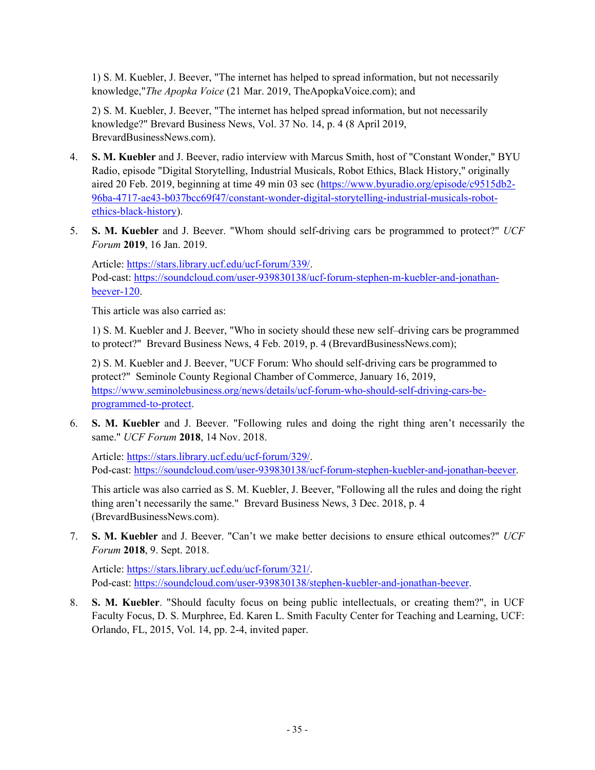1) S. M. Kuebler, J. Beever, "The internet has helped to spread information, but not necessarily knowledge,"*The Apopka Voice* (21 Mar. 2019, TheApopkaVoice.com); and

2) S. M. Kuebler, J. Beever, "The internet has helped spread information, but not necessarily knowledge?" Brevard Business News, Vol. 37 No. 14, p. 4 (8 April 2019, BrevardBusinessNews.com).

- 4. **S. M. Kuebler** and J. Beever, radio interview with Marcus Smith, host of "Constant Wonder," BYU Radio, episode "Digital Storytelling, Industrial Musicals, Robot Ethics, Black History," originally aired 20 Feb. 2019, beginning at time 49 min 03 sec (https://www.byuradio.org/episode/c9515db2- 96ba-4717-ae43-b037bcc69f47/constant-wonder-digital-storytelling-industrial-musicals-robotethics-black-history).
- 5. **S. M. Kuebler** and J. Beever. "Whom should self-driving cars be programmed to protect?" *UCF Forum* **2019**, 16 Jan. 2019.

Article: https://stars.library.ucf.edu/ucf-forum/339/. Pod-cast: https://soundcloud.com/user-939830138/ucf-forum-stephen-m-kuebler-and-jonathanbeever-120.

This article was also carried as:

1) S. M. Kuebler and J. Beever, "Who in society should these new self–driving cars be programmed to protect?" Brevard Business News, 4 Feb. 2019, p. 4 (BrevardBusinessNews.com);

2) S. M. Kuebler and J. Beever, "UCF Forum: Who should self-driving cars be programmed to protect?" Seminole County Regional Chamber of Commerce, January 16, 2019, https://www.seminolebusiness.org/news/details/ucf-forum-who-should-self-driving-cars-beprogrammed-to-protect.

6. **S. M. Kuebler** and J. Beever. "Following rules and doing the right thing aren't necessarily the same." *UCF Forum* **2018**, 14 Nov. 2018.

Article: https://stars.library.ucf.edu/ucf-forum/329/. Pod-cast: https://soundcloud.com/user-939830138/ucf-forum-stephen-kuebler-and-jonathan-beever.

This article was also carried as S. M. Kuebler, J. Beever, "Following all the rules and doing the right thing aren't necessarily the same." Brevard Business News, 3 Dec. 2018, p. 4 (BrevardBusinessNews.com).

7. **S. M. Kuebler** and J. Beever. "Can't we make better decisions to ensure ethical outcomes?" *UCF Forum* **2018**, 9. Sept. 2018.

Article: https://stars.library.ucf.edu/ucf-forum/321/. Pod-cast: https://soundcloud.com/user-939830138/stephen-kuebler-and-jonathan-beever.

8. **S. M. Kuebler**. "Should faculty focus on being public intellectuals, or creating them?", in UCF Faculty Focus, D. S. Murphree, Ed. Karen L. Smith Faculty Center for Teaching and Learning, UCF: Orlando, FL, 2015, Vol. 14, pp. 2-4, invited paper.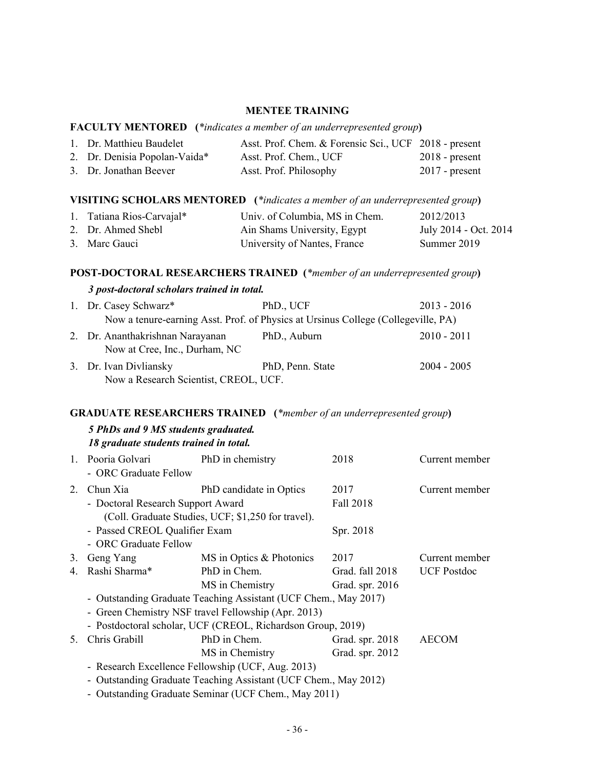#### **MENTEE TRAINING**

#### **FACULTY MENTORED (***\*indicates a member of an underrepresented group***)**

| 1. Dr. Matthieu Baudelet      | Asst. Prof. Chem. & Forensic Sci., UCF 2018 - present |                  |
|-------------------------------|-------------------------------------------------------|------------------|
| 2. Dr. Denisia Popolan-Vaida* | Asst. Prof. Chem., UCF                                | $2018$ - present |
| 3. Dr. Jonathan Beever        | Asst. Prof. Philosophy                                | $2017$ - present |

# **VISITING SCHOLARS MENTORED (***\*indicates a member of an underrepresented group***)**

| 1. Tatiana Rios-Carvajal* | Univ. of Columbia, MS in Chem. | 2012/2013             |
|---------------------------|--------------------------------|-----------------------|
| 2. Dr. Ahmed Shebl        | Ain Shams University, Egypt    | July 2014 - Oct. 2014 |
| 3. Marc Gauci             | University of Nantes, France   | Summer 2019           |

### **POST-DOCTORAL RESEARCHERS TRAINED (***\*member of an underrepresented group***)**

#### *3 post-doctoral scholars trained in total.*

| 1. Dr. Casey Schwarz*                                             | PhD., UCF                                                                         | $2013 - 2016$ |
|-------------------------------------------------------------------|-----------------------------------------------------------------------------------|---------------|
|                                                                   | Now a tenure-earning Asst. Prof. of Physics at Ursinus College (Collegeville, PA) |               |
| 2. Dr. Ananthakrishnan Narayanan<br>Now at Cree, Inc., Durham, NC | PhD., Auburn                                                                      | $2010 - 2011$ |
| 3. Dr. Ivan Divliansky<br>Now a Research Scientist, CREOL, UCF.   | PhD, Penn. State                                                                  | $2004 - 2005$ |
|                                                                   |                                                                                   |               |

# **GRADUATE RESEARCHERS TRAINED (***\*member of an underrepresented group***)**

#### *5 PhDs and 9 MS students graduated. 18 graduate students trained in total.*

|                                                                 | To gruumule simuenis iruineu in iolul.     |                                                                 |                 |                    |
|-----------------------------------------------------------------|--------------------------------------------|-----------------------------------------------------------------|-----------------|--------------------|
|                                                                 | 1. Pooria Golvari<br>- ORC Graduate Fellow | PhD in chemistry                                                | 2018            | Current member     |
| 2.                                                              | Chun Xia                                   | PhD candidate in Optics                                         | 2017            | Current member     |
|                                                                 | - Doctoral Research Support Award          |                                                                 | Fall 2018       |                    |
|                                                                 |                                            | (Coll. Graduate Studies, UCF; \$1,250 for travel).              |                 |                    |
|                                                                 | - Passed CREOL Qualifier Exam              |                                                                 | Spr. 2018       |                    |
|                                                                 | - ORC Graduate Fellow                      |                                                                 |                 |                    |
| 3.                                                              | Geng Yang                                  | MS in Optics & Photonics                                        | 2017            | Current member     |
| 4.                                                              | Rashi Sharma*                              | PhD in Chem.                                                    | Grad. fall 2018 | <b>UCF</b> Postdoc |
|                                                                 |                                            | MS in Chemistry                                                 | Grad. spr. 2016 |                    |
|                                                                 |                                            | - Outstanding Graduate Teaching Assistant (UCF Chem., May 2017) |                 |                    |
|                                                                 |                                            | - Green Chemistry NSF travel Fellowship (Apr. 2013)             |                 |                    |
|                                                                 |                                            | - Postdoctoral scholar, UCF (CREOL, Richardson Group, 2019)     |                 |                    |
| $5_{-}$                                                         | Chris Grabill                              | PhD in Chem.                                                    | Grad. spr. 2018 | <b>AECOM</b>       |
|                                                                 |                                            | MS in Chemistry                                                 | Grad. spr. 2012 |                    |
|                                                                 |                                            | - Research Excellence Fellowship (UCF, Aug. 2013)               |                 |                    |
| - Outstanding Graduate Teaching Assistant (UCF Chem., May 2012) |                                            |                                                                 |                 |                    |

- Outstanding Graduate Seminar (UCF Chem., May 2011)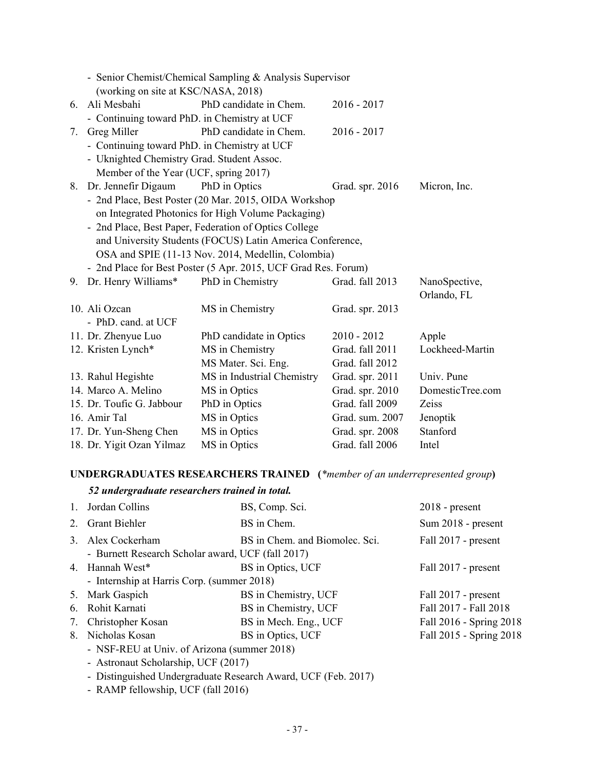|    | - Senior Chemist/Chemical Sampling & Analysis Supervisor |                                                                |                 |                  |
|----|----------------------------------------------------------|----------------------------------------------------------------|-----------------|------------------|
|    | (working on site at KSC/NASA, 2018)                      |                                                                |                 |                  |
| 6. | Ali Mesbahi                                              | PhD candidate in Chem.                                         | $2016 - 2017$   |                  |
|    | - Continuing toward PhD. in Chemistry at UCF             |                                                                |                 |                  |
| 7. | Greg Miller                                              | PhD candidate in Chem.                                         | $2016 - 2017$   |                  |
|    | - Continuing toward PhD. in Chemistry at UCF             |                                                                |                 |                  |
|    | - Uknighted Chemistry Grad. Student Assoc.               |                                                                |                 |                  |
|    | Member of the Year (UCF, spring 2017)                    |                                                                |                 |                  |
| 8. | Dr. Jennefir Digaum                                      | PhD in Optics                                                  | Grad. spr. 2016 | Micron, Inc.     |
|    |                                                          | - 2nd Place, Best Poster (20 Mar. 2015, OIDA Workshop          |                 |                  |
|    |                                                          | on Integrated Photonics for High Volume Packaging)             |                 |                  |
|    |                                                          | - 2nd Place, Best Paper, Federation of Optics College          |                 |                  |
|    |                                                          | and University Students (FOCUS) Latin America Conference,      |                 |                  |
|    |                                                          | OSA and SPIE (11-13 Nov. 2014, Medellin, Colombia)             |                 |                  |
|    |                                                          | - 2nd Place for Best Poster (5 Apr. 2015, UCF Grad Res. Forum) |                 |                  |
| 9. | Dr. Henry Williams*                                      | PhD in Chemistry                                               | Grad. fall 2013 | NanoSpective,    |
|    |                                                          |                                                                |                 | Orlando, FL      |
|    | 10. Ali Ozcan                                            | MS in Chemistry                                                |                 |                  |
|    |                                                          |                                                                | Grad. spr. 2013 |                  |
|    | - PhD. cand. at UCF                                      |                                                                |                 |                  |
|    | 11. Dr. Zhenyue Luo                                      | PhD candidate in Optics                                        | $2010 - 2012$   | Apple            |
|    | 12. Kristen Lynch*                                       | MS in Chemistry                                                | Grad. fall 2011 | Lockheed-Martin  |
|    |                                                          | MS Mater. Sci. Eng.                                            | Grad. fall 2012 |                  |
|    | 13. Rahul Hegishte                                       | MS in Industrial Chemistry                                     | Grad. spr. 2011 | Univ. Pune       |
|    | 14. Marco A. Melino                                      | MS in Optics                                                   | Grad. spr. 2010 | DomesticTree.com |
|    | 15. Dr. Toufic G. Jabbour                                | PhD in Optics                                                  | Grad. fall 2009 | Zeiss            |
|    | 16. Amir Tal                                             | MS in Optics                                                   | Grad. sum. 2007 | Jenoptik         |
|    | 17. Dr. Yun-Sheng Chen                                   | MS in Optics                                                   | Grad. spr. 2008 | Stanford         |

# **UNDERGRADUATES RESEARCHERS TRAINED (***\*member of an underrepresented group***)**

# *52 undergraduate researchers trained in total.*

| $\mathbf{1}$ . | Jordan Collins                                             | BS, Comp. Sci.                 | $2018$ - present        |
|----------------|------------------------------------------------------------|--------------------------------|-------------------------|
|                | 2. Grant Biehler                                           | BS in Chem.                    | Sum 2018 - present      |
|                | 3. Alex Cockerham                                          | BS in Chem. and Biomolec. Sci. | Fall 2017 - present     |
|                | - Burnett Research Scholar award, UCF (fall 2017)          |                                |                         |
|                | 4. Hannah West*                                            | BS in Optics, UCF              | Fall 2017 - present     |
|                | - Internship at Harris Corp. (summer 2018)                 |                                |                         |
|                | 5. Mark Gaspich                                            | BS in Chemistry, UCF           | Fall 2017 - present     |
|                | 6. Rohit Karnati                                           | BS in Chemistry, UCF           | Fall 2017 - Fall 2018   |
|                | 7. Christopher Kosan                                       | BS in Mech. Eng., UCF          | Fall 2016 - Spring 2018 |
|                | 8. Nicholas Kosan                                          | BS in Optics, UCF              | Fall 2015 - Spring 2018 |
|                | - NSF-REU at Univ. of Arizona (summer 2018)                |                                |                         |
|                | - Astronaut Scholarship, UCF (2017)                        |                                |                         |
|                | Distinguished Undergraduate Research Award UCE (Eeb. 2017) |                                |                         |

- Distinguished Undergraduate Research Award, UCF (Feb. 2017)
- RAMP fellowship, UCF (fall 2016)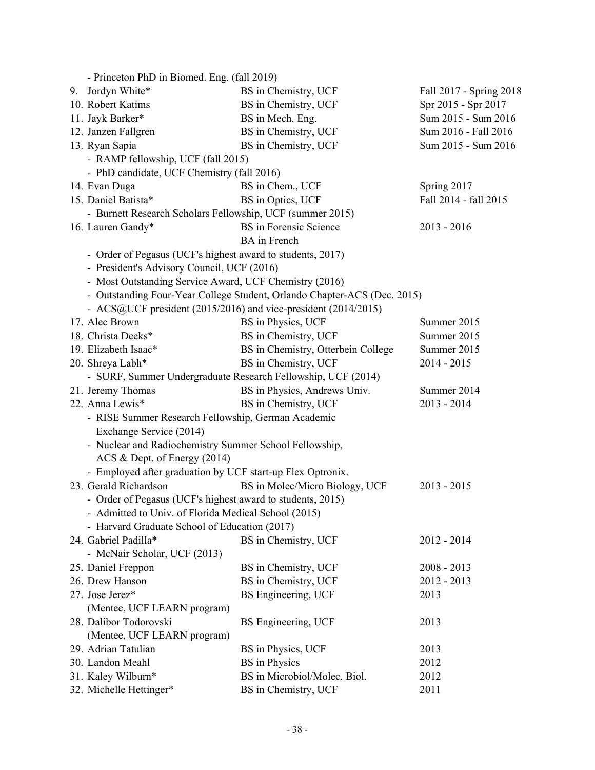| - Princeton PhD in Biomed. Eng. (fall 2019)                    |                                                                          |                         |
|----------------------------------------------------------------|--------------------------------------------------------------------------|-------------------------|
| 9. Jordyn White*                                               | BS in Chemistry, UCF                                                     | Fall 2017 - Spring 2018 |
| 10. Robert Katims                                              | BS in Chemistry, UCF                                                     | Spr 2015 - Spr 2017     |
| 11. Jayk Barker*                                               | BS in Mech. Eng.                                                         | Sum 2015 - Sum 2016     |
| 12. Janzen Fallgren                                            | BS in Chemistry, UCF                                                     | Sum 2016 - Fall 2016    |
| 13. Ryan Sapia                                                 | BS in Chemistry, UCF                                                     | Sum 2015 - Sum 2016     |
| - RAMP fellowship, UCF (fall 2015)                             |                                                                          |                         |
| - PhD candidate, UCF Chemistry (fall 2016)                     |                                                                          |                         |
| 14. Evan Duga                                                  | BS in Chem., UCF                                                         | Spring 2017             |
| 15. Daniel Batista*                                            | BS in Optics, UCF                                                        | Fall 2014 - fall 2015   |
| - Burnett Research Scholars Fellowship, UCF (summer 2015)      |                                                                          |                         |
| 16. Lauren Gandy*                                              | <b>BS</b> in Forensic Science                                            | $2013 - 2016$           |
|                                                                | <b>BA</b> in French                                                      |                         |
| - Order of Pegasus (UCF's highest award to students, 2017)     |                                                                          |                         |
| - President's Advisory Council, UCF (2016)                     |                                                                          |                         |
| - Most Outstanding Service Award, UCF Chemistry (2016)         |                                                                          |                         |
|                                                                | - Outstanding Four-Year College Student, Orlando Chapter-ACS (Dec. 2015) |                         |
| - ACS@UCF president (2015/2016) and vice-president (2014/2015) |                                                                          |                         |
| 17. Alec Brown                                                 | BS in Physics, UCF                                                       | Summer 2015             |
| 18. Christa Deeks*                                             | BS in Chemistry, UCF                                                     | Summer 2015             |
| 19. Elizabeth Isaac*                                           | BS in Chemistry, Otterbein College                                       | Summer 2015             |
| 20. Shreya Labh*                                               | BS in Chemistry, UCF                                                     | $2014 - 2015$           |
| - SURF, Summer Undergraduate Research Fellowship, UCF (2014)   |                                                                          |                         |
| 21. Jeremy Thomas                                              | BS in Physics, Andrews Univ.                                             | Summer 2014             |
| 22. Anna Lewis*                                                | BS in Chemistry, UCF                                                     | $2013 - 2014$           |
| - RISE Summer Research Fellowship, German Academic             |                                                                          |                         |
| Exchange Service (2014)                                        |                                                                          |                         |
| - Nuclear and Radiochemistry Summer School Fellowship,         |                                                                          |                         |
| ACS & Dept. of Energy (2014)                                   |                                                                          |                         |
| - Employed after graduation by UCF start-up Flex Optronix.     |                                                                          |                         |
| 23. Gerald Richardson                                          | BS in Molec/Micro Biology, UCF                                           | $2013 - 2015$           |
| - Order of Pegasus (UCF's highest award to students, 2015)     |                                                                          |                         |
| - Admitted to Univ. of Florida Medical School (2015)           |                                                                          |                         |
| - Harvard Graduate School of Education (2017)                  |                                                                          |                         |
| 24. Gabriel Padilla*                                           | BS in Chemistry, UCF                                                     | $2012 - 2014$           |
| - McNair Scholar, UCF (2013)                                   |                                                                          |                         |
| 25. Daniel Freppon                                             | BS in Chemistry, UCF                                                     | $2008 - 2013$           |
| 26. Drew Hanson                                                | BS in Chemistry, UCF                                                     | $2012 - 2013$           |
| 27. Jose Jerez*                                                | <b>BS</b> Engineering, UCF                                               | 2013                    |
| (Mentee, UCF LEARN program)                                    |                                                                          |                         |
| 28. Dalibor Todorovski                                         | BS Engineering, UCF                                                      | 2013                    |
| (Mentee, UCF LEARN program)                                    |                                                                          |                         |
| 29. Adrian Tatulian                                            | BS in Physics, UCF                                                       | 2013                    |
| 30. Landon Meahl                                               | <b>BS</b> in Physics                                                     | 2012                    |
| 31. Kaley Wilburn*                                             | BS in Microbiol/Molec. Biol.                                             | 2012                    |
| 32. Michelle Hettinger*                                        | BS in Chemistry, UCF                                                     | 2011                    |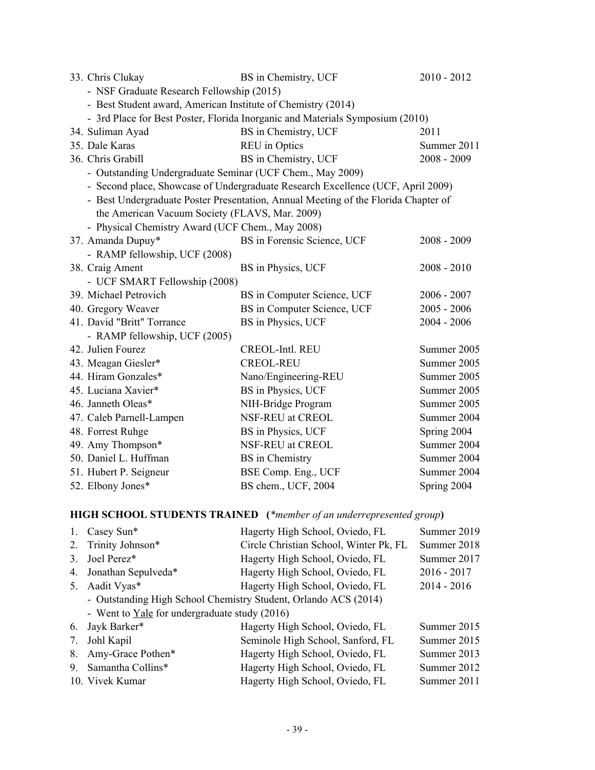| 33. Chris Clukay                                                              | BS in Chemistry, UCF                                                               | $2010 - 2012$ |  |
|-------------------------------------------------------------------------------|------------------------------------------------------------------------------------|---------------|--|
| - NSF Graduate Research Fellowship (2015)                                     |                                                                                    |               |  |
| - Best Student award, American Institute of Chemistry (2014)                  |                                                                                    |               |  |
| - 3rd Place for Best Poster, Florida Inorganic and Materials Symposium (2010) |                                                                                    |               |  |
| 34. Suliman Ayad                                                              | BS in Chemistry, UCF                                                               | 2011          |  |
| 35. Dale Karas                                                                | <b>REU</b> in Optics                                                               | Summer 2011   |  |
| 36. Chris Grabill                                                             | BS in Chemistry, UCF                                                               | $2008 - 2009$ |  |
| - Outstanding Undergraduate Seminar (UCF Chem., May 2009)                     |                                                                                    |               |  |
|                                                                               | - Second place, Showcase of Undergraduate Research Excellence (UCF, April 2009)    |               |  |
|                                                                               | - Best Undergraduate Poster Presentation, Annual Meeting of the Florida Chapter of |               |  |
| the American Vacuum Society (FLAVS, Mar. 2009)                                |                                                                                    |               |  |
| - Physical Chemistry Award (UCF Chem., May 2008)                              |                                                                                    |               |  |
| 37. Amanda Dupuy*                                                             | BS in Forensic Science, UCF                                                        | $2008 - 2009$ |  |
| - RAMP fellowship, UCF (2008)                                                 |                                                                                    |               |  |
| 38. Craig Ament                                                               | BS in Physics, UCF                                                                 | $2008 - 2010$ |  |
| - UCF SMART Fellowship (2008)                                                 |                                                                                    |               |  |
| 39. Michael Petrovich                                                         | BS in Computer Science, UCF                                                        | $2006 - 2007$ |  |
| 40. Gregory Weaver                                                            | BS in Computer Science, UCF                                                        | $2005 - 2006$ |  |
| 41. David "Britt" Torrance                                                    | BS in Physics, UCF                                                                 | $2004 - 2006$ |  |
| - RAMP fellowship, UCF (2005)                                                 |                                                                                    |               |  |
| 42. Julien Fourez                                                             | <b>CREOL-Intl. REU</b>                                                             | Summer 2005   |  |
| 43. Meagan Giesler*                                                           | <b>CREOL-REU</b>                                                                   | Summer 2005   |  |
| 44. Hiram Gonzales*                                                           | Nano/Engineering-REU                                                               | Summer 2005   |  |
| 45. Luciana Xavier*                                                           | BS in Physics, UCF                                                                 | Summer 2005   |  |
| 46. Janneth Oleas*                                                            | NIH-Bridge Program                                                                 | Summer 2005   |  |
| 47. Caleb Parnell-Lampen                                                      | NSF-REU at CREOL                                                                   | Summer 2004   |  |
| 48. Forrest Ruhge                                                             | BS in Physics, UCF                                                                 | Spring 2004   |  |
| 49. Amy Thompson*                                                             | NSF-REU at CREOL                                                                   | Summer 2004   |  |
| 50. Daniel L. Huffman                                                         | <b>BS</b> in Chemistry                                                             | Summer 2004   |  |
| 51. Hubert P. Seigneur                                                        | BSE Comp. Eng., UCF                                                                | Summer 2004   |  |
| 52. Elbony Jones*                                                             | BS chem., UCF, 2004                                                                | Spring 2004   |  |

# **HIGH SCHOOL STUDENTS TRAINED (***\*member of an underrepresented group***)**

| $1_{\cdot}$ | Casey Sun*                                                      | Hagerty High School, Oviedo, FL        | Summer 2019   |
|-------------|-----------------------------------------------------------------|----------------------------------------|---------------|
| 2.          | Trinity Johnson*                                                | Circle Christian School, Winter Pk, FL | Summer 2018   |
| 3           | Joel Perez*                                                     | Hagerty High School, Oviedo, FL        | Summer 2017   |
| 4.          | Jonathan Sepulveda*                                             | Hagerty High School, Oviedo, FL        | $2016 - 2017$ |
| 5.          | Aadit Vyas*                                                     | Hagerty High School, Oviedo, FL        | $2014 - 2016$ |
|             | - Outstanding High School Chemistry Student, Orlando ACS (2014) |                                        |               |
|             | - Went to Yale for undergraduate study (2016)                   |                                        |               |
| 6.          | Jayk Barker*                                                    | Hagerty High School, Oviedo, FL        | Summer 2015   |
| 7.          | Johl Kapil                                                      | Seminole High School, Sanford, FL      | Summer 2015   |
| 8.          | Amy-Grace Pothen*                                               | Hagerty High School, Oviedo, FL        | Summer 2013   |
| 9.          | Samantha Collins*                                               | Hagerty High School, Oviedo, FL        | Summer 2012   |
|             | 10. Vivek Kumar                                                 | Hagerty High School, Oviedo, FL        | Summer 2011   |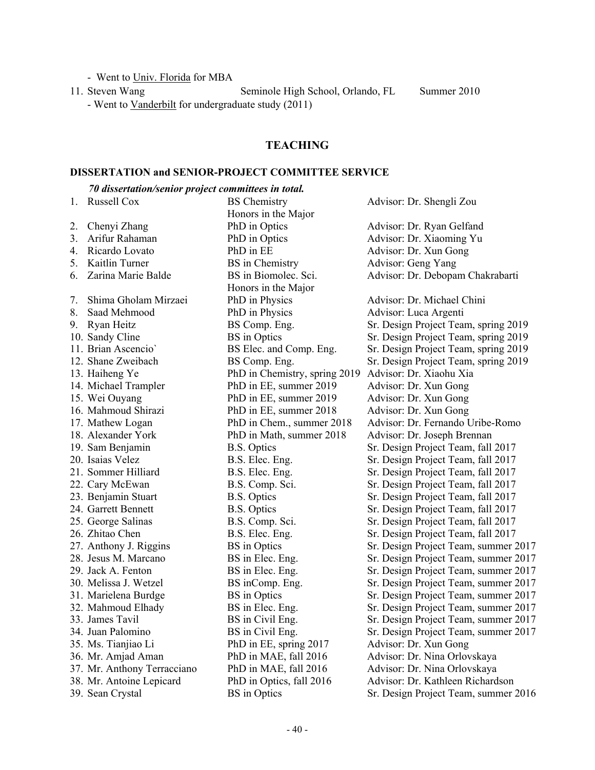- Went to Univ. Florida for MBA

11. Steven Wang Seminole High School, Orlando, FL Summer 2010 - Went to Vanderbilt for undergraduate study (2011)

# **TEACHING**

# **DISSERTATION and SENIOR-PROJECT COMMITTEE SERVICE**

# *70 dissertation/senior project committees in total.*

|    | 1. Russell Cox              | <b>BS</b> Chemistry           | Advisor: Dr. Shengli Zou             |
|----|-----------------------------|-------------------------------|--------------------------------------|
|    |                             | Honors in the Major           |                                      |
| 2. | Chenyi Zhang                | PhD in Optics                 | Advisor: Dr. Ryan Gelfand            |
| 3. | Arifur Rahaman              | PhD in Optics                 | Advisor: Dr. Xiaoming Yu             |
| 4. | Ricardo Lovato              | PhD in EE                     | Advisor: Dr. Xun Gong                |
|    | 5. Kaitlin Turner           | <b>BS</b> in Chemistry        | Advisor: Geng Yang                   |
| 6. | Zarina Marie Balde          | BS in Biomolec. Sci.          | Advisor: Dr. Debopam Chakrabarti     |
|    |                             | Honors in the Major           |                                      |
| 7. | Shima Gholam Mirzaei        | PhD in Physics                | Advisor: Dr. Michael Chini           |
| 8. | Saad Mehmood                | PhD in Physics                | Advisor: Luca Argenti                |
|    | 9. Ryan Heitz               | BS Comp. Eng.                 | Sr. Design Project Team, spring 2019 |
|    | 10. Sandy Cline             | <b>BS</b> in Optics           | Sr. Design Project Team, spring 2019 |
|    | 11. Brian Ascencio'         | BS Elec. and Comp. Eng.       | Sr. Design Project Team, spring 2019 |
|    | 12. Shane Zweibach          | BS Comp. Eng.                 | Sr. Design Project Team, spring 2019 |
|    | 13. Haiheng Ye              | PhD in Chemistry, spring 2019 | Advisor: Dr. Xiaohu Xia              |
|    | 14. Michael Trampler        | PhD in EE, summer 2019        | Advisor: Dr. Xun Gong                |
|    | 15. Wei Ouyang              | PhD in EE, summer 2019        | Advisor: Dr. Xun Gong                |
|    | 16. Mahmoud Shirazi         | PhD in EE, summer 2018        | Advisor: Dr. Xun Gong                |
|    | 17. Mathew Logan            | PhD in Chem., summer 2018     | Advisor: Dr. Fernando Uribe-Romo     |
|    | 18. Alexander York          | PhD in Math, summer 2018      | Advisor: Dr. Joseph Brennan          |
|    | 19. Sam Benjamin            | <b>B.S.</b> Optics            | Sr. Design Project Team, fall 2017   |
|    | 20. Isaias Velez            | B.S. Elec. Eng.               | Sr. Design Project Team, fall 2017   |
|    | 21. Sommer Hilliard         | B.S. Elec. Eng.               | Sr. Design Project Team, fall 2017   |
|    | 22. Cary McEwan             | B.S. Comp. Sci.               | Sr. Design Project Team, fall 2017   |
|    | 23. Benjamin Stuart         | <b>B.S. Optics</b>            | Sr. Design Project Team, fall 2017   |
|    | 24. Garrett Bennett         | <b>B.S. Optics</b>            | Sr. Design Project Team, fall 2017   |
|    | 25. George Salinas          | B.S. Comp. Sci.               | Sr. Design Project Team, fall 2017   |
|    | 26. Zhitao Chen             | B.S. Elec. Eng.               | Sr. Design Project Team, fall 2017   |
|    | 27. Anthony J. Riggins      | <b>BS</b> in Optics           | Sr. Design Project Team, summer 2017 |
|    | 28. Jesus M. Marcano        | BS in Elec. Eng.              | Sr. Design Project Team, summer 2017 |
|    | 29. Jack A. Fenton          | BS in Elec. Eng.              | Sr. Design Project Team, summer 2017 |
|    | 30. Melissa J. Wetzel       | BS inComp. Eng.               | Sr. Design Project Team, summer 2017 |
|    | 31. Marielena Burdge        | <b>BS</b> in Optics           | Sr. Design Project Team, summer 2017 |
|    | 32. Mahmoud Elhady          | BS in Elec. Eng.              | Sr. Design Project Team, summer 2017 |
|    | 33. James Tavil             | BS in Civil Eng.              | Sr. Design Project Team, summer 2017 |
|    | 34. Juan Palomino           | BS in Civil Eng.              | Sr. Design Project Team, summer 2017 |
|    | 35. Ms. Tianjiao Li         | PhD in EE, spring 2017        | Advisor: Dr. Xun Gong                |
|    | 36. Mr. Amjad Aman          | PhD in MAE, fall 2016         | Advisor: Dr. Nina Orlovskaya         |
|    | 37. Mr. Anthony Terracciano | PhD in MAE, fall 2016         | Advisor: Dr. Nina Orlovskaya         |
|    | 38. Mr. Antoine Lepicard    | PhD in Optics, fall 2016      | Advisor: Dr. Kathleen Richardson     |
|    | 39. Sean Crystal            | <b>BS</b> in Optics           | Sr. Design Project Team, summer 2016 |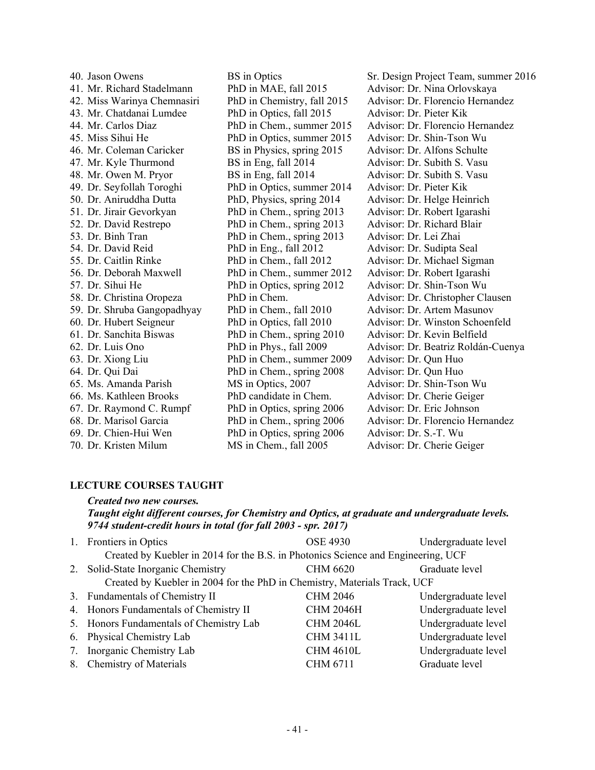| 40. Jason Owens             |
|-----------------------------|
| 41. Mr. Richard Stadelmann  |
| 42. Miss Warinya Chemnasiri |
| 43. Mr. Chatdanai Lumdee    |
| 44. Mr. Carlos Diaz         |
| 45. Miss Sihui He           |
| 46. Mr. Coleman Caricker    |
| 47. Mr. Kyle Thurmond       |
| 48. Mr. Owen M. Pryor       |
| 49. Dr. Seyfollah Toroghi   |
| 50. Dr. Aniruddha Dutta     |
| 51. Dr. Jirair Gevorkyan    |
| 52. Dr. David Restrepo      |
| 53. Dr. Binh Tran           |
| 54. Dr. David Reid          |
| 55. Dr. Caitlin Rinke       |
| 56. Dr. Deborah Maxwell     |
| 57. Dr. Sihui He            |
| 58. Dr. Christina Oropeza   |
| 59. Dr. Shruba Gangopadhyay |
| 60. Dr. Hubert Seigneur     |
| 61. Dr. Sanchita Biswas     |
| 62. Dr. Luis Ono            |
| 63. Dr. Xiong Liu           |
| 64. Dr. Qui Dai             |
| 65. Ms. Amanda Parish       |
| 66. Ms. Kathleen Brooks     |
| 67. Dr. Raymond C. Rumpf    |
| 68. Dr. Marisol Garcia      |
| 69. Dr. Chien-Hui Wen       |
| 70 Dr Kristen Milum         |

PhD in Optics, fall 2015 Advisor: Dr. Pieter Kik PhD in Optics, summer 2015 Advisor: Dr. Shin-Tson Wu BS in Physics, spring 2015 Advisor: Dr. Alfons Schulte BS in Eng, fall 2014 Advisor: Dr. Subith S. Vasu BS in Eng, fall 2014 Advisor: Dr. Subith S. Vasu PhD in Optics, summer 2014 Advisor: Dr. Pieter Kik PhD, Physics, spring 2014 Advisor: Dr. Helge Heinrich PhD in Chem., spring 2013 Advisor: Dr. Robert Igarashi PhD in Chem., spring 2013 Advisor: Dr. Richard Blair PhD in Chem., spring 2013 Advisor: Dr. Lei Zhai PhD in Eng., fall 2012 Advisor: Dr. Sudipta Seal PhD in Chem., summer 2012 Advisor: Dr. Robert Igarashi PhD in Optics, spring 2012 Advisor: Dr. Shin-Tson Wu PhD in Chem., fall 2010 Advisor: Dr. Artem Masunov PhD in Chem., spring 2010 Advisor: Dr. Kevin Belfield PhD in Chem., summer 2009 Advisor: Dr. Qun Huo PhD in Chem., spring 2008 Advisor: Dr. Qun Huo MS in Optics, 2007 Advisor: Dr. Shin-Tson Wu PhD candidate in Chem. Advisor: Dr. Cherie Geiger PhD in Optics, spring 2006 Advisor: Dr. Eric Johnson PhD in Optics, spring 2006 Advisor: Dr. S.-T. Wu 70. Dr. Kristen Milum MS in Chem., fall 2005 Advisor: Dr. Cherie Geiger

40. BS in Optics Sr. Design Project Team, summer 2016 PhD in MAE, fall 2015 Advisor: Dr. Nina Orlovskaya PhD in Chemistry, fall 2015 Advisor: Dr. Florencio Hernandez PhD in Chem., summer 2015 Advisor: Dr. Florencio Hernandez PhD in Chem., fall 2012 Advisor: Dr. Michael Sigman PhD in Chem. Advisor: Dr. Christopher Clausen PhD in Optics, fall 2010 Advisor: Dr. Winston Schoenfeld PhD in Phys., fall 2009 Advisor: Dr. Beatriz Roldán-Cuenya PhD in Chem., spring 2006 Advisor: Dr. Florencio Hernandez

#### **LECTURE COURSES TAUGHT**

#### *Created two new courses.*

 *Taught eight different courses, for Chemistry and Optics, at graduate and undergraduate levels. 9744 student-credit hours in total (for fall 2003 - spr. 2017)*

|    | 1. Frontiers in Optics                                                            | <b>OSE 4930</b>  | Undergraduate level |
|----|-----------------------------------------------------------------------------------|------------------|---------------------|
|    | Created by Kuebler in 2014 for the B.S. in Photonics Science and Engineering, UCF |                  |                     |
|    | 2. Solid-State Inorganic Chemistry                                                | <b>CHM 6620</b>  | Graduate level      |
|    | Created by Kuebler in 2004 for the PhD in Chemistry, Materials Track, UCF         |                  |                     |
|    | 3. Fundamentals of Chemistry II                                                   | <b>CHM 2046</b>  | Undergraduate level |
|    | 4. Honors Fundamentals of Chemistry II                                            | <b>CHM 2046H</b> | Undergraduate level |
|    | 5. Honors Fundamentals of Chemistry Lab                                           | <b>CHM 2046L</b> | Undergraduate level |
|    | 6. Physical Chemistry Lab                                                         | <b>CHM 3411L</b> | Undergraduate level |
|    | 7. Inorganic Chemistry Lab                                                        | <b>CHM 4610L</b> | Undergraduate level |
| 8. | <b>Chemistry of Materials</b>                                                     | CHM 6711         | Graduate level      |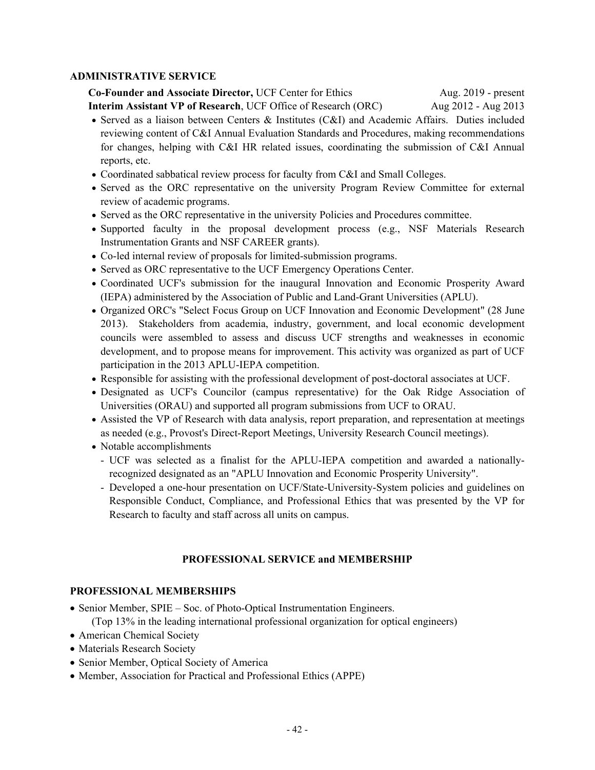### **ADMINISTRATIVE SERVICE**

**Co-Founder and Associate Director,** UCF Center for Ethics Aug. 2019 - present  **Interim Assistant VP of Research**, UCF Office of Research (ORC) Aug 2012 - Aug 2013

- Served as a liaison between Centers & Institutes (C&I) and Academic Affairs. Duties included reviewing content of C&I Annual Evaluation Standards and Procedures, making recommendations for changes, helping with C&I HR related issues, coordinating the submission of C&I Annual reports, etc.
- Coordinated sabbatical review process for faculty from C&I and Small Colleges.
- Served as the ORC representative on the university Program Review Committee for external review of academic programs.
- Served as the ORC representative in the university Policies and Procedures committee.
- Supported faculty in the proposal development process (e.g., NSF Materials Research Instrumentation Grants and NSF CAREER grants).
- Co-led internal review of proposals for limited-submission programs.
- Served as ORC representative to the UCF Emergency Operations Center.
- Coordinated UCF's submission for the inaugural Innovation and Economic Prosperity Award (IEPA) administered by the Association of Public and Land-Grant Universities (APLU).
- Organized ORC's "Select Focus Group on UCF Innovation and Economic Development" (28 June 2013). Stakeholders from academia, industry, government, and local economic development councils were assembled to assess and discuss UCF strengths and weaknesses in economic development, and to propose means for improvement. This activity was organized as part of UCF participation in the 2013 APLU-IEPA competition.
- Responsible for assisting with the professional development of post-doctoral associates at UCF.
- Designated as UCF's Councilor (campus representative) for the Oak Ridge Association of Universities (ORAU) and supported all program submissions from UCF to ORAU.
- Assisted the VP of Research with data analysis, report preparation, and representation at meetings as needed (e.g., Provost's Direct-Report Meetings, University Research Council meetings).
- Notable accomplishments
	- UCF was selected as a finalist for the APLU-IEPA competition and awarded a nationallyrecognized designated as an "APLU Innovation and Economic Prosperity University".
	- Developed a one-hour presentation on UCF/State-University-System policies and guidelines on Responsible Conduct, Compliance, and Professional Ethics that was presented by the VP for Research to faculty and staff across all units on campus.

### **PROFESSIONAL SERVICE and MEMBERSHIP**

### **PROFESSIONAL MEMBERSHIPS**

- Senior Member, SPIE Soc. of Photo-Optical Instrumentation Engineers. (Top 13% in the leading international professional organization for optical engineers)
- American Chemical Society
- Materials Research Society
- Senior Member, Optical Society of America
- Member, Association for Practical and Professional Ethics (APPE)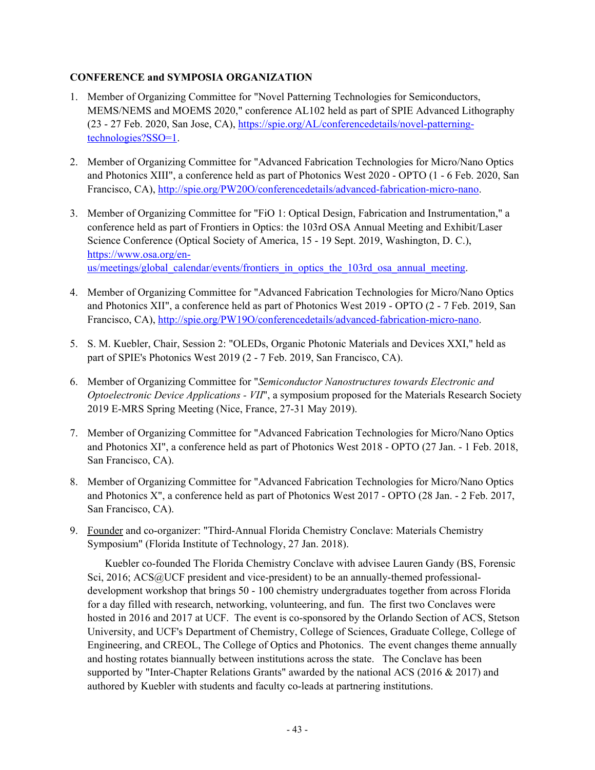# **CONFERENCE and SYMPOSIA ORGANIZATION**

- 1. Member of Organizing Committee for "Novel Patterning Technologies for Semiconductors, MEMS/NEMS and MOEMS 2020," conference AL102 held as part of SPIE Advanced Lithography (23 - 27 Feb. 2020, San Jose, CA), https://spie.org/AL/conferencedetails/novel-patterningtechnologies?SSO=1.
- 2. Member of Organizing Committee for "Advanced Fabrication Technologies for Micro/Nano Optics and Photonics XIII", a conference held as part of Photonics West 2020 - OPTO (1 - 6 Feb. 2020, San Francisco, CA), http://spie.org/PW20O/conferencedetails/advanced-fabrication-micro-nano.
- 3. Member of Organizing Committee for "FiO 1: Optical Design, Fabrication and Instrumentation," a conference held as part of Frontiers in Optics: the 103rd OSA Annual Meeting and Exhibit/Laser Science Conference (Optical Society of America, 15 - 19 Sept. 2019, Washington, D. C.), https://www.osa.org/enus/meetings/global\_calendar/events/frontiers\_in\_optics\_the\_103rd\_osa\_annual\_meeting.
- 4. Member of Organizing Committee for "Advanced Fabrication Technologies for Micro/Nano Optics and Photonics XII", a conference held as part of Photonics West 2019 - OPTO (2 - 7 Feb. 2019, San Francisco, CA), http://spie.org/PW19O/conferencedetails/advanced-fabrication-micro-nano.
- 5. S. M. Kuebler, Chair, Session 2: "OLEDs, Organic Photonic Materials and Devices XXI," held as part of SPIE's Photonics West 2019 (2 - 7 Feb. 2019, San Francisco, CA).
- 6. Member of Organizing Committee for "*Semiconductor Nanostructures towards Electronic and Optoelectronic Device Applications - VII*", a symposium proposed for the Materials Research Society 2019 E-MRS Spring Meeting (Nice, France, 27-31 May 2019).
- 7. Member of Organizing Committee for "Advanced Fabrication Technologies for Micro/Nano Optics and Photonics XI", a conference held as part of Photonics West 2018 - OPTO (27 Jan. - 1 Feb. 2018, San Francisco, CA).
- 8. Member of Organizing Committee for "Advanced Fabrication Technologies for Micro/Nano Optics and Photonics X", a conference held as part of Photonics West 2017 - OPTO (28 Jan. - 2 Feb. 2017, San Francisco, CA).
- 9. Founder and co-organizer: "Third-Annual Florida Chemistry Conclave: Materials Chemistry Symposium" (Florida Institute of Technology, 27 Jan. 2018).

 Kuebler co-founded The Florida Chemistry Conclave with advisee Lauren Gandy (BS, Forensic Sci, 2016; ACS@UCF president and vice-president) to be an annually-themed professionaldevelopment workshop that brings 50 - 100 chemistry undergraduates together from across Florida for a day filled with research, networking, volunteering, and fun. The first two Conclaves were hosted in 2016 and 2017 at UCF. The event is co-sponsored by the Orlando Section of ACS, Stetson University, and UCF's Department of Chemistry, College of Sciences, Graduate College, College of Engineering, and CREOL, The College of Optics and Photonics. The event changes theme annually and hosting rotates biannually between institutions across the state. The Conclave has been supported by "Inter-Chapter Relations Grants" awarded by the national ACS (2016 & 2017) and authored by Kuebler with students and faculty co-leads at partnering institutions.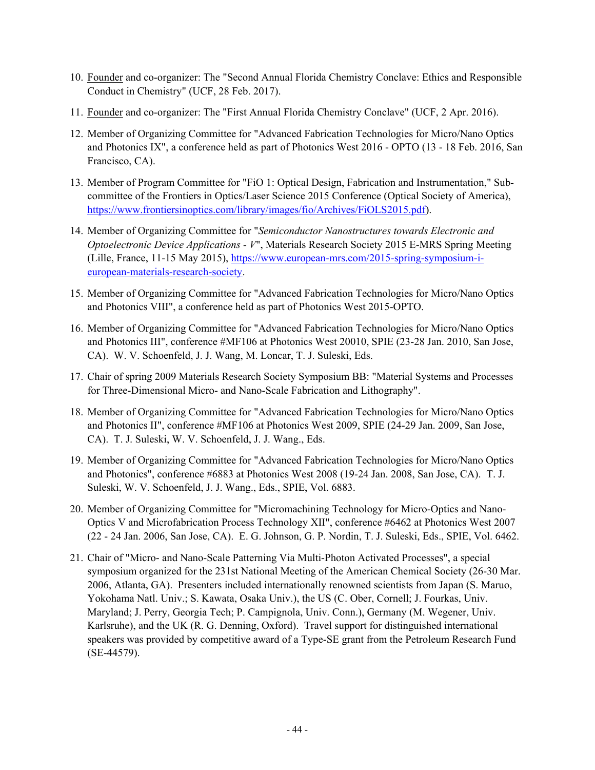- 10. Founder and co-organizer: The "Second Annual Florida Chemistry Conclave: Ethics and Responsible Conduct in Chemistry" (UCF, 28 Feb. 2017).
- 11. Founder and co-organizer: The "First Annual Florida Chemistry Conclave" (UCF, 2 Apr. 2016).
- 12. Member of Organizing Committee for "Advanced Fabrication Technologies for Micro/Nano Optics and Photonics IX", a conference held as part of Photonics West 2016 - OPTO (13 - 18 Feb. 2016, San Francisco, CA).
- 13. Member of Program Committee for "FiO 1: Optical Design, Fabrication and Instrumentation," Subcommittee of the Frontiers in Optics/Laser Science 2015 Conference (Optical Society of America), https://www.frontiersinoptics.com/library/images/fio/Archives/FiOLS2015.pdf).
- 14. Member of Organizing Committee for "*Semiconductor Nanostructures towards Electronic and Optoelectronic Device Applications - V*", Materials Research Society 2015 E-MRS Spring Meeting (Lille, France, 11-15 May 2015), https://www.european-mrs.com/2015-spring-symposium-ieuropean-materials-research-society.
- 15. Member of Organizing Committee for "Advanced Fabrication Technologies for Micro/Nano Optics and Photonics VIII", a conference held as part of Photonics West 2015-OPTO.
- 16. Member of Organizing Committee for "Advanced Fabrication Technologies for Micro/Nano Optics and Photonics III", conference #MF106 at Photonics West 20010, SPIE (23-28 Jan. 2010, San Jose, CA). W. V. Schoenfeld, J. J. Wang, M. Loncar, T. J. Suleski, Eds.
- 17. Chair of spring 2009 Materials Research Society Symposium BB: "Material Systems and Processes for Three-Dimensional Micro- and Nano-Scale Fabrication and Lithography".
- 18. Member of Organizing Committee for "Advanced Fabrication Technologies for Micro/Nano Optics and Photonics II", conference #MF106 at Photonics West 2009, SPIE (24-29 Jan. 2009, San Jose, CA). T. J. Suleski, W. V. Schoenfeld, J. J. Wang., Eds.
- 19. Member of Organizing Committee for "Advanced Fabrication Technologies for Micro/Nano Optics and Photonics", conference #6883 at Photonics West 2008 (19-24 Jan. 2008, San Jose, CA). T. J. Suleski, W. V. Schoenfeld, J. J. Wang., Eds., SPIE, Vol. 6883.
- 20. Member of Organizing Committee for "Micromachining Technology for Micro-Optics and Nano-Optics V and Microfabrication Process Technology XII", conference #6462 at Photonics West 2007 (22 - 24 Jan. 2006, San Jose, CA). E. G. Johnson, G. P. Nordin, T. J. Suleski, Eds., SPIE, Vol. 6462.
- 21. Chair of "Micro- and Nano-Scale Patterning Via Multi-Photon Activated Processes", a special symposium organized for the 231st National Meeting of the American Chemical Society (26-30 Mar. 2006, Atlanta, GA). Presenters included internationally renowned scientists from Japan (S. Maruo, Yokohama Natl. Univ.; S. Kawata, Osaka Univ.), the US (C. Ober, Cornell; J. Fourkas, Univ. Maryland; J. Perry, Georgia Tech; P. Campignola, Univ. Conn.), Germany (M. Wegener, Univ. Karlsruhe), and the UK (R. G. Denning, Oxford).Travel support for distinguished international speakers was provided by competitive award of a Type-SE grant from the Petroleum Research Fund (SE-44579).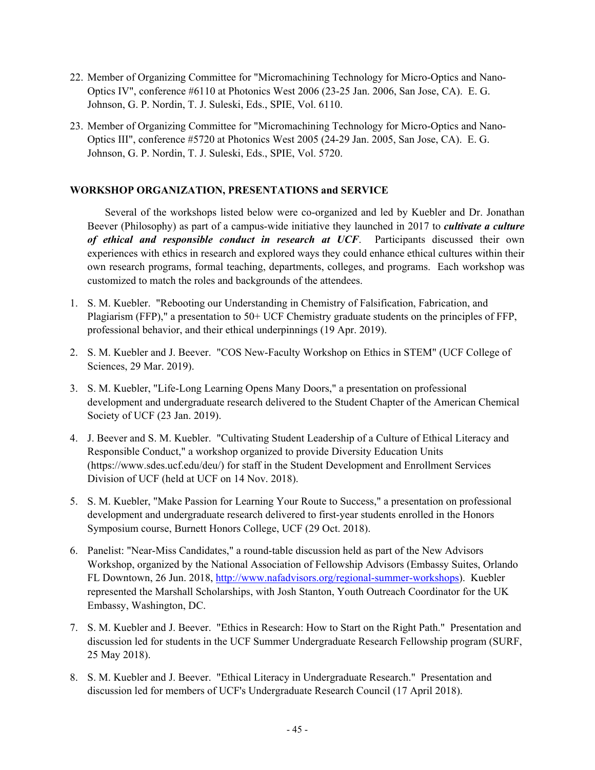- 22. Member of Organizing Committee for "Micromachining Technology for Micro-Optics and Nano-Optics IV", conference #6110 at Photonics West 2006 (23-25 Jan. 2006, San Jose, CA). E. G. Johnson, G. P. Nordin, T. J. Suleski, Eds., SPIE, Vol. 6110.
- 23. Member of Organizing Committee for "Micromachining Technology for Micro-Optics and Nano-Optics III", conference #5720 at Photonics West 2005 (24-29 Jan. 2005, San Jose, CA). E. G. Johnson, G. P. Nordin, T. J. Suleski, Eds., SPIE, Vol. 5720.

### **WORKSHOP ORGANIZATION, PRESENTATIONS and SERVICE**

 Several of the workshops listed below were co-organized and led by Kuebler and Dr. Jonathan Beever (Philosophy) as part of a campus-wide initiative they launched in 2017 to *cultivate a culture of ethical and responsible conduct in research at UCF*. Participants discussed their own experiences with ethics in research and explored ways they could enhance ethical cultures within their own research programs, formal teaching, departments, colleges, and programs. Each workshop was customized to match the roles and backgrounds of the attendees.

- 1. S. M. Kuebler. "Rebooting our Understanding in Chemistry of Falsification, Fabrication, and Plagiarism (FFP)," a presentation to 50+ UCF Chemistry graduate students on the principles of FFP, professional behavior, and their ethical underpinnings (19 Apr. 2019).
- 2. S. M. Kuebler and J. Beever. "COS New-Faculty Workshop on Ethics in STEM" (UCF College of Sciences, 29 Mar. 2019).
- 3. S. M. Kuebler, "Life-Long Learning Opens Many Doors," a presentation on professional development and undergraduate research delivered to the Student Chapter of the American Chemical Society of UCF (23 Jan. 2019).
- 4. J. Beever and S. M. Kuebler. "Cultivating Student Leadership of a Culture of Ethical Literacy and Responsible Conduct," a workshop organized to provide Diversity Education Units (https://www.sdes.ucf.edu/deu/) for staff in the Student Development and Enrollment Services Division of UCF (held at UCF on 14 Nov. 2018).
- 5. S. M. Kuebler, "Make Passion for Learning Your Route to Success," a presentation on professional development and undergraduate research delivered to first-year students enrolled in the Honors Symposium course, Burnett Honors College, UCF (29 Oct. 2018).
- 6. Panelist: "Near-Miss Candidates," a round-table discussion held as part of the New Advisors Workshop, organized by the National Association of Fellowship Advisors (Embassy Suites, Orlando FL Downtown, 26 Jun. 2018, http://www.nafadvisors.org/regional-summer-workshops). Kuebler represented the Marshall Scholarships, with Josh Stanton, Youth Outreach Coordinator for the UK Embassy, Washington, DC.
- 7. S. M. Kuebler and J. Beever. "Ethics in Research: How to Start on the Right Path." Presentation and discussion led for students in the UCF Summer Undergraduate Research Fellowship program (SURF, 25 May 2018).
- 8. S. M. Kuebler and J. Beever. "Ethical Literacy in Undergraduate Research." Presentation and discussion led for members of UCF's Undergraduate Research Council (17 April 2018).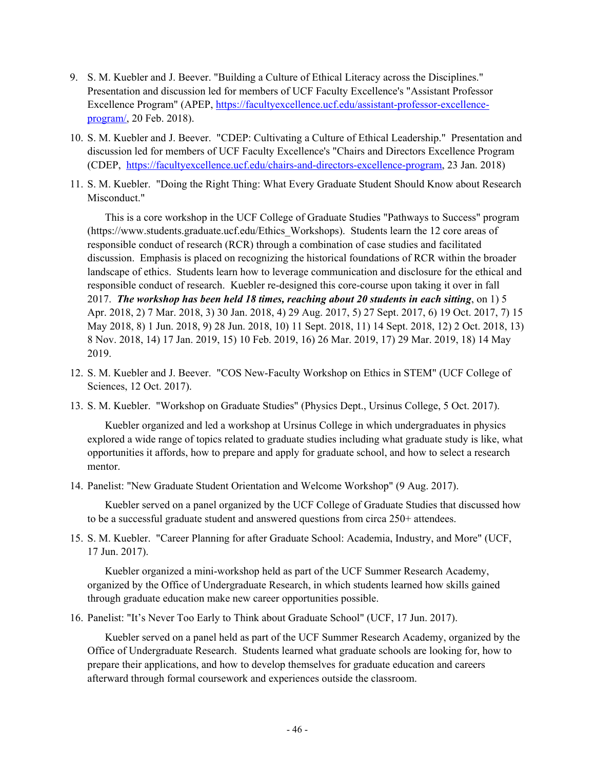- 9. S. M. Kuebler and J. Beever. "Building a Culture of Ethical Literacy across the Disciplines." Presentation and discussion led for members of UCF Faculty Excellence's "Assistant Professor Excellence Program" (APEP, https://facultyexcellence.ucf.edu/assistant-professor-excellenceprogram/, 20 Feb. 2018).
- 10. S. M. Kuebler and J. Beever. "CDEP: Cultivating a Culture of Ethical Leadership." Presentation and discussion led for members of UCF Faculty Excellence's "Chairs and Directors Excellence Program (CDEP, https://facultyexcellence.ucf.edu/chairs-and-directors-excellence-program, 23 Jan. 2018)
- 11. S. M. Kuebler. "Doing the Right Thing: What Every Graduate Student Should Know about Research Misconduct."

 This is a core workshop in the UCF College of Graduate Studies "Pathways to Success" program (https://www.students.graduate.ucf.edu/Ethics\_Workshops). Students learn the 12 core areas of responsible conduct of research (RCR) through a combination of case studies and facilitated discussion. Emphasis is placed on recognizing the historical foundations of RCR within the broader landscape of ethics. Students learn how to leverage communication and disclosure for the ethical and responsible conduct of research. Kuebler re-designed this core-course upon taking it over in fall 2017. *The workshop has been held 18 times, reaching about 20 students in each sitting*, on 1) 5 Apr. 2018, 2) 7 Mar. 2018, 3) 30 Jan. 2018, 4) 29 Aug. 2017, 5) 27 Sept. 2017, 6) 19 Oct. 2017, 7) 15 May 2018, 8) 1 Jun. 2018, 9) 28 Jun. 2018, 10) 11 Sept. 2018, 11) 14 Sept. 2018, 12) 2 Oct. 2018, 13) 8 Nov. 2018, 14) 17 Jan. 2019, 15) 10 Feb. 2019, 16) 26 Mar. 2019, 17) 29 Mar. 2019, 18) 14 May 2019.

- 12. S. M. Kuebler and J. Beever. "COS New-Faculty Workshop on Ethics in STEM" (UCF College of Sciences, 12 Oct. 2017).
- 13. S. M. Kuebler. "Workshop on Graduate Studies" (Physics Dept., Ursinus College, 5 Oct. 2017).

 Kuebler organized and led a workshop at Ursinus College in which undergraduates in physics explored a wide range of topics related to graduate studies including what graduate study is like, what opportunities it affords, how to prepare and apply for graduate school, and how to select a research mentor.

14. Panelist: "New Graduate Student Orientation and Welcome Workshop" (9 Aug. 2017).

 Kuebler served on a panel organized by the UCF College of Graduate Studies that discussed how to be a successful graduate student and answered questions from circa 250+ attendees.

15. S. M. Kuebler. "Career Planning for after Graduate School: Academia, Industry, and More" (UCF, 17 Jun. 2017).

 Kuebler organized a mini-workshop held as part of the UCF Summer Research Academy, organized by the Office of Undergraduate Research, in which students learned how skills gained through graduate education make new career opportunities possible.

16. Panelist: "It's Never Too Early to Think about Graduate School" (UCF, 17 Jun. 2017).

 Kuebler served on a panel held as part of the UCF Summer Research Academy, organized by the Office of Undergraduate Research. Students learned what graduate schools are looking for, how to prepare their applications, and how to develop themselves for graduate education and careers afterward through formal coursework and experiences outside the classroom.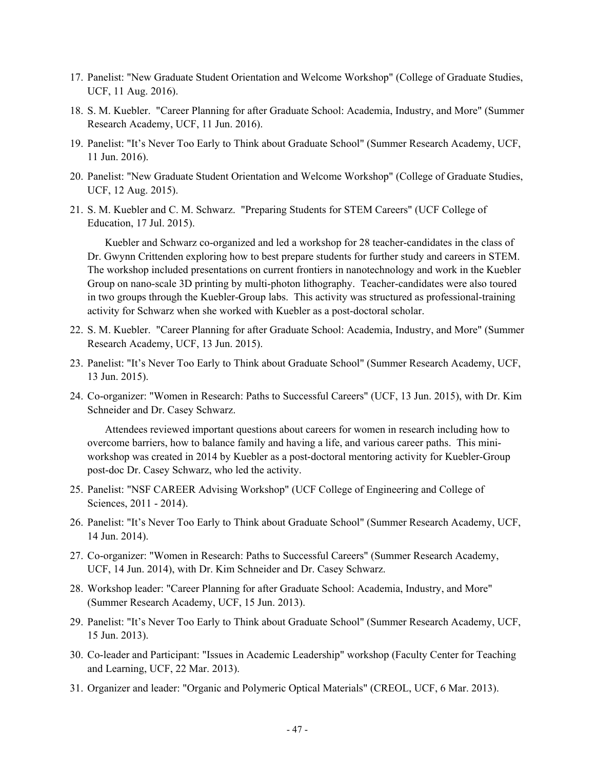- 17. Panelist: "New Graduate Student Orientation and Welcome Workshop" (College of Graduate Studies, UCF, 11 Aug. 2016).
- 18. S. M. Kuebler. "Career Planning for after Graduate School: Academia, Industry, and More" (Summer Research Academy, UCF, 11 Jun. 2016).
- 19. Panelist: "It's Never Too Early to Think about Graduate School" (Summer Research Academy, UCF, 11 Jun. 2016).
- 20. Panelist: "New Graduate Student Orientation and Welcome Workshop" (College of Graduate Studies, UCF, 12 Aug. 2015).
- 21. S. M. Kuebler and C. M. Schwarz. "Preparing Students for STEM Careers" (UCF College of Education, 17 Jul. 2015).

 Kuebler and Schwarz co-organized and led a workshop for 28 teacher-candidates in the class of Dr. Gwynn Crittenden exploring how to best prepare students for further study and careers in STEM. The workshop included presentations on current frontiers in nanotechnology and work in the Kuebler Group on nano-scale 3D printing by multi-photon lithography. Teacher-candidates were also toured in two groups through the Kuebler-Group labs. This activity was structured as professional-training activity for Schwarz when she worked with Kuebler as a post-doctoral scholar.

- 22. S. M. Kuebler. "Career Planning for after Graduate School: Academia, Industry, and More" (Summer Research Academy, UCF, 13 Jun. 2015).
- 23. Panelist: "It's Never Too Early to Think about Graduate School" (Summer Research Academy, UCF, 13 Jun. 2015).
- 24. Co-organizer: "Women in Research: Paths to Successful Careers" (UCF, 13 Jun. 2015), with Dr. Kim Schneider and Dr. Casey Schwarz.

 Attendees reviewed important questions about careers for women in research including how to overcome barriers, how to balance family and having a life, and various career paths. This miniworkshop was created in 2014 by Kuebler as a post-doctoral mentoring activity for Kuebler-Group post-doc Dr. Casey Schwarz, who led the activity.

- 25. Panelist: "NSF CAREER Advising Workshop" (UCF College of Engineering and College of Sciences, 2011 - 2014).
- 26. Panelist: "It's Never Too Early to Think about Graduate School" (Summer Research Academy, UCF, 14 Jun. 2014).
- 27. Co-organizer: "Women in Research: Paths to Successful Careers" (Summer Research Academy, UCF, 14 Jun. 2014), with Dr. Kim Schneider and Dr. Casey Schwarz.
- 28. Workshop leader: "Career Planning for after Graduate School: Academia, Industry, and More" (Summer Research Academy, UCF, 15 Jun. 2013).
- 29. Panelist: "It's Never Too Early to Think about Graduate School" (Summer Research Academy, UCF, 15 Jun. 2013).
- 30. Co-leader and Participant: "Issues in Academic Leadership" workshop (Faculty Center for Teaching and Learning, UCF, 22 Mar. 2013).
- 31. Organizer and leader: "Organic and Polymeric Optical Materials" (CREOL, UCF, 6 Mar. 2013).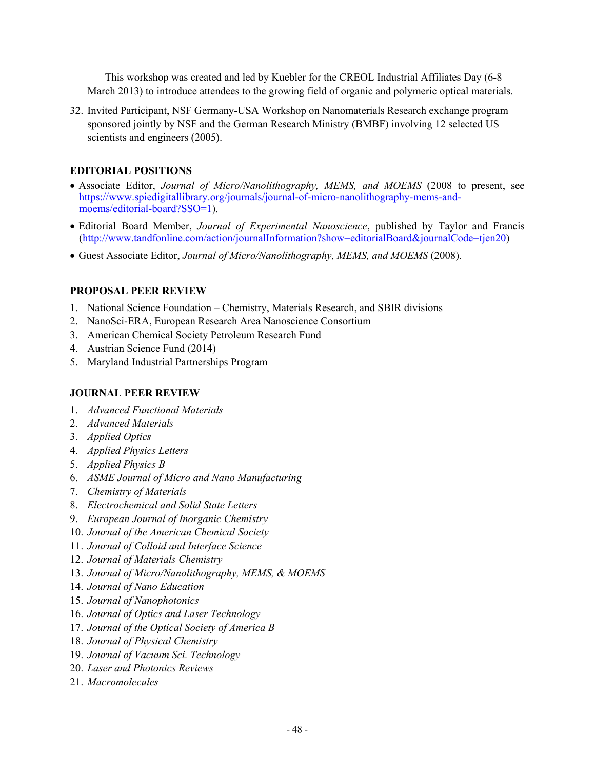This workshop was created and led by Kuebler for the CREOL Industrial Affiliates Day (6-8 March 2013) to introduce attendees to the growing field of organic and polymeric optical materials.

32. Invited Participant, NSF Germany-USA Workshop on Nanomaterials Research exchange program sponsored jointly by NSF and the German Research Ministry (BMBF) involving 12 selected US scientists and engineers (2005).

### **EDITORIAL POSITIONS**

- Associate Editor, *Journal of Micro/Nanolithography, MEMS, and MOEMS* (2008 to present, see https://www.spiedigitallibrary.org/journals/journal-of-micro-nanolithography-mems-andmoems/editorial-board?SSO=1).
- Editorial Board Member, *Journal of Experimental Nanoscience*, published by Taylor and Francis (http://www.tandfonline.com/action/journalInformation?show=editorialBoard&journalCode=tjen20)
- Guest Associate Editor, *Journal of Micro/Nanolithography, MEMS, and MOEMS* (2008).

### **PROPOSAL PEER REVIEW**

- 1. National Science Foundation Chemistry, Materials Research, and SBIR divisions
- 2. NanoSci-ERA, European Research Area Nanoscience Consortium
- 3. American Chemical Society Petroleum Research Fund
- 4. Austrian Science Fund (2014)
- 5. Maryland Industrial Partnerships Program

#### **JOURNAL PEER REVIEW**

- 1. *Advanced Functional Materials*
- 2. *Advanced Materials*
- 3. *Applied Optics*
- 4. *Applied Physics Letters*
- 5. *Applied Physics B*
- 6. *ASME Journal of Micro and Nano Manufacturing*
- 7. *Chemistry of Materials*
- 8. *Electrochemical and Solid State Letters*
- 9. *European Journal of Inorganic Chemistry*
- 10. *Journal of the American Chemical Society*
- 11. *Journal of Colloid and Interface Science*
- 12. *Journal of Materials Chemistry*
- 13. *Journal of Micro/Nanolithography, MEMS, & MOEMS*
- 14. *Journal of Nano Education*
- 15. *Journal of Nanophotonics*
- 16. *Journal of Optics and Laser Technology*
- 17. *Journal of the Optical Society of America B*
- 18. *Journal of Physical Chemistry*
- 19. *Journal of Vacuum Sci. Technology*
- 20. *Laser and Photonics Reviews*
- 21. *Macromolecules*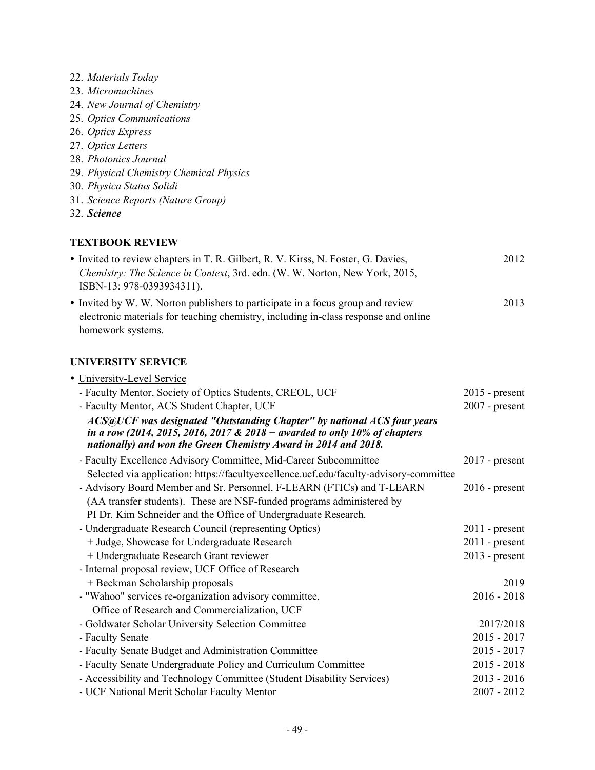- 22. *Materials Today*
- 23. *Micromachines*
- 24. *New Journal of Chemistry*
- 25. *Optics Communications*
- 26. *Optics Express*
- 27. *Optics Letters*
- 28. *Photonics Journal*
- 29. *Physical Chemistry Chemical Physics*
- 30. *Physica Status Solidi*
- 31. *Science Reports (Nature Group)*
- 32. *Science*

### **TEXTBOOK REVIEW**

| • Invited to review chapters in T. R. Gilbert, R. V. Kirss, N. Foster, G. Davies,<br>Chemistry: The Science in Context, 3rd. edn. (W. W. Norton, New York, 2015,<br>ISBN-13: 978-0393934311). | 2012 |
|-----------------------------------------------------------------------------------------------------------------------------------------------------------------------------------------------|------|
| • Invited by W. W. Norton publishers to participate in a focus group and review<br>electronic materials for teaching chemistry, including in-class response and online<br>homework systems.   | 2013 |

### **UNIVERSITY SERVICE**

| · University-Level Service                                                                                                                                                                                              |                  |
|-------------------------------------------------------------------------------------------------------------------------------------------------------------------------------------------------------------------------|------------------|
| - Faculty Mentor, Society of Optics Students, CREOL, UCF                                                                                                                                                                | $2015$ - present |
| - Faculty Mentor, ACS Student Chapter, UCF                                                                                                                                                                              | $2007$ - present |
| ACS@UCF was designated "Outstanding Chapter" by national ACS four years<br>in a row (2014, 2015, 2016, 2017 & 2018 – awarded to only 10% of chapters<br>nationally) and won the Green Chemistry Award in 2014 and 2018. |                  |
| - Faculty Excellence Advisory Committee, Mid-Career Subcommittee                                                                                                                                                        | $2017$ - present |
| Selected via application: https://facultyexcellence.ucf.edu/faculty-advisory-committee                                                                                                                                  |                  |
| - Advisory Board Member and Sr. Personnel, F-LEARN (FTICs) and T-LEARN                                                                                                                                                  | $2016$ - present |
| (AA transfer students). These are NSF-funded programs administered by                                                                                                                                                   |                  |
| PI Dr. Kim Schneider and the Office of Undergraduate Research.                                                                                                                                                          |                  |
| - Undergraduate Research Council (representing Optics)                                                                                                                                                                  | $2011$ - present |
| + Judge, Showcase for Undergraduate Research                                                                                                                                                                            | $2011$ - present |
| + Undergraduate Research Grant reviewer                                                                                                                                                                                 | $2013$ - present |
| - Internal proposal review, UCF Office of Research                                                                                                                                                                      |                  |
| + Beckman Scholarship proposals                                                                                                                                                                                         | 2019             |
| - "Wahoo" services re-organization advisory committee,                                                                                                                                                                  | $2016 - 2018$    |
| Office of Research and Commercialization, UCF                                                                                                                                                                           |                  |
| - Goldwater Scholar University Selection Committee                                                                                                                                                                      | 2017/2018        |
| - Faculty Senate                                                                                                                                                                                                        | $2015 - 2017$    |
| - Faculty Senate Budget and Administration Committee                                                                                                                                                                    | $2015 - 2017$    |
| - Faculty Senate Undergraduate Policy and Curriculum Committee                                                                                                                                                          | $2015 - 2018$    |
| - Accessibility and Technology Committee (Student Disability Services)                                                                                                                                                  | $2013 - 2016$    |
| - UCF National Merit Scholar Faculty Mentor                                                                                                                                                                             | $2007 - 2012$    |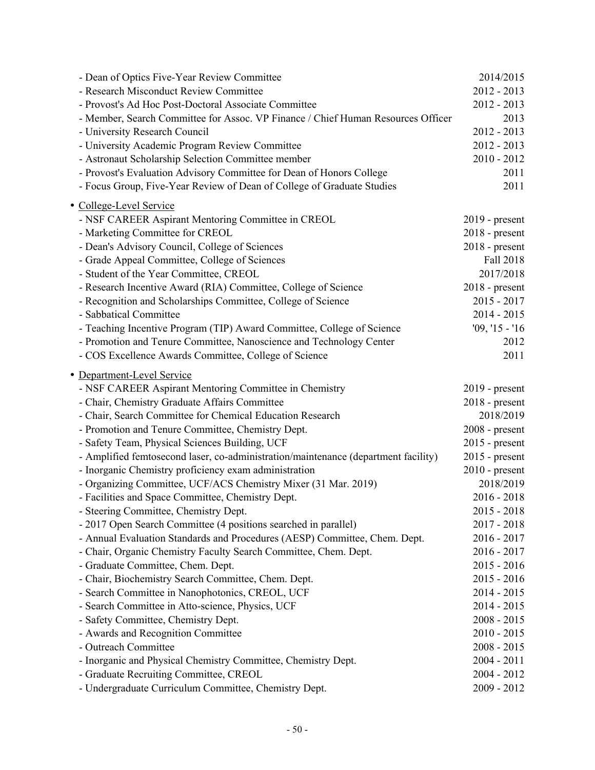| - Dean of Optics Five-Year Review Committee                                        | 2014/2015        |
|------------------------------------------------------------------------------------|------------------|
| - Research Misconduct Review Committee                                             | $2012 - 2013$    |
| - Provost's Ad Hoc Post-Doctoral Associate Committee                               | $2012 - 2013$    |
| - Member, Search Committee for Assoc. VP Finance / Chief Human Resources Officer   | 2013             |
| - University Research Council                                                      | $2012 - 2013$    |
| - University Academic Program Review Committee                                     | $2012 - 2013$    |
| - Astronaut Scholarship Selection Committee member                                 | $2010 - 2012$    |
| - Provost's Evaluation Advisory Committee for Dean of Honors College               | 2011             |
| - Focus Group, Five-Year Review of Dean of College of Graduate Studies             | 2011             |
| · College-Level Service                                                            |                  |
| - NSF CAREER Aspirant Mentoring Committee in CREOL                                 | $2019$ - present |
| - Marketing Committee for CREOL                                                    | $2018$ - present |
| - Dean's Advisory Council, College of Sciences                                     | $2018$ - present |
| - Grade Appeal Committee, College of Sciences                                      | Fall 2018        |
| - Student of the Year Committee, CREOL                                             | 2017/2018        |
| - Research Incentive Award (RIA) Committee, College of Science                     | $2018$ - present |
| - Recognition and Scholarships Committee, College of Science                       | $2015 - 2017$    |
| - Sabbatical Committee                                                             | $2014 - 2015$    |
| - Teaching Incentive Program (TIP) Award Committee, College of Science             | $'09, '15 - '16$ |
| - Promotion and Tenure Committee, Nanoscience and Technology Center                | 2012             |
| - COS Excellence Awards Committee, College of Science                              | 2011             |
|                                                                                    |                  |
| · Department-Level Service                                                         |                  |
| - NSF CAREER Aspirant Mentoring Committee in Chemistry                             | 2019 - present   |
| - Chair, Chemistry Graduate Affairs Committee                                      | $2018$ - present |
| - Chair, Search Committee for Chemical Education Research                          | 2018/2019        |
| - Promotion and Tenure Committee, Chemistry Dept.                                  | $2008$ - present |
| - Safety Team, Physical Sciences Building, UCF                                     | $2015$ - present |
| - Amplified femtosecond laser, co-administration/maintenance (department facility) | $2015$ - present |
| - Inorganic Chemistry proficiency exam administration                              | $2010$ - present |
| - Organizing Committee, UCF/ACS Chemistry Mixer (31 Mar. 2019)                     | 2018/2019        |
| - Facilities and Space Committee, Chemistry Dept.                                  | $2016 - 2018$    |
| - Steering Committee, Chemistry Dept.                                              | $2015 - 2018$    |
| - 2017 Open Search Committee (4 positions searched in parallel)                    | $2017 - 2018$    |
| - Annual Evaluation Standards and Procedures (AESP) Committee, Chem. Dept.         | $2016 - 2017$    |
| - Chair, Organic Chemistry Faculty Search Committee, Chem. Dept.                   | $2016 - 2017$    |
| - Graduate Committee, Chem. Dept.                                                  | $2015 - 2016$    |
| - Chair, Biochemistry Search Committee, Chem. Dept.                                | $2015 - 2016$    |
| - Search Committee in Nanophotonics, CREOL, UCF                                    | $2014 - 2015$    |
| - Search Committee in Atto-science, Physics, UCF                                   | $2014 - 2015$    |
| - Safety Committee, Chemistry Dept.                                                | $2008 - 2015$    |
| - Awards and Recognition Committee                                                 | $2010 - 2015$    |
| - Outreach Committee                                                               | $2008 - 2015$    |
| - Inorganic and Physical Chemistry Committee, Chemistry Dept.                      | $2004 - 2011$    |
| - Graduate Recruiting Committee, CREOL                                             | $2004 - 2012$    |
| - Undergraduate Curriculum Committee, Chemistry Dept.                              | $2009 - 2012$    |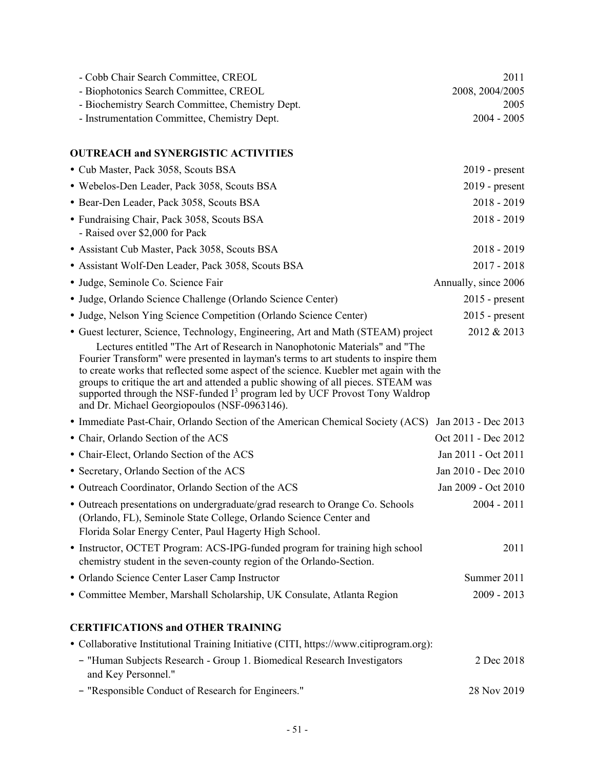| - Cobb Chair Search Committee, CREOL                                                                                                                                                                                                                                                                                                                                                                                                                                             | 2011                 |
|----------------------------------------------------------------------------------------------------------------------------------------------------------------------------------------------------------------------------------------------------------------------------------------------------------------------------------------------------------------------------------------------------------------------------------------------------------------------------------|----------------------|
| - Biophotonics Search Committee, CREOL                                                                                                                                                                                                                                                                                                                                                                                                                                           | 2008, 2004/2005      |
| - Biochemistry Search Committee, Chemistry Dept.                                                                                                                                                                                                                                                                                                                                                                                                                                 | 2005                 |
| - Instrumentation Committee, Chemistry Dept.                                                                                                                                                                                                                                                                                                                                                                                                                                     | $2004 - 2005$        |
| <b>OUTREACH and SYNERGISTIC ACTIVITIES</b>                                                                                                                                                                                                                                                                                                                                                                                                                                       |                      |
| • Cub Master, Pack 3058, Scouts BSA                                                                                                                                                                                                                                                                                                                                                                                                                                              | $2019$ - present     |
| · Webelos-Den Leader, Pack 3058, Scouts BSA                                                                                                                                                                                                                                                                                                                                                                                                                                      | $2019$ - present     |
| · Bear-Den Leader, Pack 3058, Scouts BSA                                                                                                                                                                                                                                                                                                                                                                                                                                         | $2018 - 2019$        |
| • Fundraising Chair, Pack 3058, Scouts BSA<br>- Raised over \$2,000 for Pack                                                                                                                                                                                                                                                                                                                                                                                                     | $2018 - 2019$        |
| • Assistant Cub Master, Pack 3058, Scouts BSA                                                                                                                                                                                                                                                                                                                                                                                                                                    | $2018 - 2019$        |
| • Assistant Wolf-Den Leader, Pack 3058, Scouts BSA                                                                                                                                                                                                                                                                                                                                                                                                                               | $2017 - 2018$        |
| · Judge, Seminole Co. Science Fair                                                                                                                                                                                                                                                                                                                                                                                                                                               | Annually, since 2006 |
| • Judge, Orlando Science Challenge (Orlando Science Center)                                                                                                                                                                                                                                                                                                                                                                                                                      | $2015$ - present     |
| • Judge, Nelson Ying Science Competition (Orlando Science Center)                                                                                                                                                                                                                                                                                                                                                                                                                | $2015$ - present     |
| • Guest lecturer, Science, Technology, Engineering, Art and Math (STEAM) project                                                                                                                                                                                                                                                                                                                                                                                                 | 2012 & 2013          |
| Lectures entitled "The Art of Research in Nanophotonic Materials" and "The<br>Fourier Transform" were presented in layman's terms to art students to inspire them<br>to create works that reflected some aspect of the science. Kuebler met again with the<br>groups to critique the art and attended a public showing of all pieces. STEAM was<br>supported through the NSF-funded $I3$ program led by UCF Provost Tony Waldrop<br>and Dr. Michael Georgiopoulos (NSF-0963146). |                      |
| • Immediate Past-Chair, Orlando Section of the American Chemical Society (ACS)                                                                                                                                                                                                                                                                                                                                                                                                   | Jan 2013 - Dec 2013  |
| • Chair, Orlando Section of the ACS                                                                                                                                                                                                                                                                                                                                                                                                                                              | Oct 2011 - Dec 2012  |
| • Chair-Elect, Orlando Section of the ACS                                                                                                                                                                                                                                                                                                                                                                                                                                        | Jan 2011 - Oct 2011  |
| • Secretary, Orlando Section of the ACS                                                                                                                                                                                                                                                                                                                                                                                                                                          | Jan 2010 - Dec 2010  |
| • Outreach Coordinator, Orlando Section of the ACS                                                                                                                                                                                                                                                                                                                                                                                                                               | Jan 2009 - Oct 2010  |
| • Outreach presentations on undergraduate/grad research to Orange Co. Schools<br>(Orlando, FL), Seminole State College, Orlando Science Center and<br>Florida Solar Energy Center, Paul Hagerty High School.                                                                                                                                                                                                                                                                     | $2004 - 2011$        |
| • Instructor, OCTET Program: ACS-IPG-funded program for training high school<br>chemistry student in the seven-county region of the Orlando-Section.                                                                                                                                                                                                                                                                                                                             | 2011                 |
| • Orlando Science Center Laser Camp Instructor                                                                                                                                                                                                                                                                                                                                                                                                                                   | Summer 2011          |
| • Committee Member, Marshall Scholarship, UK Consulate, Atlanta Region                                                                                                                                                                                                                                                                                                                                                                                                           | $2009 - 2013$        |
| <b>CERTIFICATIONS and OTHER TRAINING</b>                                                                                                                                                                                                                                                                                                                                                                                                                                         |                      |
| • Collaborative Institutional Training Initiative (CITI, https://www.citiprogram.org):                                                                                                                                                                                                                                                                                                                                                                                           |                      |
| - "Human Subjects Research - Group 1. Biomedical Research Investigators<br>and Key Personnel."                                                                                                                                                                                                                                                                                                                                                                                   | 2 Dec 2018           |
| - "Responsible Conduct of Research for Engineers."                                                                                                                                                                                                                                                                                                                                                                                                                               | 28 Nov 2019          |